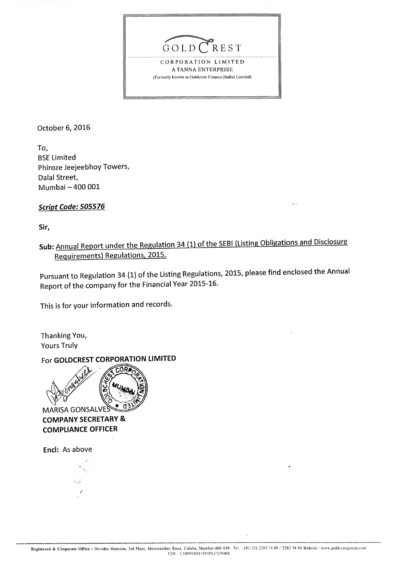

CORPORATION LIMITED A TANNA ENTERPRISE (Formerly known as Goldcrest Finance (India) Limited)

October 6, 2016

To, **BSE Limited** Phiroze Jeejeebhoy Towers, Dalal Street, Mumbai - 400 001

Script Code: 505576

Sir,

Sub: Annual Report under the Regulation 34 (1) of the SEBI (Listing Obligations and Disclosure Requirements) Regulations, 2015.

 $\mathbf{x}$  is a

Pursuant to Regulation 34 (1) of the Listing Regulations, 2015, please find enclosed the Annual Report of the company for the Financial Year 2015-16.

This is for your information and records.

Thanking You, **Yours Truly** 

For GOLDCREST CORPORATION LIMITED



**COMPANY SECRETARY & COMPLIANCE OFFICER** 

Encl: As above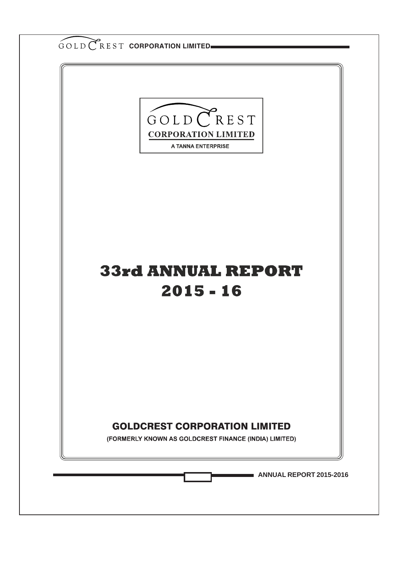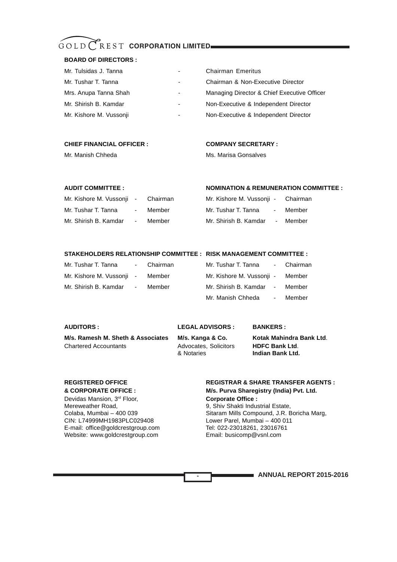#### **BOARD OF DIRECTORS :**

| Mr. Tulsidas J. Tanna   | $\blacksquare$           | <b>Chairman Emeritus</b>                    |
|-------------------------|--------------------------|---------------------------------------------|
| Mr. Tushar T. Tanna     | ٠                        | Chairman & Non-Executive Director           |
| Mrs. Anupa Tanna Shah   | $\overline{\phantom{a}}$ | Managing Director & Chief Executive Officer |
| Mr. Shirish B. Kamdar   | $\overline{\phantom{a}}$ | Non-Executive & Independent Director        |
| Mr. Kishore M. Vussonji | $\overline{\phantom{0}}$ | Non-Executive & Independent Director        |
|                         |                          |                                             |

#### **CHIEF FINANCIAL OFFICER : COMPANY SECRETARY :**

Mr. Manish Chheda Ms. Marisa Gonsalves

### **AUDIT COMMITTEE : NOMINATION & REMUNERATION COMMITTEE :**

| Mr. Kishore M. Vussonji - Chairman |            |        | Mr. Kishore M. Vussonji - |                            | Chairman |  |
|------------------------------------|------------|--------|---------------------------|----------------------------|----------|--|
| Mr. Tushar T. Tanna                | $\sim$ $-$ | Member | Mr. Tushar T. Tanna       | $\sim$ 100 $\pm$ 100 $\pm$ | Member   |  |
| Mr. Shirish B. Kamdar              | $\sim$     | Member | Mr. Shirish B. Kamdar     | $\blacksquare$             | Member   |  |

#### **STAKEHOLDERS RELATIONSHIP COMMITTEE : RISK MANAGEMENT COMMITTEE :**

| Mr. Tushar T. Tanna       |            | - Chairman | Mr. Tushar T. Tanna       | - Chairman |
|---------------------------|------------|------------|---------------------------|------------|
| Mr. Kishore M. Vussonji - |            | Member     | Mr. Kishore M. Vussonji - | Member     |
| Mr. Shirish B. Kamdar     | $\sim$ $-$ | Member     | Mr. Shirish B. Kamdar -   | Member     |
|                           |            |            | Mr. Manish Chheda         | - Member   |

### **AUDITORS : LEGAL ADVISORS : BANKERS :**

**M/s. Ramesh M. Sheth & Associates M/s. Kanga & Co. Kotak Mahindra Bank Ltd**. Chartered Accountants Advocates, Solicitors **HDFC Bank Ltd**.

**-**

& Notaries **Indian Bank Ltd.**

Devidas Mansion, 3<sup>rd</sup> Floor, **Corporate Office :** Mereweather Road, 8, Shiv Shakti Industrial Estate, Colaba, Mumbai – 400 039 E-mail: office@goldcrestgroup.com Tel: 022-23018261, 2301676<br>Website: www.goldcrestgroup.com Email: busicomp@vsnl.com Website: www.goldcrestgroup.com

### **REGISTERED OFFICE REGISTRAR & SHARE TRANSFER AGENTS : & CORPORATE OFFICE : M/s. Purva Sharegistry (India) Pvt. Ltd.**

Colaba, Mumbai – 400 039 Sitaram Mills Compound, J.R. Boricha Marg, Lower Parel, Mumbai – 400 011<br>Tel: 022-23018261, 23016761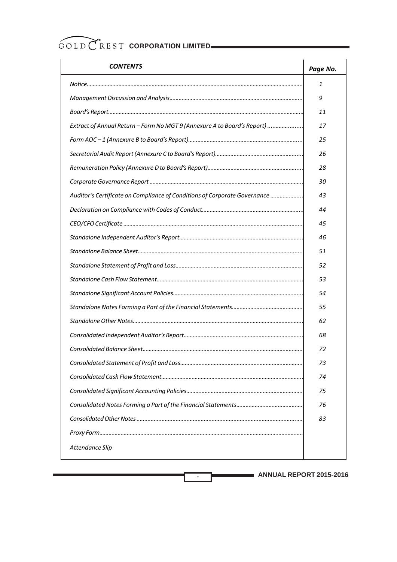| <b>CONTENTS</b>                                                           | Page No. |
|---------------------------------------------------------------------------|----------|
|                                                                           | 1        |
|                                                                           | 9        |
|                                                                           | 11       |
| Extract of Annual Return - Form No MGT 9 (Annexure A to Board's Report)   | 17       |
|                                                                           | 25       |
|                                                                           | 26       |
|                                                                           | 28       |
|                                                                           | 30       |
| Auditor's Certificate on Compliance of Conditions of Corporate Governance | 43       |
|                                                                           | 44       |
|                                                                           | 45       |
|                                                                           | 46       |
|                                                                           | 51       |
|                                                                           | 52       |
|                                                                           | 53       |
|                                                                           | 54       |
|                                                                           | 55       |
|                                                                           | 62       |
|                                                                           | 68       |
|                                                                           | 72       |
|                                                                           | 73       |
|                                                                           | 74       |
|                                                                           | 75       |
|                                                                           | 76       |
|                                                                           | 83       |
|                                                                           |          |
| Attendance Slip                                                           |          |

**-**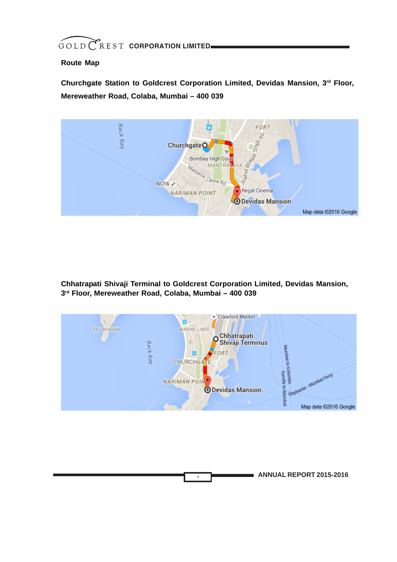### **Route Map**

**Churchgate Station to Goldcrest Corporation Limited, Devidas Mansion, 3rd Floor, Mereweather Road, Colaba, Mumbai – 400 039**



**Chhatrapati Shivaji Terminal to Goldcrest Corporation Limited, Devidas Mansion, 3rd Floor, Mereweather Road, Colaba, Mumbai – 400 039**



**-**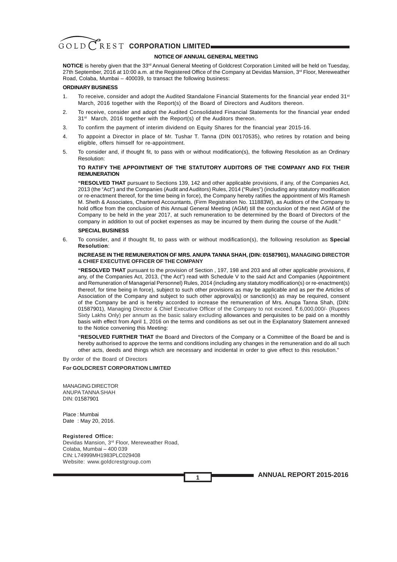#### **NOTICE OF ANNUAL GENERAL MEETING**

**NOTICE** is hereby given that the 33<sup>rd</sup> Annual General Meeting of Goldcrest Corporation Limited will be held on Tuesday, 27th September, 2016 at 10:00 a.m. at the Registered Office of the Company at Devidas Mansion, 3<sup>rd</sup> Floor, Mereweather Road, Colaba, Mumbai – 400039, to transact the following business:

#### **ORDINARY BUSINESS**

- 1. To receive, consider and adopt the Audited Standalone Financial Statements for the financial year ended 31<sup>st</sup> March, 2016 together with the Report(s) of the Board of Directors and Auditors thereon.
- 2. To receive, consider and adopt the Audited Consolidated Financial Statements for the financial year ended 31<sup>st</sup> March, 2016 together with the Report(s) of the Auditors thereon.
- 3. To confirm the payment of interim dividend on Equity Shares for the financial year 2015-16.
- 4. To appoint a Director in place of Mr. Tushar T. Tanna (DIN 00170535), who retires by rotation and being eligible, offers himself for re-appointment.
- 5. To consider and, if thought fit, to pass with or without modification(s), the following Resolution as an Ordinary Resolution:

#### **TO RATIFY THE APPOINTMENT OF THE STATUTORY AUDITORS OF THE COMPANY AND FIX THEIR REMUNERATION**

**"RESOLVED THAT** pursuant to Sections 139, 142 and other applicable provisions, if any, of the Companies Act, 2013 (the "Act") and the Companies (Audit and Auditors) Rules, 2014 ("Rules") (including any statutory modification or re-enactment thereof, for the time being in force), the Company hereby ratifies the appointment of M/s Ramesh M. Sheth & Associates, Chartered Accountants, (Firm Registration No. 111883W), as Auditors of the Company to hold office from the conclusion of this Annual General Meeting (AGM) till the conclusion of the next AGM of the Company to be held in the year 2017, at such remuneration to be determined by the Board of Directors of the company in addition to out of pocket expenses as may be incurred by them during the course of the Audit."

#### **SPECIAL BUSINESS**

6. To consider, and if thought fit, to pass with or without modification(s), the following resolution as **Special Resolution**:

#### **INCREASE IN THE REMUNERATION OF MRS. ANUPA TANNA SHAH, (DIN: 01587901), MANAGING DIRECTOR & CHIEF EXECUTIVE OFFICER OF THE COMPANY**

**"RESOLVED THAT** pursuant to the provision of Section , 197, 198 and 203 and all other applicable provisions, if any, of the Companies Act, 2013, ("the Act") read with Schedule V to the said Act and Companies (Appointment and Remuneration of Managerial Personnel) Rules, 2014 (including any statutory modification(s) or re-enactment(s) thereof, for time being in force), subject to such other provisions as may be applicable and as per the Articles of Association of the Company and subject to such other approval(s) or sanction(s) as may be required, consent of the Company be and is hereby accorded to increase the remuneration of Mrs. Anupa Tanna Shah, (DIN: 01587901), Managing Director & Chief Executive Officer of the Company to not exceed. ₹.6,000,000/- (Rupees Sixty Lakhs Only) per annum as the basic salary excluding allowances and perquisites to be paid on a monthly basis with effect from April 1, 2016 on the terms and conditions as set out in the Explanatory Statement annexed to the Notice convening this Meeting:

**"RESOLVED FURTHER THAT** the Board and Directors of the Company or a Committee of the Board be and is hereby authorised to approve the terms and conditions including any changes in the remuneration and do all such other acts, deeds and things which are necessary and incidental in order to give effect to this resolution."

**1**

By order of the Board of Directors

#### **For GOLDCREST CORPORATION LIMITED**

MANAGING DIRECTOR ANUPA TANNA SHAH DIN: 01587901

Place : Mumbai Date : May 20, 2016.

#### **Registered Office:**

Devidas Mansion, 3rd Floor, Mereweather Road, Colaba, Mumbai – 400 039 CIN: L74999MH1983PLC029408 Website: www.goldcrestgroup.com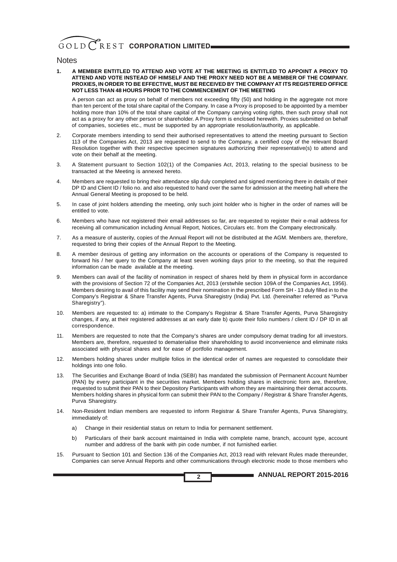#### **Notes**

**1. A MEMBER ENTITLED TO ATTEND AND VOTE AT THE MEETING IS ENTITLED TO APPOINT A PROXY TO ATTEND AND VOTE INSTEAD OF HIMSELF AND THE PROXY NEED NOT BE A MEMBER OF THE COMPANY. PROXIES, IN ORDER TO BE EFFECTIVE, MUST BE RECEIVED BY THE COMPANY AT ITS REGISTERED OFFICE NOT LESS THAN 48 HOURS PRIOR TO THE COMMENCEMENT OF THE MEETING**

A person can act as proxy on behalf of members not exceeding fifty (50) and holding in the aggregate not more than ten percent of the total share capital of the Company. In case a Proxy is proposed to be appointed by a member holding more than 10% of the total share capital of the Company carrying voting rights, then such proxy shall not act as a proxy for any other person or shareholder. A Proxy form is enclosed herewith. Proxies submitted on behalf of companies, societies etc., must be supported by an appropriate resolution/authority, as applicable.

- 2. Corporate members intending to send their authorised representatives to attend the meeting pursuant to Section 113 of the Companies Act, 2013 are requested to send to the Company, a certified copy of the relevant Board Resolution together with their respective specimen signatures authorizing their representative(s) to attend and vote on their behalf at the meeting.
- 3. A Statement pursuant to Section 102(1) of the Companies Act, 2013, relating to the special business to be transacted at the Meeting is annexed hereto.
- 4. Members are requested to bring their attendance slip duly completed and signed mentioning there in details of their DP ID and Client ID / folio no. and also requested to hand over the same for admission at the meeting hall where the Annual General Meeting is proposed to be held.
- 5. In case of joint holders attending the meeting, only such joint holder who is higher in the order of names will be entitled to vote.
- 6. Members who have not registered their email addresses so far, are requested to register their e-mail address for receiving all communication including Annual Report, Notices, Circulars etc. from the Company electronically.
- 7. As a measure of austerity, copies of the Annual Report will not be distributed at the AGM. Members are, therefore, requested to bring their copies of the Annual Report to the Meeting.
- 8. A member desirous of getting any information on the accounts or operations of the Company is requested to forward his / her query to the Company at least seven working days prior to the meeting, so that the required information can be made available at the meeting.
- 9. Members can avail of the facility of nomination in respect of shares held by them in physical form in accordance with the provisions of Section 72 of the Companies Act, 2013 (erstwhile section 109A of the Companies Act, 1956). Members desiring to avail of this facility may send their nomination in the prescribed Form SH - 13 duly filled in to the Company's Registrar & Share Transfer Agents, Purva Sharegistry (India) Pvt. Ltd. (hereinafter referred as "Purva Sharegistry").
- 10. Members are requested to: a) intimate to the Company's Registrar & Share Transfer Agents, Purva Sharegistry changes, if any, at their registered addresses at an early date b) quote their folio numbers / client ID / DP ID in all correspondence.
- 11. Members are requested to note that the Company's shares are under compulsory demat trading for all investors. Members are, therefore, requested to dematerialise their shareholding to avoid inconvenience and eliminate risks associated with physical shares and for ease of portfolio management.
- 12. Members holding shares under multiple folios in the identical order of names are requested to consolidate their holdings into one folio.
- 13. The Securities and Exchange Board of India (SEBI) has mandated the submission of Permanent Account Number (PAN) by every participant in the securities market. Members holding shares in electronic form are, therefore, requested to submit their PAN to their Depository Participants with whom they are maintaining their demat accounts. Members holding shares in physical form can submit their PAN to the Company / Registrar & Share Transfer Agents, Purva Sharegistry.
- 14. Non-Resident Indian members are requested to inform Registrar & Share Transfer Agents, Purva Sharegistry, immediately of:
	- a) Change in their residential status on return to India for permanent settlement.
	- b) Particulars of their bank account maintained in India with complete name, branch, account type, account number and address of the bank with pin code number, if not furnished earlier.
- 15. Pursuant to Section 101 and Section 136 of the Companies Act, 2013 read with relevant Rules made thereunder, Companies can serve Annual Reports and other communications through electronic mode to those members who

**2**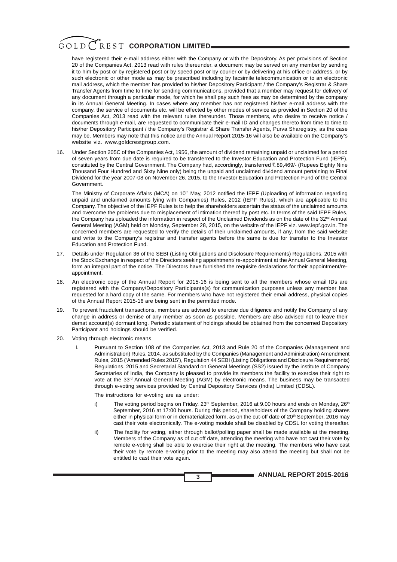have registered their e-mail address either with the Company or with the Depository. As per provisions of Section 20 of the Companies Act, 2013 read with rules thereunder, a document may be served on any member by sending it to him by post or by registered post or by speed post or by courier or by delivering at his office or address, or by such electronic or other mode as may be prescribed including by facsimile telecommunication or to an electronic mail address, which the member has provided to his/her Depository Participant / the Company's Registrar & Share Transfer Agents from time to time for sending communications, provided that a member may request for delivery of any document through a particular mode, for which he shall pay such fees as may be determined by the company in its Annual General Meeting. In cases where any member has not registered his/her e-mail address with the company, the service of documents etc. will be effected by other modes of service as provided in Section 20 of the Companies Act, 2013 read with the relevant rules thereunder. Those members, who desire to receive notice / documents through e-mail, are requested to communicate their e-mail ID and changes thereto from time to time to his/her Depository Participant / the Company's Registrar & Share Transfer Agents, Purva Sharegistry, as the case may be. Members may note that this notice and the Annual Report 2015-16 will also be available on the Company's website viz. www.goldcrestgroup.com.

16. Under Section 205C of the Companies Act, 1956, the amount of dividend remaining unpaid or unclaimed for a period of seven years from due date is required to be transferred to the Investor Education and Protection Fund (IEPF), constituted by the Central Government. The Company had, accordingly, transferred  $\bar{z}$ .89,469/- (Rupees Eighty Nine Thousand Four Hundred and Sixty Nine only) being the unpaid and unclaimed dividend amount pertaining to Final Dividend for the year 2007-08 on November 26, 2015, to the Investor Education and Protection Fund of the Central Government.

The Ministry of Corporate Affairs (MCA) on 10<sup>th</sup> May, 2012 notified the IEPF (Uploading of information regarding unpaid and unclaimed amounts lying with Companies) Rules, 2012 (IEPF Rules), which are applicable to the Company. The objective of the IEPF Rules is to help the shareholders ascertain the status of the unclaimed amounts and overcome the problems due to misplacement of intimation thereof by post etc. In terms of the said IEPF Rules, the Company has uploaded the information in respect of the Unclaimed Dividends as on the date of the 32<sup>nd</sup> Annual General Meeting (AGM) held on Monday, September 28, 2015, on the website of the IEPF viz. www.iepf.gov.in. The concerned members are requested to verify the details of their unclaimed amounts, if any, from the said website and write to the Company's registrar and transfer agents before the same is due for transfer to the Investor Education and Protection Fund.

- 17. Details under Regulation 36 of the SEBI (Listing Obligations and Disclosure Requirements) Regulations, 2015 with the Stock Exchange in respect of the Directors seeking appointment/ re-appointment at the Annual General Meeting, form an integral part of the notice. The Directors have furnished the requisite declarations for their appointment/reappointment.
- 18. An electronic copy of the Annual Report for 2015-16 is being sent to all the members whose email IDs are registered with the Company/Depository Participants(s) for communication purposes unless any member has requested for a hard copy of the same. For members who have not registered their email address, physical copies of the Annual Report 2015-16 are being sent in the permitted mode.
- 19. To prevent fraudulent transactions, members are advised to exercise due diligence and notify the Company of any change in address or demise of any member as soon as possible. Members are also advised not to leave their demat account(s) dormant long. Periodic statement of holdings should be obtained from the concerned Depository Participant and holdings should be verified.
- 20. Voting through electronic means
	- I. Pursuant to Section 108 of the Companies Act, 2013 and Rule 20 of the Companies (Management and Administration) Rules, 2014, as substituted by the Companies (Management and Administration) Amendment Rules, 2015 ('Amended Rules 2015'), Regulation 44 SEBI (Listing Obligations and Disclosure Requirements) Regulations, 2015 and Secretarial Standard on General Meetings (SS2) issued by the institute of Company Secretaries of India, the Company is pleased to provide its members the facility to exercise their right to vote at the 33<sup>rd</sup> Annual General Meeting (AGM) by electronic means. The business may be transacted through e-voting services provided by Central Depository Services (India) Limited (CDSL).

The instructions for e-voting are as under:

- i) The voting period begins on Friday,  $23^{rd}$  September, 2016 at 9.00 hours and ends on Monday,  $26^{th}$ September, 2016 at 17:00 hours. During this period, shareholders of the Company holding shares either in physical form or in dematerialized form, as on the cut-off date of  $20<sup>th</sup>$  September, 2016 may cast their vote electronically. The e-voting module shall be disabled by CDSL for voting thereafter.
- ii) The facility for voting, either through ballot/polling paper shall be made available at the meeting. Members of the Company as of cut off date, attending the meeting who have not cast their vote by remote e-voting shall be able to exercise their right at the meeting. The members who have cast their vote by remote e-voting prior to the meeting may also attend the meeting but shall not be entitled to cast their vote again.

**3**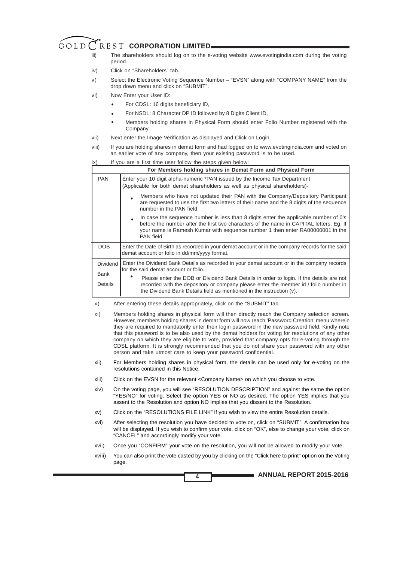- iii) The shareholders should log on to the e-voting website www.evotingindia.com during the voting period.
- iv) Click on "Shareholders" tab.
- v) Select the Electronic Voting Sequence Number "EVSN" along with "COMPANY NAME" from the drop down menu and click on "SUBMIT".
- vi) Now Enter your User ID:
	- For CDSL: 16 digits beneficiary ID, •
	- For NSDL: 8 Character DP ID followed by 8 Digits Client ID, •
	- Members holding shares in Physical Form should enter Folio Number registered with the Company •
- vii) Next enter the Image Verification as displayed and Click on Login.
- viii) If you are holding shares in demat form and had logged on to www.evotingindia.com and voted on an earlier vote of any company, then your existing password is to be used.

| If you are a first time user follow the steps given below:<br>ix) |                                                                                                                                                                                                                                                                                |  |  |  |  |
|-------------------------------------------------------------------|--------------------------------------------------------------------------------------------------------------------------------------------------------------------------------------------------------------------------------------------------------------------------------|--|--|--|--|
|                                                                   | For Members holding shares in Demat Form and Physical Form                                                                                                                                                                                                                     |  |  |  |  |
| <b>PAN</b>                                                        | Enter your 10 digit alpha-numeric *PAN issued by the Income Tax Department<br>(Applicable for both demat shareholders as well as physical shareholders).                                                                                                                       |  |  |  |  |
|                                                                   | Members who have not updated their PAN with the Company/Depository Participant<br>are requested to use the first two letters of their name and the 8 digits of the sequence<br>number in the PAN field.                                                                        |  |  |  |  |
|                                                                   | In case the sequence number is less than 8 digits enter the applicable number of 0's<br>before the number after the first two characters of the name in CAPITAL letters. Eg. If<br>your name is Ramesh Kumar with sequence number 1 then enter RA00000001 in the<br>PAN field. |  |  |  |  |
| DOB                                                               | Enter the Date of Birth as recorded in your demat account or in the company records for the said<br>demat account or folio in dd/mm/yyyy format.                                                                                                                               |  |  |  |  |
| <b>Dividend</b><br>Bank                                           | Enter the Dividend Bank Details as recorded in your demat account or in the company records<br>for the said demat account or folio.<br>Please enter the DOB or Dividend Bank Details in order to login. If the details are not                                                 |  |  |  |  |
| Details                                                           | recorded with the depository or company please enter the member id / folio number in<br>the Dividend Bank Details field as mentioned in the instruction (v).                                                                                                                   |  |  |  |  |

- x) After entering these details appropriately, click on the "SUBMIT" tab.
- xi) Members holding shares in physical form will then directly reach the Company selection screen. However, members holding shares in demat form will now reach 'Password Creation' menu wherein they are required to mandatorily enter their login password in the new password field. Kindly note that this password is to be also used by the demat holders for voting for resolutions of any other company on which they are eligible to vote, provided that company opts for e-voting through the CDSL platform. It is strongly recommended that you do not share your password with any other person and take utmost care to keep your password confidential.
- xii) For Members holding shares in physical form, the details can be used only for e-voting on the resolutions contained in this Notice.
- xiii) Click on the EVSN for the relevant <Company Name> on which you choose to vote.
- xiv) On the voting page, you will see "RESOLUTION DESCRIPTION" and against the same the option "YES/NO" for voting. Select the option YES or NO as desired. The option YES implies that you assent to the Resolution and option NO implies that you dissent to the Resolution.
- xv) Click on the "RESOLUTIONS FILE LINK" if you wish to view the entire Resolution details.

**4**

- xvi) After selecting the resolution you have decided to vote on, click on "SUBMIT". A confirmation box will be displayed. If you wish to confirm your vote, click on "OK", else to change your vote, click on "CANCEL" and accordingly modify your vote.
- xvii) Once you "CONFIRM" your vote on the resolution, you will not be allowed to modify your vote.
- xviii) You can also print the vote casted by you by clicking on the "Click here to print" option on the Voting page.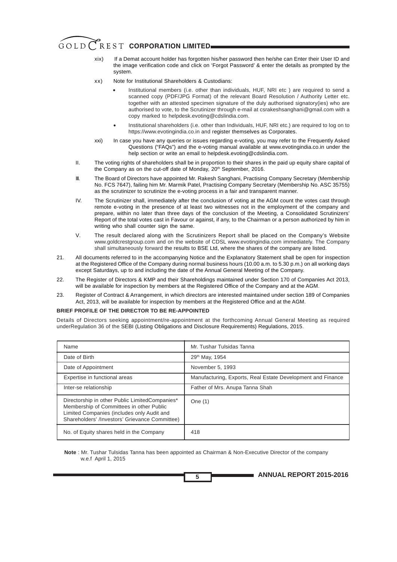- xix) If a Demat account holder has forgotten his/her password then he/she can Enter their User ID and the image verification code and click on 'Forgot Password' & enter the details as prompted by the system.
- xx) Note for Institutional Shareholders & Custodians:
	- Institutional members (i.e. other than individuals, HUF, NRI etc ) are required to send a scanned copy (PDF/JPG Format) of the relevant Board Resolution / Authority Letter etc. together with an attested specimen signature of the duly authorised signatory(ies) who are authorised to vote, to the Scrutinizer through e-mail at csrakeshsanghani@gmail.com with a copy marked to helpdesk.evoting@cdslindia.com. •
	- Institutional shareholders (i.e. other than Individuals, HUF, NRI etc.) are required to log on to https://www.evotingindia.co.in and register themselves as Corporates. •
- xxi) In case you have any queries or issues regarding e-voting, you may refer to the Frequently Asked Questions ("FAQs") and the e-voting manual available at www.evotingindia.co.in under the help section or write an email to helpdesk.evoting@cdslindia.com.
- II. The voting rights of shareholders shall be in proportion to their shares in the paid up equity share capital of the Company as on the cut-off date of Monday, 20<sup>th</sup> September, 2016.
- III. The Board of Directors have appointed Mr. Rakesh Sanghani, Practising Company Secretary (Membership No. FCS 7647), failing him Mr. Marmik Patel, Practising Company Secretary (Membership No. ASC 35755) as the scrutinizer to scrutinize the e-voting process in a fair and transparent manner.
- IV. The Scrutinizer shall, immediately after the conclusion of voting at the AGM count the votes cast through remote e-voting in the presence of at least two witnesses not in the employment of the company and prepare, within no later than three days of the conclusion of the Meeting, a Consolidated Scrutinizers' Report of the total votes cast in Favour or against, if any, to the Chairman or a person authorized by him in writing who shall counter sign the same.
- V. The result declared along with the Scrutinizers Report shall be placed on the Company's Website www.goldcrestgroup.com and on the website of CDSL www.evotingindia.com immediately. The Company shall simultaneously forward the results to BSE Ltd, where the shares of the company are listed.
- 21. All documents referred to in the accompanying Notice and the Explanatory Statement shall be open for inspection at the Registered Office of the Company during normal business hours (10.00 a.m. to 5.30 p.m.) on all working days except Saturdays, up to and including the date of the Annual General Meeting of the Company.
- 22. The Register of Directors & KMP and their Shareholdings maintained under Section 170 of Companies Act 2013, will be available for inspection by members at the Registered Office of the Company and at the AGM.
- 23. Register of Contract & Arrangement, in which directors are interested maintained under section 189 of Companies Act, 2013, will be available for inspection by members at the Registered Office and at the AGM.

#### **BRIEF PROFILE OF THE DIRECTOR TO BE RE-APPOINTED**

Details of Directors seeking appointment/re-appointment at the forthcoming Annual General Meeting as required underRegulation 36 of the SEBI (Listing Obligations and Disclosure Requirements) Regulations, 2015.

| Name                                                                                                                                                                                       | Mr. Tushar Tulsidas Tanna                                   |
|--------------------------------------------------------------------------------------------------------------------------------------------------------------------------------------------|-------------------------------------------------------------|
| Date of Birth                                                                                                                                                                              | 29th May, 1954                                              |
| Date of Appointment                                                                                                                                                                        | November 5, 1993                                            |
| Expertise in functional areas                                                                                                                                                              | Manufacturing, Exports, Real Estate Development and Finance |
| Inter-se relationship                                                                                                                                                                      | Father of Mrs. Anupa Tanna Shah                             |
| Directorship in other Public LimitedCompanies*<br>Membership of Committees in other Public<br>Limited Companies (includes only Audit and<br>Shareholders' /Investors' Grievance Committee) | One $(1)$                                                   |
| No. of Equity shares held in the Company                                                                                                                                                   | 418                                                         |

**Note** : Mr. Tushar Tulsidas Tanna has been appointed as Chairman & Non-Executive Director of the company w.e.f April 1, 2015

**ANNUAL REPORT 2015-2016**

**5**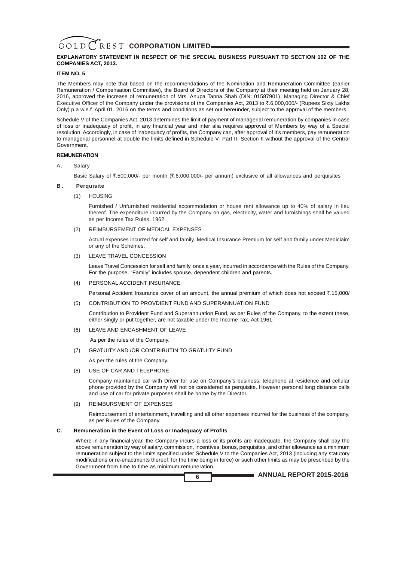#### **EXPLANATORY STATEMENT IN RESPECT OF THE SPECIAL BUSINESS PURSUANT TO SECTION 102 OF THE COMPANIES ACT, 2013.**

#### **ITEM NO. 5**

The Members may note that based on the recommendations of the Nomination and Remuneration Committee (earlier Remuneration / Compensation Committee), the Board of Directors of the Company at their meeting held on January 28, 2016, approved the increase of remuneration of Mrs. Anupa Tanna Shah (DIN: 01587901), Managing Director & Chief Executive Officer of the Company under the provisions of the Companies Act, 2013 to  $\bar{z}$ .6,000,000/- (Rupees Sixty Lakhs Only) p.a w.e.f. April 01, 2016 on the terms and conditions as set out hereunder, subject to the approval of the members.

Schedule V of the Companies Act, 2013 determines the limit of payment of managerial remuneration by companies in case of loss or inadequacy of profit, in any financial year and inter alia requires approval of Members by way of a Special resolution. Accordingly, in case of inadequacy of profits, the Company can, after approval of it's members, pay remuneration to managerial personnel at double the limits defined in Schedule V- Part II- Section II without the approval of the Central Government.

#### **REMUNERATION**

#### A. Salary

Basic Salary of ₹.500,000/- per month (₹.6,000,000/- per annum) exclusive of all allowances and perquisites

#### **B . Perquisite**

(1) HOUSING

Furnished / Unfurnished residential accommodation or house rent allowance up to 40% of salary in lieu thereof. The expenditure incurred by the Company on gas, electricity, water and furnishings shall be valued as per Income Tax Rules, 1962.

(2) REIMBURSEMENT OF MEDICAL EXPENSES

Actual expenses incurred for self and family. Medical Insurance Premium for self and family under Mediclaim or any of the Schemes.

(3) LEAVE TRAVEL CONCESSION

Leave Travel Concession for self and family, once a year, incurred in accordance with the Rules of the Company. For the purpose, "Family" includes spouse, dependent children and parents.

#### (4) PERSONAL ACCIDENT INSURANCE

Personal Accident Insurance cover of an amount, the annual premium of which does not exceed  $\bar{\tau}$ ,15,000/

(5) CONTRIBUTION TO PROVDIENT FUND AND SUPERANNUATION FUND

Contribution to Provident Fund and Superannuation Fund, as per Rules of the Company, to the extent these, either singly or put together, are not taxable under the Income Tax, Act 1961.

(6) LEAVE AND ENCASHMENT OF LEAVE

As per the rules of the Company.

(7) GRATUITY AND /OR CONTRIBUTIN TO GRATUITY FUND

- As per the rules of the Company.
- (8) USE OF CAR AND TELEPHONE

Company maintained car with Driver for use on Company's business, telephone at residence and cellular phone provided by the Company will not be considered as perquisite. However personal long distance calls and use of car for private purposes shall be borne by the Director.

#### (9) REIMBURSMENT OF EXPENSES

Reimbursement of entertainment, travelling and all other expenses incurred for the business of the company, as per Rules of the Company.

#### **C. Remuneration in the Event of Loss or Inadequacy of Profits**

Where in any financial year, the Company incurs a loss or its profits are inadequate, the Company shall pay the above remuneration by way of salary, commission, incentives, bonus, perquisites, and other allowance as a minimum remuneration subject to the limits specified under Schedule V to the Companies Act, 2013 (including any statutory modifications or re-enactments thereof, for the time being in force) or such other limits as may be prescribed by the Government from time to time as minimum remuneration.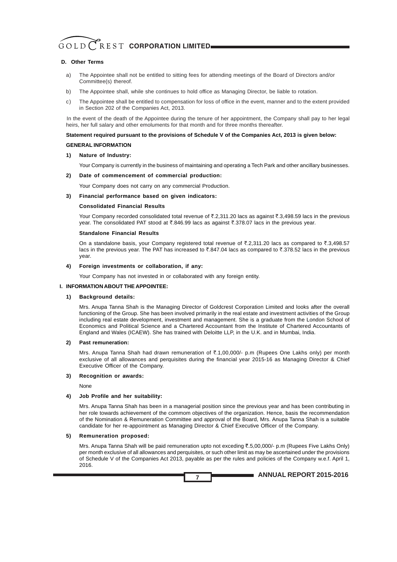#### **D. Other Terms**

- a) The Appointee shall not be entitled to sitting fees for attending meetings of the Board of Directors and/or Committee(s) thereof.
- b) The Appointee shall, while she continues to hold office as Managing Director, be liable to rotation.
- c) The Appointee shall be entitled to compensation for loss of office in the event, manner and to the extent provided in Section 202 of the Companies Act, 2013.

In the event of the death of the Appointee during the tenure of her appointment, the Company shall pay to her legal heirs, her full salary and other emoluments for that month and for three months thereafter.

#### **Statement required pursuant to the provisions of Schedule V of the Companies Act, 2013 is given below:**

#### **GENERAL INFORMATION**

#### **1) Nature of Industry:**

Your Company is currently in the business of maintaining and operating a Tech Park and other ancillary businesses.

#### **2) Date of commencement of commercial production:**

Your Company does not carry on any commercial Production.

#### **3) Financial performance based on given indicators:**

#### **Consolidated Financial Results**

Your Company recorded consolidated total revenue of  $\bar{\xi}$ ,2,311.20 lacs as against  $\bar{\xi}$ ,3,498.59 lacs in the previous year. The consolidated PAT stood at  $\bar{\tilde{\tau}}.846.99$  lacs as against  $\bar{\tilde{\tau}}.378.07$  lacs in the previous year.

#### **Standalone Financial Results**

On a standalone basis, your Company registered total revenue of  $\bar{\ell}$ .2,311.20 lacs as compared to  $\bar{\ell}$ .3,498.57 lacs in the previous year. The PAT has increased to ₹.847.04 lacs as compared to ₹.378.52 lacs in the previous year.

#### **4) Foreign investments or collaboration, if any:**

Your Company has not invested in or collaborated with any foreign entity.

#### **I. INFORMATION ABOUT THE APPOINTEE:**

#### **1) Background details:**

Mrs. Anupa Tanna Shah is the Managing Director of Goldcrest Corporation Limited and looks after the overall functioning of the Group. She has been involved primarily in the real estate and investment activities of the Group including real estate development, investment and management. She is a graduate from the London School of Economics and Political Science and a Chartered Accountant from the Institute of Chartered Accountants of England and Wales (ICAEW). She has trained with Deloitte LLP, in the U.K. and in Mumbai, India.

#### **2) Past remuneration:**

Mrs. Anupa Tanna Shah had drawn remuneration of ₹.1,00,000/- p.m (Rupees One Lakhs only) per month exclusive of all allowances and perquisites during the financial year 2015-16 as Managing Director & Chief Executive Officer of the Company.

#### **3) Recognition or awards:**

None

#### **4) Job Profile and her suitability:**

Mrs. Anupa Tanna Shah has been in a managerial position since the previous year and has been contributing in her role towards achievement of the commom objectives of the organization. Hence, basis the recommendation of the Nomination & Remuneration Committee and approval of the Board, Mrs. Anupa Tanna Shah is a suitable candidate for her re-appointment as Managing Director & Chief Executive Officer of the Company.

#### **5) Remuneration proposed:**

Mrs. Anupa Tanna Shah will be paid remuneration upto not exceding ₹.5,00,000/- p.m (Rupees Five Lakhs Only) per month exclusive of all allowances and perquisites, or such other limit as may be ascertained under the provisions of Schedule V of the Companies Act 2013, payable as per the rules and policies of the Company w.e.f. April 1, 2016.

**7**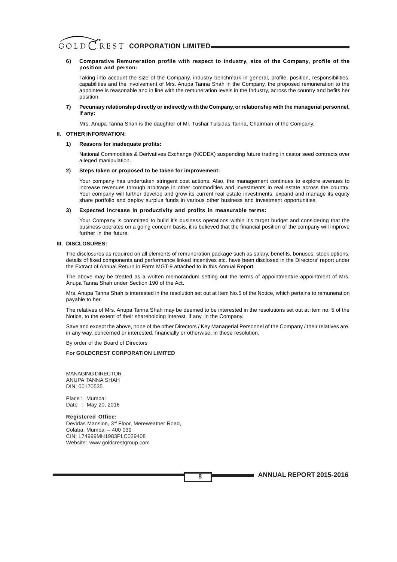#### **6) Comparative Remuneration profile with respect to industry, size of the Company, profile of the position and person:**

Taking into account the size of the Company, industry benchmark in general, profile, position, responsibilities, capabilities and the involvement of Mrs. Anupa Tanna Shah in the Company, the proposed remuneration to the appointee is reasonable and in line with the remuneration levels in the Industry, across the country and befits her position.

#### **7) Pecuniary relationship directly or indirectly with the Company, or relationship with the managerial personnel, if any:**

Mrs. Anupa Tanna Shah is the daughter of Mr. Tushar Tulsidas Tanna, Chairman of the Company.

#### **II. OTHER INFORMATION:**

#### **1) Reasons for inadequate profits:**

National Commodities & Derivatives Exchange (NCDEX) suspending future trading in castor seed contracts over alleged manipulation.

#### **2) Steps taken or proposed to be taken for improvement:**

Your company has undertaken stringent cost actions. Also, the management continues to explore avenues to increase revenues through arbitrage in other commodities and investments in real estate across the country. Your company will further develop and grow its current real estate investments, expand and manage its equity share portfolio and deploy surplus funds in various other business and investment opportunities.

#### **3) Expected increase in productivity and profits in measurable terms:**

Your Company is committed to build it's business operations within it's target budget and considering that the business operates on a going concern basis, it is believed that the financial position of the company will improve further in the future.

#### **III. DISCLOSURES:**

The disclosures as required on all elements of remuneration package such as salary, benefits, bonuses, stock options, details of fixed components and performance linked incentives etc. have been disclosed in the Directors' report under the Extract of Annual Return in Form MGT-9 attached to in this Annual Report.

The above may be treated as a written memorandum setting out the terms of appointment/re-appointment of Mrs. Anupa Tanna Shah under Section 190 of the Act.

Mrs. Anupa Tanna Shah is interested in the resolution set out at Item No.5 of the Notice, which pertains to remuneration payable to her.

The relatives of Mrs. Anupa Tanna Shah may be deemed to be interested in the resolutions set out at item no. 5 of the Notice, to the extent of their shareholding interest, if any, in the Company.

Save and except the above, none of the other Directors / Key Managerial Personnel of the Company / their relatives are, in any way, concerned or interested, financially or otherwise, in these resolution.

By order of the Board of Directors

#### **For GOLDCREST CORPORATION LIMITED**

MANAGING DIRECTOR ANUPA TANNA SHAH DIN: 00170535

Place : Mumbai Date : May 20, 2016

**Registered Office:** Devidas Mansion, 3rd Floor, Mereweather Road, Colaba, Mumbai – 400 039 CIN: L74999MH1983PLC029408 Website: www.goldcrestgroup.com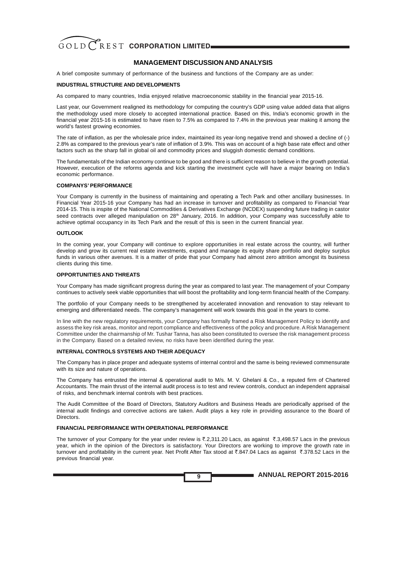#### **MANAGEMENT DISCUSSION AND ANALYSIS**

A brief composite summary of performance of the business and functions of the Company are as under:

#### **INDUSTRIAL STRUCTURE AND DEVELOPMENTS**

As compared to many countries, India enjoyed relative macroeconomic stability in the financial year 2015-16.

Last year, our Government realigned its methodology for computing the country's GDP using value added data that aligns the methodology used more closely to accepted international practice. Based on this, India's economic growth in the financial year 2015-16 is estimated to have risen to 7.5% as compared to 7.4% in the previous year making it among the world's fastest growing economies.

The rate of inflation, as per the wholesale price index, maintained its year-long negative trend and showed a decline of (-) 2.8% as compared to the previous year's rate of inflation of 3.9%. This was on account of a high base rate effect and other factors such as the sharp fall in global oil and commodity prices and sluggish domestic demand conditions.

The fundamentals of the Indian economy continue to be good and there is sufficient reason to believe in the growth potential. However, execution of the reforms agenda and kick starting the investment cycle will have a major bearing on India's economic performance.

#### **COMPANYS' PERFORMANCE**

Your Company is currently in the business of maintaining and operating a Tech Park and other ancillary businesses. In Financial Year 2015-16 your Company has had an increase in turnover and profitability as compared to Financial Year 2014-15. This is inspite of the National Commodities & Derivatives Exchange (NCDEX) suspending future trading in castor seed contracts over alleged manipulation on 28<sup>th</sup> January, 2016. In addition, your Company was successfully able to achieve optimal occupancy in its Tech Park and the result of this is seen in the current financial year.

#### **OUTLOOK**

In the coming year, your Company will continue to explore opportunities in real estate across the country, will further develop and grow its current real estate investments, expand and manage its equity share portfolio and deploy surplus funds in various other avenues. It is a matter of pride that your Company had almost zero attrition amongst its business clients during this time.

#### **OPPORTUNITIES AND THREATS**

Your Company has made significant progress during the year as compared to last year. The management of your Company continues to actively seek viable opportunities that will boost the profitability and long-term financial health of the Company.

The portfolio of your Company needs to be strengthened by accelerated innovation and renovation to stay relevant to emerging and differentiated needs. The company's management will work towards this goal in the years to come.

In line with the new regulatory requirements, your Company has formally framed a Risk Management Policy to identify and assess the key risk areas, monitor and report compliance and effectiveness of the policy and procedure. A Risk Management Committee under the chairmanship of Mr. Tushar Tanna, has also been constituted to oversee the risk management process in the Company. Based on a detailed review, no risks have been identified during the year.

#### **INTERNAL CONTROLS SYSTEMS AND THEIR ADEQUACY**

The Company has in place proper and adequate systems of internal control and the same is being reviewed commensurate with its size and nature of operations.

The Company has entrusted the internal & operational audit to M/s. M. V. Ghelani & Co., a reputed firm of Chartered Accountants. The main thrust of the internal audit process is to test and review controls, conduct an independent appraisal of risks, and benchmark internal controls with best practices.

The Audit Committee of the Board of Directors, Statutory Auditors and Business Heads are periodically apprised of the internal audit findings and corrective actions are taken. Audit plays a key role in providing assurance to the Board of **Directors** 

#### **FINANCIAL PERFORMANCE WITH OPERATIONAL PERFORMANCE**

The turnover of your Company for the year under review is  $\bar{\tau}$ .2,311.20 Lacs, as against  $\bar{\tau}$ .3,498.57 Lacs in the previous year, which in the opinion of the Directors is satisfactory. Your Directors are working to improve the growth rate in turnover and profitability in the current year. Net Profit After Tax stood at ₹.847.04 Lacs as against ₹.378.52 Lacs in the previous financial year.

**9**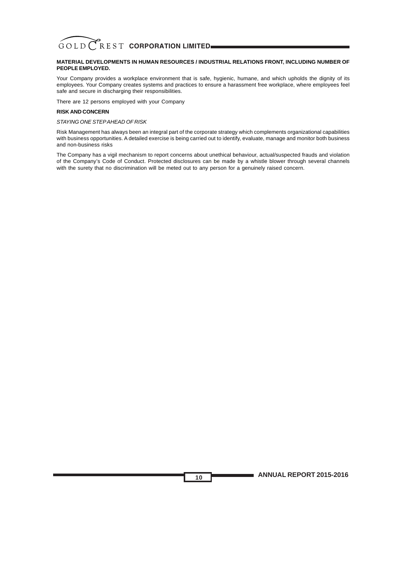#### **MATERIAL DEVELOPMENTS IN HUMAN RESOURCES / INDUSTRIAL RELATIONS FRONT, INCLUDING NUMBER OF PEOPLE EMPLOYED.**

Your Company provides a workplace environment that is safe, hygienic, humane, and which upholds the dignity of its employees. Your Company creates systems and practices to ensure a harassment free workplace, where employees feel safe and secure in discharging their responsibilities.

There are 12 persons employed with your Company

#### **RISK AND CONCERN**

#### *STAYING ONE STEP AHEAD OF RISK*

Risk Management has always been an integral part of the corporate strategy which complements organizational capabilities with business opportunities. A detailed exercise is being carried out to identify, evaluate, manage and monitor both business and non-business risks

The Company has a vigil mechanism to report concerns about unethical behaviour, actual/suspected frauds and violation of the Company's Code of Conduct. Protected disclosures can be made by a whistle blower through several channels with the surety that no discrimination will be meted out to any person for a genuinely raised concern.

**10**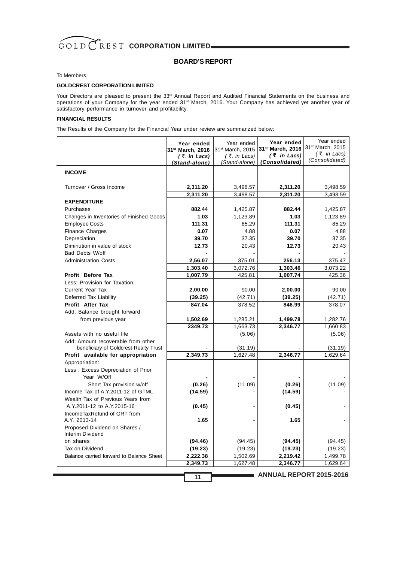

#### **BOARD'S REPORT**

#### To Members,

#### **GOLDCREST CORPORATION LIMITED**

Your Directors are pleased to present the 33<sup>rd</sup> Annual Report and Audited Financial Statements on the business and operations of your Company for the year ended 31<sup>st</sup> March, 2016. Your Company has achieved yet another year of satisfactory performance in turnover and profitability.

#### **FINANCIAL RESULTS**

The Results of the Company for the Financial Year under review are summarized below:

|                                                       | Year ended       | Year ended                   | Year ended                     | Year ended                     |
|-------------------------------------------------------|------------------|------------------------------|--------------------------------|--------------------------------|
|                                                       | 31st March, 2016 | 31 <sup>st</sup> March, 2015 | 31 <sup>st</sup> March, 2016   | 31st March, 2015               |
|                                                       | (₹. in Lacs)     | $(3\overline{5})$ . in Lacs) | $(3\overline{5})$ . in Lacs)   | (₹. in Lacs)<br>(Consolidated) |
|                                                       | (Stand-alone)    | (Stand-alone)                | (Consolidated)                 |                                |
| <b>INCOME</b>                                         |                  |                              |                                |                                |
| Turnover / Gross Income                               | 2,311.20         | 3,498.57                     | 2,311.20                       | 3,498.59                       |
|                                                       | 2,311.20         | 3,498.57                     | 2,311.20                       | 3,498.59                       |
| <b>EXPENDITURE</b>                                    |                  |                              |                                |                                |
| Purchases<br>Changes in Inventories of Finished Goods | 882.44<br>1.03   | 1,425.87<br>1,123.89         | 882.44<br>1.03                 | 1,425.87<br>1,123.89           |
| <b>Employee Costs</b>                                 | 111.31           | 85.29                        | 111.31                         | 85.29                          |
| <b>Finance Charges</b>                                | 0.07             | 4.88                         | 0.07                           | 4.88                           |
| Depreciation                                          | 39.70            | 37.35                        | 39.70                          | 37.35                          |
| Diminution in value of stock                          | 12.73            | 20.43                        | 12.73                          | 20.43                          |
| Bad Debts W/off                                       |                  |                              |                                |                                |
| <b>Administration Costs</b>                           | 2,56.07          | 375.01                       | 256.13                         | 375.47                         |
|                                                       | 1,303.40         | 3,072.76                     | 1,303.46                       | 3,073.22                       |
| Profit Before Tax                                     | 1,007.79         | 425.81                       | 1,007.74                       | 425.36                         |
| Less: Provision for Taxation                          |                  |                              |                                |                                |
| Current Year Tax                                      | 2,00.00          | 90.00                        | 2,00.00                        | 90.00                          |
| Deferred Tax Liability                                | (39.25)          | (42.71)                      | (39.25)                        | (42.71)                        |
| Profit After Tax                                      | 847.04           | 378.52                       | 846.99                         | 378.07                         |
| Add: Balance brought forward                          |                  |                              |                                |                                |
| from previous year                                    | 1,502.69         | 1,285.21                     | 1,499.78                       | 1,282.76                       |
|                                                       | 2349.73          | 1,663.73                     | 2,346.77                       | 1,660.83                       |
| Assets with no useful life                            |                  | (5.06)                       |                                | (5.06)                         |
| Add: Amount recoverable from other                    |                  |                              |                                |                                |
| beneficiary of Goldcrest Realty Trust                 |                  | (31.19)                      |                                | (31.19)                        |
| Profit available for appropriation                    | 2,349.73         | 1,627.48                     | 2,346.77                       | 1,629.64                       |
| Appropriation:                                        |                  |                              |                                |                                |
| Less: Excess Depreciation of Prior                    |                  |                              |                                |                                |
| Year W/Off                                            |                  |                              |                                |                                |
| Short Tax provision w/off                             | (0.26)           | (11.09)                      | (0.26)                         | (11.09)                        |
| Income Tax of A.Y.2011-12 of GTML                     | (14.59)          |                              | (14.59)                        |                                |
| Wealth Tax of Previous Years from                     |                  |                              |                                |                                |
| A.Y.2011-12 to A.Y.2015-16                            | (0.45)           |                              | (0.45)                         |                                |
| IncomeTaxRefund of GRT from<br>A.Y. 2013-14           | 1.65             |                              | 1.65                           |                                |
| Proposed Dividend on Shares /                         |                  |                              |                                |                                |
| Interim Dividend                                      |                  |                              |                                |                                |
| on shares                                             | (94.46)          | (94.45)                      | (94.45)                        | (94.45)                        |
| Tax on Dividend                                       | (19.23)          | (19.23)                      | (19.23)                        | (19.23)                        |
| Balance carried forward to Balance Sheet              | 2,222.38         | 1,502.69                     | 2,219.42                       | 1,499.78                       |
|                                                       | 2,349.73         | 1,627.48                     | 2,346.77                       | 1,629.64                       |
|                                                       | 11               |                              | <b>ANNUAL REPORT 2015-2016</b> |                                |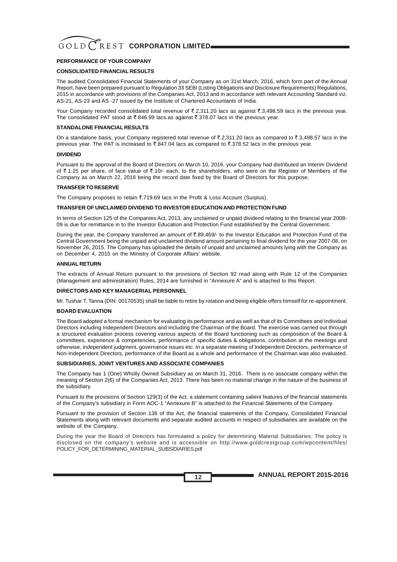#### **PERFORMANCE OF YOUR COMPANY**

#### **CONSOLIDATED FINANCIAL RESULTS**

The audited Consolidated Financial Statements of your Company as on 31st March, 2016, which form part of the Annual Report, have been prepared pursuant to Regulation 33 SEBI (Listing Obligations and Disclosure Requirements) Regulations, 2015 in accordance with provisions of the Companies Act, 2013 and in accordance with relevant Accounting Standard viz. AS-21, AS-23 and AS -27 issued by the Institute of Chartered Accountants of India.

Your Company recorded consolidated total revenue of ₹.2,311.20 lacs as against ₹.3,498.59 lacs in the previous year. The consolidated PAT stood at ₹.846.99 lacs.as against ₹.378.07 lacs in the previous year.

#### **STANDALONE FINANCIAL RESULTS**

On a standalone basis, your Company registered total revenue of ₹.2,311.20 lacs as compared to ₹.3,498.57 lacs in the previous year. The PAT is increased to  $\overline{\text{C}}$ .847.04 lacs as compared to  $\overline{\text{C}}$ .378.52 lacs in the previous year.

#### **DIVIDEND**

Pursuant to the approval of the Board of Directors on March 10, 2016, your Company had distributed an Interim Dividend of  $\bar{\mathfrak{c}}$ .1.25 per share, of face value of  $\bar{\mathfrak{c}}$ .10/- each, to the shareholders, who were on the Register of Members of the Company as on March 22, 2016 being the record date fixed by the Board of Directors for this purpose.

#### **TRANSFER TO RESERVE**

The Company proposes to retain  $\overline{c}$ .719.69 lacs in the Profit & Loss Account (Surplus).

#### **TRANSFER OF UNCLAIMED DIVIDEND TO INVESTOR EDUCATION AND PROTECTION FUND**

In terms of Section 125 of the Companies Act, 2013, any unclaimed or unpaid dividend relating to the financial year 2008- 09 is due for remittance in to the Investor Education and Protection Fund established by the Central Government.

During the year, the Company transferred an amount of ₹.89,469/- to the Investor Education and Protection Fund of the Central Government being the unpaid and unclaimed dividend amount pertaining to final dividend for the year 2007-08, on November 26, 2015. The Company has uploaded the details of unpaid and unclaimed amounts lying with the Company as on December 4, 2015 on the Ministry of Corporate Affairs' website.

#### **ANNUAL RETURN**

The extracts of Annual Return pursuant to the provisions of Section 92 read along with Rule 12 of the Companies (Management and administration) Rules, 2014 are furnished in "Annexure A" and is attached to this Report.

#### **DIRECTORS AND KEY MANAGERIAL PERSONNEL**

Mr. Tushar T. Tanna (DIN: 00170535) shall be liable to retire by rotation and being eligible offers himself for re-appointment.

#### **BOARD EVALUATION**

The Board adopted a formal mechanism for evaluating its performance and as well as that of its Committees and Individual Directors including Independent Directors and including the Chairman of the Board. The exercise was carried out through a structured evaluation process covering various aspects of the Board functioning such as composition of the Board & committees, experience & competencies, performance of specific duties & obligations, contribution at the meetings and otherwise, independent judgment, governance issues etc. In a separate meeting of Independent Directors, performance of Non-Independent Directors, performance of the Board as a whole and performance of the Chairman was also evaluated.

#### **SUBSIDIARIES, JOINT VENTURES AND ASSOCIATE COMPANIES**

The Company has 1 (One) Wholly Owned Subsidiary as on March 31, 2016. There is no associate company within the meaning of Section 2(6) of the Companies Act, 2013. There has been no material change in the nature of the business of the subsidiary.

Pursuant to the provisions of Section 129(3) of the Act, a statement containing salient features of the financial statements of the Company's subsidiary in Form AOC-1 "Annexure B" is attached to the Financial Statements of the Company.

Pursuant to the provision of Section 136 of the Act, the financial statements of the Company, Consolidated Financial Statements along with relevant documents and separate audited accounts in respect of subsidiaries are available on the website of the Company.

During the year the Board of Directors has formulated a policy for determining Material Subsidiaries. The policy is disclosed on the company's website and is accessible on http://www.goldcrestgroup.com/wpcontent/files/ POLICY\_FOR\_DETERMINING\_MATERIAL\_SUBSIDIARIES.pdf

**ANNUAL REPORT 2015-2016**

**12**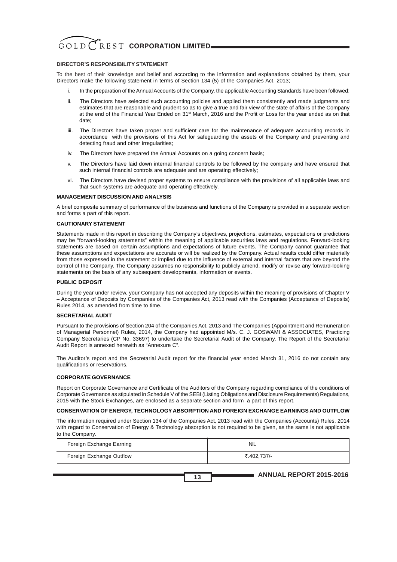#### **DIRECTOR'S RESPONSIBILITY STATEMENT**

To the best of their knowledge and belief and according to the information and explanations obtained by them, your Directors make the following statement in terms of Section 134 (5) of the Companies Act, 2013;

- i. In the preparation of the Annual Accounts of the Company, the applicable Accounting Standards have been followed;
- ii. The Directors have selected such accounting policies and applied them consistently and made judgments and estimates that are reasonable and prudent so as to give a true and fair view of the state of affairs of the Company at the end of the Financial Year Ended on 31<sup>st</sup> March, 2016 and the Profit or Loss for the year ended as on that date;
- iii. The Directors have taken proper and sufficient care for the maintenance of adequate accounting records in accordance with the provisions of this Act for safeguarding the assets of the Company and preventing and detecting fraud and other irregularities;
- iv. The Directors have prepared the Annual Accounts on a going concern basis;
- v. The Directors have laid down internal financial controls to be followed by the company and have ensured that such internal financial controls are adequate and are operating effectively;
- vi. The Directors have devised proper systems to ensure compliance with the provisions of all applicable laws and that such systems are adequate and operating effectively.

#### **MANAGEMENT DISCUSSION AND ANALYSIS**

A brief composite summary of performance of the business and functions of the Company is provided in a separate section and forms a part of this report.

#### **CAUTIONARY STATEMENT**

Statements made in this report in describing the Company's objectives, projections, estimates, expectations or predictions may be "forward-looking statements" within the meaning of applicable securities laws and regulations. Forward-looking statements are based on certain assumptions and expectations of future events. The Company cannot guarantee that these assumptions and expectations are accurate or will be realized by the Company. Actual results could differ materially from those expressed in the statement or implied due to the influence of external and internal factors that are beyond the control of the Company. The Company assumes no responsibility to publicly amend, modify or revise any forward-looking statements on the basis of any subsequent developments, information or events.

#### **PUBLIC DEPOSIT**

During the year under review, your Company has not accepted any deposits within the meaning of provisions of Chapter V – Acceptance of Deposits by Companies of the Companies Act, 2013 read with the Companies (Acceptance of Deposits) Rules 2014, as amended from time to time.

#### **SECRETARIAL AUDIT**

Pursuant to the provisions of Section 204 of the Companies Act, 2013 and The Companies (Appointment and Remuneration of Managerial Personnel) Rules, 2014, the Company had appointed M/s. C. J. GOSWAMI & ASSOCIATES, Practicing Company Secretaries (CP No. 33697) to undertake the Secretarial Audit of the Company. The Report of the Secretarial Audit Report is annexed herewith as "Annexure C".

The Auditor's report and the Secretarial Audit report for the financial year ended March 31, 2016 do not contain any qualifications or reservations.

#### **CORPORATE GOVERNANCE**

Report on Corporate Governance and Certificate of the Auditors of the Company regarding compliance of the conditions of Corporate Governance as stipulated in Schedule V of the SEBI (Listing Obligations and Disclosure Requirements) Regulations, 2015 with the Stock Exchanges, are enclosed as a separate section and form a part of this report.

#### **CONSERVATION OF ENERGY, TECHNOLOGY ABSORPTION AND FOREIGN EXCHANGE EARNINGS AND OUTFLOW**

The information required under Section 134 of the Companies Act, 2013 read with the Companies (Accounts) Rules, 2014 with regard to Conservation of Energy & Technology absorption is not required to be given, as the same is not applicable to the Company.

| Foreign Exchange Earning | <b>NIL</b>  |
|--------------------------|-------------|
| Foreign Exchange Outflow | ₹.402.737/- |

**13**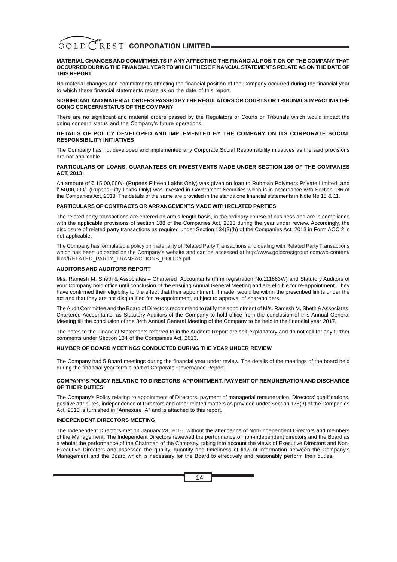#### **MATERIAL CHANGES AND COMMITMENTS IF ANY AFFECTING THE FINANCIAL POSITION OF THE COMPANY THAT OCCURRED DURING THE FINANCIALYEAR TO WHICH THESE FINANCIAL STATEMENTS RELATE AS ON THE DATE OF THIS REPORT**

No material changes and commitments affecting the financial position of the Company occurred during the financial year to which these financial statements relate as on the date of this report.

#### **SIGNIFICANT AND MATERIAL ORDERS PASSED BY THE REGULATORS OR COURTS OR TRIBUNALS IMPACTING THE GOING CONCERN STATUS OF THE COMPANY**

There are no significant and material orders passed by the Regulators or Courts or Tribunals which would impact the going concern status and the Company's future operations.

#### **DETAILS OF POLICY DEVELOPED AND IMPLEMENTED BY THE COMPANY ON ITS CORPORATE SOCIAL RESPONSIBILITY INITIATIVES**

The Company has not developed and implemented any Corporate Social Responsibility initiatives as the said provisions are not applicable.

#### **PARTICULARS OF LOANS, GUARANTEES OR INVESTMENTS MADE UNDER SECTION 186 OF THE COMPANIES ACT, 2013**

An amount of ₹.15,00,000/- (Rupees Fifteen Lakhs Only) was given on loan to Rubman Polymers Private Limited, and `.50,00,000/- (Rupees Fifty Lakhs Only) was invested in Government Securities which is in accordance with Section 186 of the Companies Act, 2013. The details of the same are provided in the standalone financial statements in Note No.18 & 11.

#### **PARTICULARS OF CONTRACTS OR ARRANGEMENTS MADE WITH RELATED PARTIES**

The related party transactions are entered on arm's length basis, in the ordinary course of business and are in compliance with the applicable provisions of section 188 of the Companies Act, 2013 during the year under review. Accordingly, the disclosure of related party transactions as required under Section 134(3)(h) of the Companies Act, 2013 in Form AOC 2 is not applicable.

The Company has formulated a policy on materiality of Related Party Transactions and dealing with Related Party Transactions which has been uploaded on the Company's website and can be accessed at http://www.goldcrestgroup.com/wp-content/ files/RELATED\_PARTY\_TRANSACTIONS\_POLICY.pdf.

#### **AUDITORS AND AUDITORS REPORT**

M/s. Ramesh M. Sheth & Associates – Chartered Accountants (Firm registration No.111883W) and Statutory Auditors of your Company hold office until conclusion of the ensuing Annual General Meeting and are eligible for re-appointment. They have confirmed their eligibility to the effect that their appointment, if made, would be within the prescribed limits under the act and that they are not disqualified for re-appointment, subject to approval of shareholders.

The Audit Committee and the Board of Directors recommend to ratify the appointment of M/s. Ramesh M. Sheth & Associates, Chartered Accountants, as Statutory Auditors of the Company to hold office from the conclusion of this Annual General Meeting till the conclusion of the 34th Annual General Meeting of the Company to be held in the financial year 2017.

The notes to the Financial Statements referred to in the Auditors Report are self-explanatory and do not call for any further comments under Section 134 of the Companies Act, 2013.

#### **NUMBER OF BOARD MEETINGS CONDUCTED DURING THE YEAR UNDER REVIEW**

The Company had 5 Board meetings during the financial year under review. The details of the meetings of the board held during the financial year form a part of Corporate Governance Report.

#### **COMPANY'S POLICY RELATING TO DIRECTORS'APPOINTMENT, PAYMENT OF REMUNERATION AND DISCHARGE OF THEIR DUTIES**

The Company's Policy relating to appointment of Directors, payment of managerial remuneration, Directors' qualifications, positive attributes, independence of Directors and other related matters as provided under Section 178(3) of the Companies Act, 2013 is furnished in "Annexure A" and is attached to this report.

#### **INDEPENDENT DIRECTORS MEETING**

The Independent Directors met on January 28, 2016, without the attendance of Non-Independent Directors and members of the Management. The Independent Directors reviewed the performance of non-independent directors and the Board as a whole; the performance of the Chairman of the Company, taking into account the views of Executive Directors and Non-Executive Directors and assessed the quality, quantity and timeliness of flow of information between the Company's Management and the Board which is necessary for the Board to effectively and reasonably perform their duties.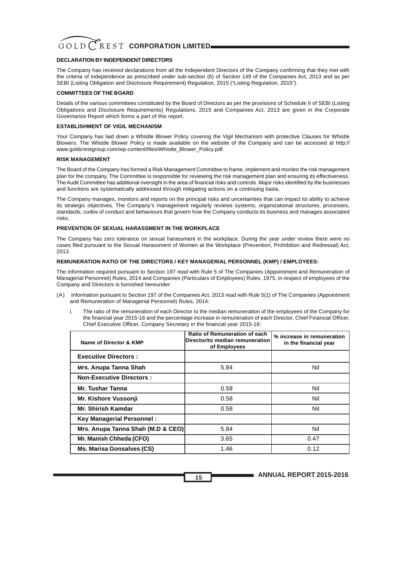#### **DECLARATION BY INDEPENDENT DIRECTORS**

The Company has received declarations from all the Independent Directors of the Company confirming that they met with the criteria of independence as prescribed under sub-section (6) of Section 149 of the Companies Act, 2013 and as per SEBI (Listing Obligation and Disclosure Requirement) Regulation, 2015 ("Listing Regulation, 2015").

#### **COMMITTEES OF THE BOARD**

Details of the various committees constituted by the Board of Directors as per the provisions of Schedule II of SEBI (Listing Obligations and Disclosure Requirements) Regulations, 2015 and Companies Act, 2013 are given in the Corporate Governance Report which forms a part of this report.

#### **ESTABLISHMENT OF VIGIL MECHANISM**

Your Company has laid down a Whistle Blower Policy covering the Vigil Mechanism with protective Clauses for Whistle Blowers. The Whistle Blower Policy is made available on the website of the Company and can be accessed at http:// www.goldcrestgroup.com/wp-content/files/Whistle\_Blower\_Policy.pdf.

#### **RISK MANAGEMENT**

The Board of the Company has formed a Risk Management Committee to frame, implement and monitor the risk management plan for the company. The Committee is responsible for reviewing the risk management plan and ensuring its effectiveness. The Audit Committee has additional oversight in the area of financial risks and controls. Major risks identified by the businesses and functions are systematically addressed through mitigating actions on a continuing basis.

The Company manages, monitors and reports on the principal risks and uncertainties that can impact its ability to achieve its strategic objectives. The Company's management regularly reviews systems, organizational structures, processes, standards, codes of conduct and behaviours that govern how the Company conducts its business and manages associated risks.

#### **PREVENTION OF SEXUAL HARASSMENT IN THE WORKPLACE**

The Company has zero tolerance on sexual harassment in the workplace. During the year under review there were no cases filed pursuant to the Sexual Harassment of Women at the Workplace (Prevention, Prohibition and Redressal) Act, 2013.

#### **REMUNERATION RATIO OF THE DIRECTORS / KEY MANAGERIAL PERSONNEL (KMP) / EMPLOYEES:**

The information required pursuant to Section 197 read with Rule 5 of The Companies (Appointment and Remuneration of Managerial Personnel) Rules, 2014 and Companies (Particulars of Employees) Rules, 1975, in respect of employees of the Company and Directors is furnished hereunder:

- (A) Information pursuant to Section 197 of the Companies Act, 2013 read with Rule 5(1) of The Companies (Appointment and Remuneration of Managerial Personnel) Rules, 2014:
	- i. The ratio of the remuneration of each Director to the median remuneration of the employees of the Company for the financial year 2015-16 and the percentage increase in remuneration of each Director, Chief Financial Officer, Chief Executive Officer, Company Secretary in the financial year 2015-16:

| Name of Director & KMP            | Ratio of Remuneration of each<br>Director/to median remuneration<br>of Employees | % increase in remuneration<br>in the financial year |
|-----------------------------------|----------------------------------------------------------------------------------|-----------------------------------------------------|
| <b>Executive Directors:</b>       |                                                                                  |                                                     |
| Mrs. Anupa Tanna Shah             | 5.84                                                                             | Nil                                                 |
| <b>Non-Executive Directors:</b>   |                                                                                  |                                                     |
| Mr. Tushar Tanna                  | 0.58                                                                             | Nil                                                 |
| Mr. Kishore Vussonji              | 0.58                                                                             | Nil                                                 |
| <b>Mr. Shirish Kamdar</b>         | 0.58                                                                             | Nil                                                 |
| <b>Key Managerial Personnel:</b>  |                                                                                  |                                                     |
| Mrs. Anupa Tanna Shah (M.D & CEO) | 5.84                                                                             | Nil                                                 |
| Mr. Manish Chheda (CFO)           | 3.65                                                                             | 0.47                                                |
| Ms. Marisa Gonsalves (CS)         | 1.46                                                                             | 0.12                                                |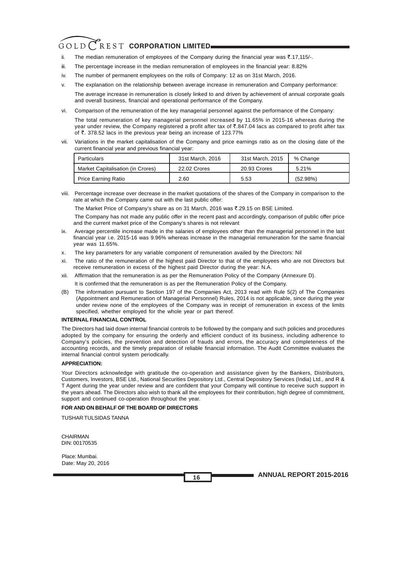- ii. The median remuneration of employees of the Company during the financial year was  $\overline{5.17,115/}$ .
- iii. The percentage increase in the median remuneration of employees in the financial year: 8.82%
- iv. The number of permanent employees on the rolls of Company: 12 as on 31st March, 2016.
- v. The explanation on the relationship between average increase in remuneration and Company performance:

The average increase in remuneration is closely linked to and driven by achievement of annual corporate goals and overall business, financial and operational performance of the Company.

- vi. Comparison of the remuneration of the key managerial personnel against the performance of the Company: The total remuneration of key managerial personnel increased by 11.65% in 2015-16 whereas during the year under review, the Company registered a profit after tax of  $\bar{z}$ .847.04 lacs as compared to profit after tax of  $\bar{\tau}$ . 378.52 lacs in the previous year being an increase of 123.77%
- vii. Variations in the market capitalisation of the Company and price earnings ratio as on the closing date of the current financial year and previous financial year:

| Particulars                       | 31st March, 2016 | 31st March, 2015 | % Change |
|-----------------------------------|------------------|------------------|----------|
| Market Capitalisation (in Crores) | 22.02 Crores     | 20.93 Crores     | 5.21%    |
| Price Earning Ratio               | 2.60             | 5.53             | (52.98%) |

viii. Percentage increase over decrease in the market quotations of the shares of the Company in comparison to the rate at which the Company came out with the last public offer:

The Market Price of Company's share as on 31 March, 2016 was  $\overline{\text{t}}$ .29.15 on BSE Limited.

The Company has not made any public offer in the recent past and accordingly, comparison of public offer price and the current market price of the Company's shares is not relevant

- ix. Average percentile increase made in the salaries of employees other than the managerial personnel in the last financial year i.e. 2015-16 was 9.96% whereas increase in the managerial remuneration for the same financial year was 11.65%.
- x. The key parameters for any variable component of remuneration availed by the Directors: Nil
- xi. The ratio of the remuneration of the highest paid Director to that of the employees who are not Directors but receive remuneration in excess of the highest paid Director during the year: N.A.
- xii. Affirmation that the remuneration is as per the Remuneration Policy of the Company (Annexure D).

It is confirmed that the remuneration is as per the Remuneration Policy of the Company.

(B) The information pursuant to Section 197 of the Companies Act, 2013 read with Rule 5(2) of The Companies (Appointment and Remuneration of Managerial Personnel) Rules, 2014 is not applicable, since during the year under review none of the employees of the Company was in receipt of remuneration in excess of the limits specified, whether employed for the whole year or part thereof.

#### **INTERNAL FINANCIAL CONTROL**

The Directors had laid down internal financial controls to be followed by the company and such policies and procedures adopted by the company for ensuring the orderly and efficient conduct of its business, including adherence to Company's policies, the prevention and detection of frauds and errors, the accuracy and completeness of the accounting records, and the timely preparation of reliable financial information. The Audit Committee evaluates the internal financial control system periodically.

#### **APPRECIATION:**

Your Directors acknowledge with gratitude the co-operation and assistance given by the Bankers, Distributors, Customers, Investors, BSE Ltd., National Securities Depository Ltd., Central Depository Services (India) Ltd., and R & T Agent during the year under review and are confident that your Company will continue to receive such support in the years ahead. The Directors also wish to thank all the employees for their contribution, high degree of commitment, support and continued co-operation throughout the year.

#### **FOR AND ON BEHALF OF THE BOARD OF DIRECTORS**

TUSHAR TULSIDAS TANNA

CHAIRMAN DIN: 00170535

Place: Mumbai. Date: May 20, 2016

**16**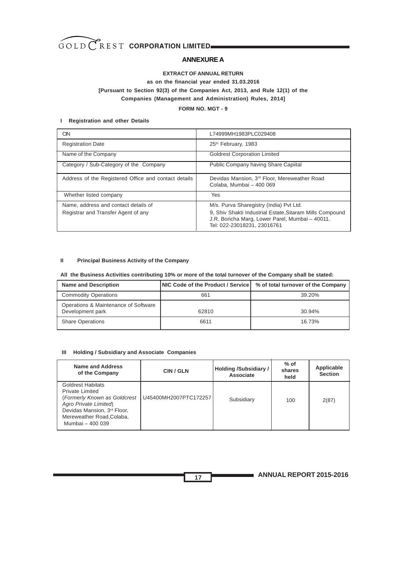

#### **ANNEXURE A**

#### **EXTRACT OF ANNUAL RETURN**

#### **as on the financial year ended 31.03.2016 [Pursuant to Section 92(3) of the Companies Act, 2013, and Rule 12(1) of the Companies (Management and Administration) Rules, 2014]**

#### **FORM NO. MGT - 9**

#### **. I Registration and other Details**

| CIN                                                                         | L74999MH1983PLC029408                                                                                                                                                                 |
|-----------------------------------------------------------------------------|---------------------------------------------------------------------------------------------------------------------------------------------------------------------------------------|
| <b>Registration Date</b>                                                    | 25th February, 1983                                                                                                                                                                   |
| Name of the Company                                                         | <b>Goldrest Corporation Limited</b>                                                                                                                                                   |
| Category / Sub-Category of the Company                                      | Public Company having Share Capiital                                                                                                                                                  |
| Address of the Registered Office and contact details                        | Devidas Mansion, 3 <sup>rd</sup> Floor, Mereweather Road<br>Colaba, Mumbai - 400 069                                                                                                  |
| Whether listed company                                                      | Yes                                                                                                                                                                                   |
| Name, address and contact details of<br>Registrar and Transfer Agent of any | M/s. Purva Sharegistry (India) Pvt Ltd.<br>9, Shiv Shakti Industrial Estate, Sitaram Mills Compound<br>J.R. Boricha Marg, Lower Parel, Mumbai - 40011.<br>Tel: 022-23018231, 23016761 |

#### **II Principal Business Activity of the Company**

#### **All the Business Activities contributing 10% or more of the total turnover of the Company shall be stated:**

| <b>Name and Description</b>                              | NIC Code of the Product / Service | % of total turnover of the Company |
|----------------------------------------------------------|-----------------------------------|------------------------------------|
| <b>Commodity Operations</b>                              | 661                               | 39.20%                             |
| Operations & Maintenance of Software<br>Development park | 62810                             | 30.94%                             |
| <b>Share Operations</b>                                  | 6611                              | 16.73%                             |
|                                                          |                                   |                                    |

#### **III Holding / Subsidiary and Associate Companies**

| Name and Address<br>of the Company                                                                                                                                                          | CIN / GLN             | Holding /Subsidiary /<br>Associate | $%$ of<br>shares<br>held | Applicable<br><b>Section</b> |
|---------------------------------------------------------------------------------------------------------------------------------------------------------------------------------------------|-----------------------|------------------------------------|--------------------------|------------------------------|
| <b>Goldrest Habitats</b><br><b>Private Limited</b><br>(Formerly Known as Goldcrest<br>Agro Private Limited)<br>Devidas Mansion, 3rd Floor,<br>Mereweather Road, Colaba,<br>Mumbai - 400 039 | U45400MH2007PTC172257 | Subsidiary                         | 100                      | 2(87)                        |

**ANNUAL REPORT 2015-2016**

**17**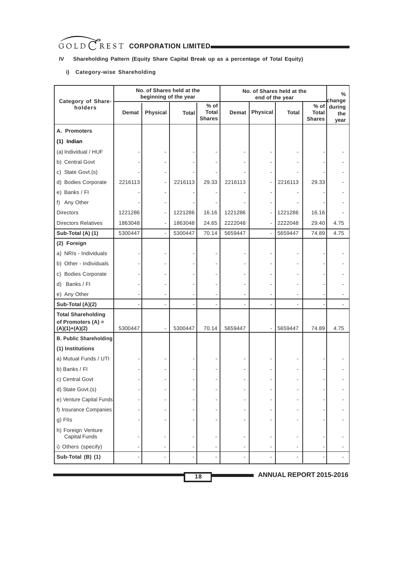### **IV Shareholding Pattern (Equity Share Capital Break up as a percentage of Total Equity)**

#### **i) Category-wise Shareholding**

| Category of Share-                                                   |              | No. of Shares held at the<br>beginning of the year |              |                                         |                          | end of the year | No. of Shares held at the |                                  | $\%$<br>change        |
|----------------------------------------------------------------------|--------------|----------------------------------------------------|--------------|-----------------------------------------|--------------------------|-----------------|---------------------------|----------------------------------|-----------------------|
| holders                                                              | <b>Demat</b> | <b>Physical</b>                                    | <b>Total</b> | $%$ of<br><b>Total</b><br><b>Shares</b> | <b>Demat</b>             | Physical        | <b>Total</b>              | $%$ of<br>Total<br><b>Shares</b> | during<br>the<br>year |
| A. Promoters                                                         |              |                                                    |              |                                         |                          |                 |                           |                                  |                       |
| $(1)$ Indian                                                         |              |                                                    |              |                                         |                          |                 |                           |                                  |                       |
| (a) Individual / HUF                                                 |              |                                                    |              |                                         |                          |                 |                           |                                  |                       |
| b) Central Govt                                                      |              |                                                    |              |                                         |                          |                 |                           |                                  |                       |
| c) State Govt.(s)                                                    |              |                                                    |              |                                         |                          |                 |                           |                                  |                       |
| d) Bodies Corporate                                                  | 2216113      |                                                    | 2216113      | 29.33                                   | 2216113                  |                 | 2216113                   | 29.33                            |                       |
| e) Banks / FI                                                        |              |                                                    |              |                                         |                          |                 |                           |                                  |                       |
| f) Any Other                                                         |              |                                                    |              |                                         |                          |                 |                           |                                  |                       |
| <b>Directors</b>                                                     | 1221286      | $\overline{\phantom{a}}$                           | 1221286      | 16.16                                   | 1221286                  |                 | 1221286                   | 16.16                            |                       |
| <b>Directors Relatives</b>                                           | 1863048      |                                                    | 1863048      | 24.65                                   | 2222048                  |                 | 2222048                   | 29.40                            | 4.75                  |
| Sub-Total (A) (1)                                                    | 5300447      | $\blacksquare$                                     | 5300447      | 70.14                                   | 5659447                  |                 | 5659447                   | 74.89                            | 4.75                  |
| (2) Foreign                                                          |              |                                                    |              |                                         |                          |                 |                           |                                  |                       |
| a) NRIs - Individuals                                                |              |                                                    |              |                                         |                          |                 |                           |                                  |                       |
| b) Other - Individuals                                               |              |                                                    |              |                                         |                          |                 |                           |                                  |                       |
| c) Bodies Corporate                                                  |              |                                                    |              |                                         |                          |                 |                           |                                  |                       |
| Banks / Fl<br>d)                                                     |              |                                                    |              |                                         |                          |                 |                           |                                  |                       |
| e) Any Other                                                         |              |                                                    |              |                                         |                          |                 |                           |                                  |                       |
| Sub-Total (A)(2)                                                     |              |                                                    |              |                                         |                          |                 |                           |                                  |                       |
| <b>Total Shareholding</b><br>of Promoters $(A)$ =<br>$(A)(1)+(A)(2)$ | 5300447      |                                                    | 5300447      | 70.14                                   | 5659447                  |                 | 5659447                   | 74.89                            | 4.75                  |
| <b>B. Public Shareholding</b>                                        |              |                                                    |              |                                         |                          |                 |                           |                                  |                       |
| (1) Institutions                                                     |              |                                                    |              |                                         |                          |                 |                           |                                  |                       |
| a) Mutual Funds / UTI                                                |              |                                                    |              |                                         |                          |                 |                           |                                  |                       |
| b) Banks / FI                                                        |              |                                                    |              |                                         |                          |                 |                           |                                  |                       |
| c) Central Govt                                                      |              |                                                    |              |                                         |                          |                 |                           |                                  |                       |
| d) State Govt.(s)                                                    |              |                                                    |              |                                         | $\overline{\phantom{0}}$ |                 |                           |                                  |                       |
| e) Venture Capital Funds                                             |              |                                                    |              |                                         | ÷,                       |                 |                           |                                  |                       |
| f) Insurance Companies                                               |              |                                                    |              |                                         |                          |                 |                           |                                  |                       |
| g) Flls                                                              |              |                                                    |              |                                         | ٠                        |                 |                           |                                  |                       |
| h) Foreign Venture<br><b>Capital Funds</b>                           |              |                                                    |              |                                         | ٠                        |                 |                           |                                  |                       |
| i) Others (specify)                                                  |              | $\overline{\phantom{a}}$                           |              |                                         | $\overline{\phantom{a}}$ |                 |                           |                                  |                       |
| Sub-Total (B) (1)                                                    |              |                                                    |              |                                         | ÷.                       |                 |                           |                                  |                       |

**18**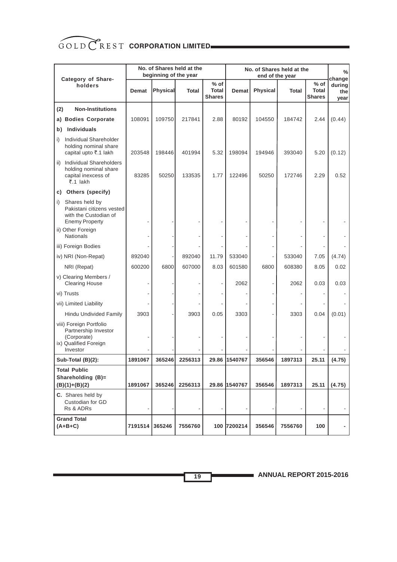|                                                                                                                                              |              | beginning of the year | No. of Shares held at the |                                         |               |          | No. of Shares held at the<br>end of the year |                                  | %<br>change           |
|----------------------------------------------------------------------------------------------------------------------------------------------|--------------|-----------------------|---------------------------|-----------------------------------------|---------------|----------|----------------------------------------------|----------------------------------|-----------------------|
| Category of Share-<br>holders                                                                                                                | <b>Demat</b> | <b>Physical</b>       | <b>Total</b>              | $%$ of<br><b>Total</b><br><b>Shares</b> | <b>Demat</b>  | Physical | <b>Total</b>                                 | $%$ of<br>Total<br><b>Shares</b> | during<br>the<br>year |
| <b>Non-Institutions</b><br>(2)                                                                                                               |              |                       |                           |                                         |               |          |                                              |                                  |                       |
| <b>Bodies Corporate</b><br>a)                                                                                                                | 108091       | 109750                | 217841                    | 2.88                                    | 80192         | 104550   | 184742                                       | 2.44                             | (0.44)                |
| <b>Individuals</b><br>b)                                                                                                                     |              |                       |                           |                                         |               |          |                                              |                                  |                       |
| Individual Shareholder<br>i)<br>holding nominal share<br>capital upto ₹.1 lakh                                                               | 203548       | 198446                | 401994                    | 5.32                                    | 198094        | 194946   | 393040                                       | 5.20                             | (0.12)                |
| <b>Individual Shareholders</b><br>ii)<br>holding nominal share<br>capital inexcess of<br>$\overline{5}$ .1 lakh                              | 83285        | 50250                 | 133535                    | 1.77                                    | 122496        | 50250    | 172746                                       | 2.29                             | 0.52                  |
| Others (specify)<br>C)                                                                                                                       |              |                       |                           |                                         |               |          |                                              |                                  |                       |
| Shares held by<br>i)<br>Pakistani citizens vested<br>with the Custodian of<br><b>Enemy Property</b><br>ii) Other Foreign<br><b>Nationals</b> |              |                       |                           |                                         |               |          |                                              |                                  |                       |
| iii) Foreign Bodies                                                                                                                          |              |                       |                           |                                         |               |          |                                              |                                  |                       |
| iv) NRI (Non-Repat)                                                                                                                          | 892040       |                       | 892040                    | 11.79                                   | 533040        |          | 533040                                       | 7.05                             | (4.74)                |
| NRI (Repat)                                                                                                                                  | 600200       | 6800                  | 607000                    | 8.03                                    | 601580        | 6800     | 608380                                       | 8.05                             | 0.02                  |
| v) Clearing Members /<br><b>Clearing House</b>                                                                                               |              |                       |                           |                                         | 2062          |          | 2062                                         | 0.03                             | 0.03                  |
| vi) Trusts                                                                                                                                   |              |                       |                           |                                         |               |          |                                              |                                  |                       |
| vii) Limited Liability                                                                                                                       |              |                       |                           |                                         |               |          |                                              |                                  |                       |
| Hindu Undivided Family                                                                                                                       | 3903         |                       | 3903                      | 0.05                                    | 3303          |          | 3303                                         | 0.04                             | (0.01)                |
| viii) Foreign Portfolio<br>Partnership Investor<br>(Corporate)<br>ix) Qualified Foreign<br>Investor                                          |              |                       |                           |                                         |               |          |                                              |                                  |                       |
| Sub-Total (B)(2):                                                                                                                            | 1891067      | 365246                | 2256313                   |                                         | 29.86 1540767 | 356546   | 1897313                                      | 25.11                            | (4.75)                |
| <b>Total Public</b><br>Shareholding (B)=<br>$(B)(1)+(B)(2)$                                                                                  | 1891067      | 365246                | 2256313                   |                                         | 29.86 1540767 | 356546   | 1897313                                      | 25.11                            | (4.75)                |
| C. Shares held by<br>Custodian for GD<br>Rs & ADRs                                                                                           |              |                       |                           |                                         |               |          |                                              |                                  |                       |
| <b>Grand Total</b><br>$(A+B+C)$                                                                                                              | 7191514      | 365246                | 7556760                   |                                         | 100 7200214   | 356546   | 7556760                                      | 100                              |                       |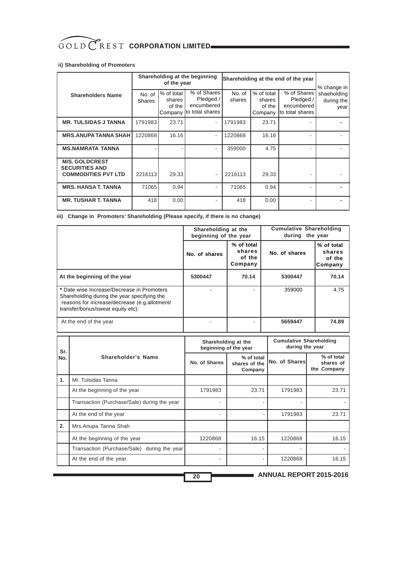#### **Iii) Shareholding of Promoters**

|                                                                              |                         | of the year                               | Shareholding at the beginning                              | Shareholding at the end of the year | % change in                               |                                                           |                                   |
|------------------------------------------------------------------------------|-------------------------|-------------------------------------------|------------------------------------------------------------|-------------------------------------|-------------------------------------------|-----------------------------------------------------------|-----------------------------------|
| <b>Shareholders Name</b>                                                     | No. of<br><b>Shares</b> | % of total<br>shares<br>of the<br>Company | % of Shares<br>Pledged /<br>encumbered<br>Ito total shares | No. of<br>shares                    | % of total<br>shares<br>of the<br>Company | % of Shares<br>Pledged /<br>encumbered<br>to total shares | shaeholding<br>during the<br>year |
| <b>MR. TULSIDAS J TANNA</b>                                                  | 1791983                 | 23.71                                     | $\overline{\phantom{a}}$                                   | 1791983                             | 23.71                                     |                                                           |                                   |
| <b>MRS.ANUPA TANNA SHAH</b>                                                  | 1220868                 | 16.16                                     | $\sim$                                                     | 1220868                             | 16.16                                     |                                                           |                                   |
| <b>MS.NAMRATA TANNA</b>                                                      |                         |                                           | $\overline{\phantom{a}}$                                   | 359000                              | 4.75                                      |                                                           |                                   |
| <b>M/S. GOLDCREST</b><br><b>SECURITIES AND</b><br><b>COMMODITIES PVT LTD</b> | 2216113                 | 29.33                                     | ٠                                                          | 2216113                             | 29.33                                     |                                                           |                                   |
| <b>MRS. HANSA T. TANNA</b>                                                   | 71065                   | 0.94                                      |                                                            | 71065                               | 0.94                                      |                                                           |                                   |
| <b>MR. TUSHAR T. TANNA</b>                                                   | 418                     | 0.00                                      |                                                            | 418                                 | 0.00                                      |                                                           |                                   |

#### **iii) Change in Promoters' Shareholding (Please specify, if there is no change)**

|                                                                                                                                                                                 | Shareholding at the<br>beginning of the year |                                           | <b>Cumulative Shareholding</b><br>during the year |                                           |
|---------------------------------------------------------------------------------------------------------------------------------------------------------------------------------|----------------------------------------------|-------------------------------------------|---------------------------------------------------|-------------------------------------------|
|                                                                                                                                                                                 | No. of shares                                | % of total<br>shares<br>of the<br>Company | No. of shares                                     | % of total<br>shares<br>of the<br>Company |
| At the beginning of the year                                                                                                                                                    | 5300447                                      | 70.14                                     | 5300447                                           | 70.14                                     |
| * Date wise Increase/Decrease in Promoters<br>Shareholding during the year specifying the<br>reasons for increase/decrease (e.g.allotment/<br>transfer/bonus/sweat equity etc): |                                              |                                           | 359000                                            | 4.75                                      |
| At the end of the year                                                                                                                                                          |                                              |                                           | 5659447                                           | 74.89                                     |

| Sr.   |                                             | Shareholding at the<br>beginning of the year |                                        | <b>Cumulative Shareholding</b><br>during the year |                                        |  |
|-------|---------------------------------------------|----------------------------------------------|----------------------------------------|---------------------------------------------------|----------------------------------------|--|
| l No. | Shareholder's Name                          | No. of Shares                                | % of total<br>shares of the<br>Company | <b>No. of Shares</b>                              | % of total<br>shares of<br>the Company |  |
| 1.    | Mr. Tulsidas Tanna                          |                                              |                                        |                                                   |                                        |  |
|       | At the beginning of the year                | 1791983                                      | 23.71                                  | 1791983                                           | 23.71                                  |  |
|       | Transaction (Purchase/Sale) during the year |                                              |                                        | ٠                                                 |                                        |  |
|       | At the end of the year                      |                                              |                                        | 1791983                                           | 23.71                                  |  |
| 2.    | Mrs.Anupa Tanna Shah                        |                                              |                                        |                                                   |                                        |  |
|       | At the beginning of the year                | 1220868                                      | 16.15                                  | 1220868                                           | 16.15                                  |  |
|       | Transaction (Purchase/Sale) during the year |                                              |                                        |                                                   |                                        |  |
|       | At the end of the year                      |                                              |                                        | 1220868                                           | 16.15                                  |  |

**ANNUAL REPORT 2015-2016**

**20**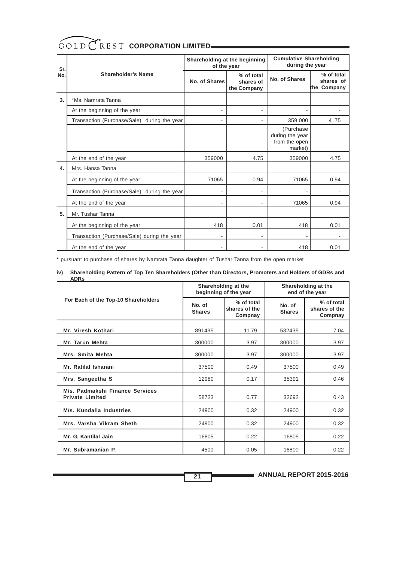| Sr.  |                                                | Shareholding at the beginning<br>of the year |                                        | <b>Cumulative Shareholding</b><br>during the year         |                                        |  |
|------|------------------------------------------------|----------------------------------------------|----------------------------------------|-----------------------------------------------------------|----------------------------------------|--|
| lNo. | <b>Shareholder's Name</b>                      | No. of Shares                                | % of total<br>shares of<br>the Company | No. of Shares                                             | % of total<br>shares of<br>the Company |  |
| 3.   | *Ms. Namrata Tanna                             |                                              |                                        |                                                           |                                        |  |
|      | At the beginning of the year                   | $\overline{\phantom{a}}$                     | ä,                                     | ٠                                                         |                                        |  |
|      | Transaction (Purchase/Sale)<br>during the year | $\overline{a}$                               |                                        | 359,000                                                   | 4.75                                   |  |
|      |                                                |                                              |                                        | (Purchase)<br>during the year<br>from the open<br>market) |                                        |  |
|      | At the end of the year                         | 359000                                       | 4.75                                   | 359000                                                    | 4.75                                   |  |
| 4.   | Mrs. Hansa Tanna                               |                                              |                                        |                                                           |                                        |  |
|      | At the beginning of the year                   | 71065                                        | 0.94                                   | 71065                                                     | 0.94                                   |  |
|      | Transaction (Purchase/Sale)<br>during the year | $\overline{\phantom{a}}$                     | ä,                                     |                                                           |                                        |  |
|      | At the end of the year                         | ۰                                            |                                        | 71065                                                     | 0.94                                   |  |
| 5.   | Mr. Tushar Tanna                               |                                              |                                        |                                                           |                                        |  |
|      | At the beginning of the year                   | 418                                          | 0.01                                   | 418                                                       | 0.01                                   |  |
|      | Transaction (Purchase/Sale) during the year    | $\blacksquare$                               | $\blacksquare$                         |                                                           |                                        |  |
|      | At the end of the year                         | $\blacksquare$                               |                                        | 418                                                       | 0.01                                   |  |

\* pursuant to purchase of shares by Namrata Tanna daughter of Tushar Tanna from the open market

#### **iv) Shareholding Pattern of Top Ten Shareholders (Other than Directors, Promoters and Holders of GDRs and**

| <b>ADRs</b>                                               |                         |                                              |                                        |                                        |  |
|-----------------------------------------------------------|-------------------------|----------------------------------------------|----------------------------------------|----------------------------------------|--|
|                                                           |                         | Shareholding at the<br>beginning of the year | Shareholding at the<br>end of the year |                                        |  |
| For Each of the Top-10 Shareholders                       | No. of<br><b>Shares</b> | % of total<br>shares of the<br>Compnay       | No. of<br><b>Shares</b>                | % of total<br>shares of the<br>Compnay |  |
| Mr. Viresh Kothari                                        | 891435                  | 11.79                                        | 532435                                 | 7.04                                   |  |
| Mr. Tarun Mehta                                           | 300000                  | 3.97                                         | 300000                                 | 3.97                                   |  |
| Mrs. Smita Mehta                                          | 300000                  | 3.97                                         | 300000                                 | 3.97                                   |  |
| Mr. Ratilal Isharani                                      | 37500                   | 0.49                                         | 37500                                  | 0.49                                   |  |
| Mrs. Sangeetha S                                          | 12980                   | 0.17                                         | 35391                                  | 0.46                                   |  |
| M/s. Padmakshi Finance Services<br><b>Private Limited</b> | 58723                   | 0.77                                         | 32692                                  | 0.43                                   |  |
| M/s. Kundalia Industries                                  | 24900                   | 0.32                                         | 24900                                  | 0.32                                   |  |
| Mrs. Varsha Vikram Sheth                                  | 24900                   | 0.32                                         | 24900                                  | 0.32                                   |  |
| Mr. G. Kantilal Jain                                      | 16805                   | 0.22                                         | 16805                                  | 0.22                                   |  |
| Mr. Subramanian P.                                        | 4500                    | 0.05                                         | 16800                                  | 0.22                                   |  |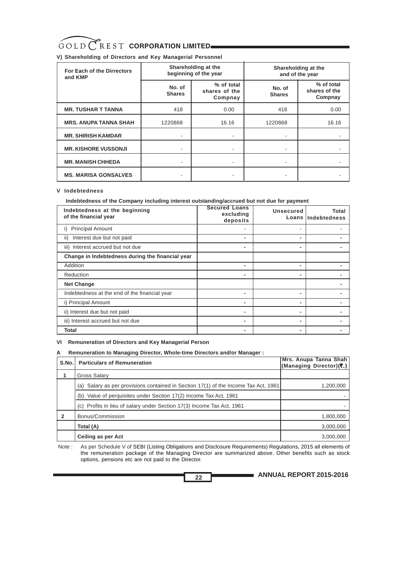#### **V) Shareholding of Directors and Key Managerial Personnel**

| For Each of the Dirrectors<br>and KMP |                         | Shareholding at the<br>beginning of the year |                         | Shareholding at the<br>and of the year |
|---------------------------------------|-------------------------|----------------------------------------------|-------------------------|----------------------------------------|
|                                       | No. of<br><b>Shares</b> | % of total<br>shares of the<br>Compnay       | No. of<br><b>Shares</b> | % of total<br>shares of the<br>Compnay |
| <b>MR. TUSHAR T TANNA</b>             | 418                     | 0.00                                         | 418                     | 0.00                                   |
| <b>MRS. ANUPA TANNA SHAH</b>          | 1220868                 | 16.16                                        | 1220868                 | 16.16                                  |
| <b>MR. SHIRISH KAMDAR</b>             |                         |                                              |                         |                                        |
| <b>MR. KISHORE VUSSONJI</b>           |                         |                                              |                         |                                        |
| <b>MR. MANISH CHHEDA</b>              |                         |                                              |                         |                                        |
| <b>MS. MARISA GONSALVES</b>           |                         |                                              |                         |                                        |

#### **V Indebtedness**

 **Indebtedness of the Company including interest outstanding/accrued but not due for payment**

| Indebtedness at the beginning<br>of the financial year | <b>Secured Loans</b><br>excluding<br>deposits | <b>Unsecured</b>         | Total<br>Loans lindebtedness |
|--------------------------------------------------------|-----------------------------------------------|--------------------------|------------------------------|
| <b>Principal Amount</b><br>i)                          |                                               |                          |                              |
| Interest due but not paid<br>ii)                       | -                                             | $\overline{\phantom{0}}$ |                              |
| iii) Interest accrued but not due                      | -                                             |                          |                              |
| Change in Indebtedness during the financial year       |                                               |                          |                              |
| Addition                                               | -                                             | $\overline{\phantom{a}}$ |                              |
| Reduction                                              | ٠                                             | -                        |                              |
| <b>Net Change</b>                                      |                                               |                          |                              |
| Indebtedness at the end of the financial year          | -                                             |                          |                              |
| i) Principal Amount                                    | ٠                                             | $\overline{\phantom{a}}$ |                              |
| ii) Interest due but not paid                          | -                                             | $\overline{\phantom{a}}$ |                              |
| iii) Interest accrued but not due                      | -                                             | $\overline{\phantom{a}}$ |                              |
| Total                                                  |                                               | $\overline{\phantom{0}}$ |                              |

#### **VI Remuneration of Directors and Key Managerial Person**

#### **A Remuneration to Managing Director, Whole-time Directors and/or Manager :**

| S.No. | <b>Particulars of Remuneration</b>                                                  | Mrs. Anupa Tanna Shah<br>(Managing Director)(そ.) |
|-------|-------------------------------------------------------------------------------------|--------------------------------------------------|
|       | Gross Salary                                                                        |                                                  |
|       | (a) Salary as per provisions contained in Section 17(1) of the Income Tax Act, 1961 | 1,200,000                                        |
|       | Value of perquisites under Section 17(2) Income Tax Act, 1961<br>(b)                |                                                  |
|       | (c) Profits in lieu of salary under Section 17(3) Income Tax Act, 1961              |                                                  |
| 2     | Bonus/Commission                                                                    | 1,800,000                                        |
|       | Total (A)                                                                           | 3,000,000                                        |
|       | Ceiling as per Act                                                                  | 3,000,000                                        |

 Note : As per Schedule V of SEBI (Listing Obligations and Disclosure Requirements) Regulations, 2015 all elements of the remuneration package of the Managing Director are summarized above. Other benefits such as stock options, pensions etc are not paid to the Director.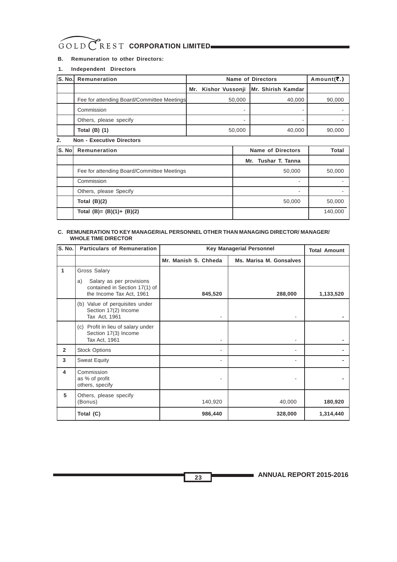#### **B. Remuneration to other Directors:**

#### **1. Independent Directors**

| <b>S. No. Remuneration</b>                 |        | <b>Name of Directors</b>                 | Amount( $\overline{\mathbf{c}}$ .) |
|--------------------------------------------|--------|------------------------------------------|------------------------------------|
|                                            |        | Mr. Kishor Vussonji   Mr. Shirish Kamdar |                                    |
| Fee for attending Board/Committee Meetings | 50,000 | 40,000                                   | 90,000                             |
| Commission                                 |        |                                          |                                    |
| Others, please specify                     |        |                                          |                                    |
| Total $(B)$ $(1)$                          | 50,000 | 40.000                                   | 90.000                             |

#### **2. Non - Executive Directors**

| S. No | Remuneration                               | <b>Name of Directors</b> | Total   |
|-------|--------------------------------------------|--------------------------|---------|
|       |                                            | Mr. Tushar T. Tanna      |         |
|       | Fee for attending Board/Committee Meetings | 50,000                   | 50,000  |
|       | Commission                                 | -                        |         |
|       | Others, please Specify                     |                          |         |
|       | Total $(B)(2)$                             | 50,000                   | 50,000  |
|       | Total (B)= $(B)(1)$ + $(B)(2)$             |                          | 140,000 |

#### **C. REMUNERATION TO KEY MANAGERIAL PERSONNEL OTHER THAN MANAGING DIRECTOR/ MANAGER/ WHOLE TIME DIRECTOR**

| S. No.         | <b>Particulars of Remuneration</b>                                                          | <b>Key Managerial Personnel</b> | <b>Total Amount</b>     |           |
|----------------|---------------------------------------------------------------------------------------------|---------------------------------|-------------------------|-----------|
|                |                                                                                             | Mr. Manish S. Chheda            | Ms. Marisa M. Gonsalves |           |
| 1              | Gross Salary                                                                                |                                 |                         |           |
|                | Salary as per provisions<br>a)<br>contained in Section 17(1) of<br>the Income Tax Act, 1961 | 845,520                         | 288,000                 | 1,133,520 |
|                | (b) Value of perquisites under<br>Section 17(2) Income<br>Tax Act, 1961                     |                                 |                         |           |
|                | (c) Profit in lieu of salary under<br>Section 17(3) Income<br>Tax Act, 1961                 |                                 |                         |           |
| $\overline{2}$ | <b>Stock Options</b>                                                                        | ٠                               |                         |           |
| 3              | <b>Sweat Equity</b>                                                                         |                                 |                         |           |
| 4              | Commission<br>as % of profit<br>others, specify                                             |                                 |                         |           |
| 5              | Others, please specify<br>(Bonus)                                                           | 140,920                         | 40,000                  | 180,920   |
|                | Total (C)                                                                                   | 986,440                         | 328,000                 | 1,314,440 |

**ANNUAL REPORT 2015-2016** 

**23**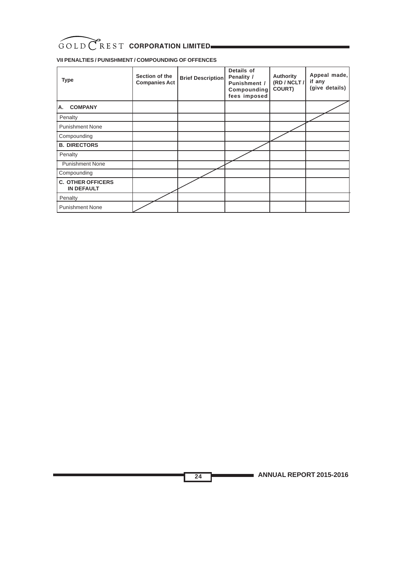### **VII PENALTIES / PUNISHMENT / COMPOUNDING OF OFFENCES**

| <b>Type</b>                                   | Section of the<br><b>Companies Act</b> | <b>Brief Description</b> | Details of<br>Penality /<br>Punishment /<br>Compounding<br>fees imposed | <b>Authority</b><br>(RD / NCLT /<br>COURT) | Appeal made,<br>if any<br>(give details) |
|-----------------------------------------------|----------------------------------------|--------------------------|-------------------------------------------------------------------------|--------------------------------------------|------------------------------------------|
| <b>COMPANY</b><br>А.                          |                                        |                          |                                                                         |                                            |                                          |
| Penalty                                       |                                        |                          |                                                                         |                                            |                                          |
| <b>Punishment None</b>                        |                                        |                          |                                                                         |                                            |                                          |
| Compounding                                   |                                        |                          |                                                                         |                                            |                                          |
| <b>B. DIRECTORS</b>                           |                                        |                          |                                                                         |                                            |                                          |
| Penalty                                       |                                        |                          |                                                                         |                                            |                                          |
| <b>Punishment None</b>                        |                                        |                          |                                                                         |                                            |                                          |
| Compounding                                   |                                        |                          |                                                                         |                                            |                                          |
| <b>C. OTHER OFFICERS</b><br><b>IN DEFAULT</b> |                                        |                          |                                                                         |                                            |                                          |
| Penalty                                       |                                        |                          |                                                                         |                                            |                                          |
| <b>Punishment None</b>                        |                                        |                          |                                                                         |                                            |                                          |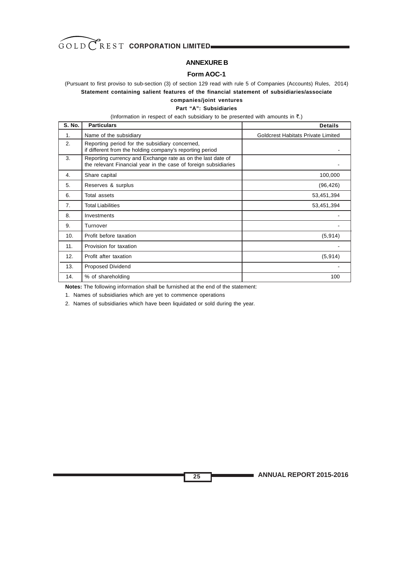

#### **ANNEXURE B**

#### **Form AOC-1**

(Pursuant to first proviso to sub-section (3) of section 129 read with rule 5 of Companies (Accounts) Rules, 2014) **Statement containing salient features of the financial statement of subsidiaries/associate**

#### **companies/joint ventures**

#### **Part "A": Subsidiaries**

(Information in respect of each subsidiary to be presented with amounts in  $\bar{z}$ .)

| <b>S. No.</b>  | <b>Particulars</b>                                                                                                             | <b>Details</b>                            |
|----------------|--------------------------------------------------------------------------------------------------------------------------------|-------------------------------------------|
| $\mathbf 1$ .  | Name of the subsidiary                                                                                                         | <b>Goldcrest Habitats Private Limited</b> |
| 2.             | Reporting period for the subsidiary concerned,<br>if different from the holding company's reporting period                     |                                           |
| 3.             | Reporting currency and Exchange rate as on the last date of<br>the relevant Financial year in the case of foreign subsidiaries |                                           |
| 4.             | Share capital                                                                                                                  | 100,000                                   |
| 5.             | Reserves & surplus                                                                                                             | (96, 426)                                 |
| 6.             | Total assets                                                                                                                   | 53,451,394                                |
| 7 <sub>1</sub> | <b>Total Liabilities</b>                                                                                                       | 53,451,394                                |
| 8.             | Investments                                                                                                                    |                                           |
| 9.             | Turnover                                                                                                                       |                                           |
| 10.            | Profit before taxation                                                                                                         | (5, 914)                                  |
| 11.            | Provision for taxation                                                                                                         |                                           |
| 12.            | Profit after taxation                                                                                                          | (5, 914)                                  |
| 13.            | Proposed Dividend                                                                                                              |                                           |
| 14.            | % of shareholding                                                                                                              | 100                                       |

**25**

**Notes:** The following information shall be furnished at the end of the statement:

1. Names of subsidiaries which are yet to commence operations

2. Names of subsidiaries which have been liquidated or sold during the year.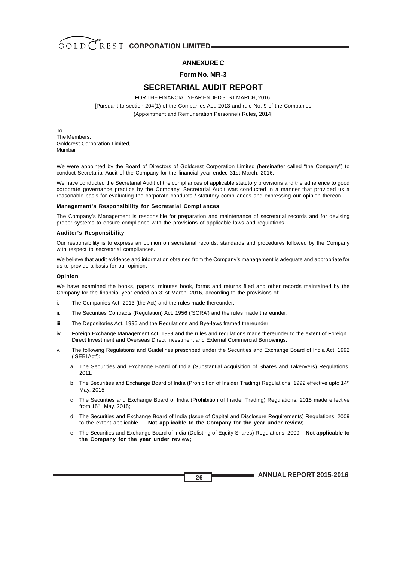

#### **ANNEXURE C**

#### **Form No. MR-3**

#### **SECRETARIAL AUDIT REPORT**

FOR THE FINANCIAL YEAR ENDED 31ST MARCH, 2016.

[Pursuant to section 204(1) of the Companies Act, 2013 and rule No. 9 of the Companies

(Appointment and Remuneration Personnel) Rules, 2014]

To, The Members, Goldcrest Corporation Limited, Mumbai.

We were appointed by the Board of Directors of Goldcrest Corporation Limited (hereinafter called "the Company") to conduct Secretarial Audit of the Company for the financial year ended 31st March, 2016.

We have conducted the Secretarial Audit of the compliances of applicable statutory provisions and the adherence to good corporate governance practice by the Company. Secretarial Audit was conducted in a manner that provided us a reasonable basis for evaluating the corporate conducts / statutory compliances and expressing our opinion thereon.

#### **Management's Responsibility for Secretarial Compliances**

The Company's Management is responsible for preparation and maintenance of secretarial records and for devising proper systems to ensure compliance with the provisions of applicable laws and regulations.

#### **Auditor's Responsibility**

Our responsibility is to express an opinion on secretarial records, standards and procedures followed by the Company with respect to secretarial compliances.

We believe that audit evidence and information obtained from the Company's management is adequate and appropriate for us to provide a basis for our opinion.

#### **Opinion**

We have examined the books, papers, minutes book, forms and returns filed and other records maintained by the Company for the financial year ended on 31st March, 2016, according to the provisions of:

- i. The Companies Act, 2013 (the Act) and the rules made thereunder;
- ii. The Securities Contracts (Regulation) Act, 1956 ('SCRA') and the rules made thereunder;
- iii. The Depositories Act, 1996 and the Regulations and Bye-laws framed thereunder;
- iv. Foreign Exchange Management Act, 1999 and the rules and regulations made thereunder to the extent of Foreign Direct Investment and Overseas Direct Investment and External Commercial Borrowings;
- v. The following Regulations and Guidelines prescribed under the Securities and Exchange Board of India Act, 1992 ('SEBI Act'):
	- a. The Securities and Exchange Board of India (Substantial Acquisition of Shares and Takeovers) Regulations,  $2011$
	- b. The Securities and Exchange Board of India (Prohibition of Insider Trading) Regulations, 1992 effective upto 14<sup>th</sup> May, 2015
	- c. The Securities and Exchange Board of India (Prohibition of Insider Trading) Regulations, 2015 made effective from  $15<sup>th</sup>$  May, 2015;
	- d. The Securities and Exchange Board of India (Issue of Capital and Disclosure Requirements) Regulations, 2009 to the extent applicable – **Not applicable to the Company for the year under review**;
	- e. The Securities and Exchange Board of India (Delisting of Equity Shares) Regulations, 2009 **Not applicable to the Company for the year under review;**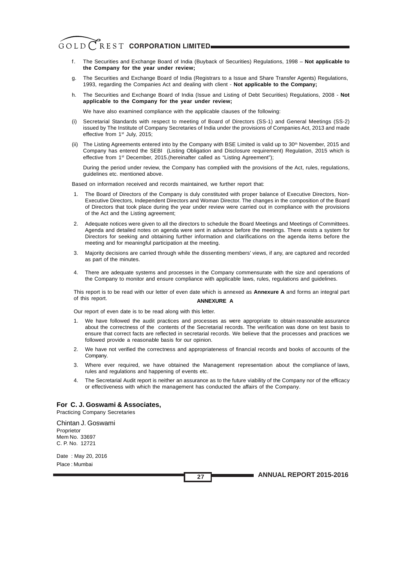- f. The Securities and Exchange Board of India (Buyback of Securities) Regulations, 1998 **Not applicable to the Company for the year under review;**
- g. The Securities and Exchange Board of India (Registrars to a Issue and Share Transfer Agents) Regulations, 1993, regarding the Companies Act and dealing with client - **Not applicable to the Company;**
- h. The Securities and Exchange Board of India (Issue and Listing of Debt Securities) Regulations, 2008 **Not applicable to the Company for the year under review;**

We have also examined compliance with the applicable clauses of the following:

- (i) Secretarial Standards with respect to meeting of Board of Directors (SS-1) and General Meetings (SS-2) issued by The Institute of Company Secretaries of India under the provisions of Companies Act, 2013 and made effective from 1<sup>st</sup> July, 2015;
- (ii) The Listing Agreements entered into by the Company with BSE Limited is valid up to 30<sup>th</sup> November, 2015 and Company has entered the SEBI (Listing Obligation and Disclosure requirement) Regulation, 2015 which is effective from 1<sup>st</sup> December, 2015.(hereinafter called as "Listing Agreement");

During the period under review, the Company has complied with the provisions of the Act, rules, regulations, guidelines etc. mentioned above.

Based on information received and records maintained, we further report that:

- 1. The Board of Directors of the Company is duly constituted with proper balance of Executive Directors, Non-Executive Directors, Independent Directors and Woman Director. The changes in the composition of the Board of Directors that took place during the year under review were carried out in compliance with the provisions of the Act and the Listing agreement;
- 2. Adequate notices were given to all the directors to schedule the Board Meetings and Meetings of Committees. Agenda and detailed notes on agenda were sent in advance before the meetings. There exists a system for Directors for seeking and obtaining further information and clarifications on the agenda items before the meeting and for meaningful participation at the meeting.
- 3. Majority decisions are carried through while the dissenting members' views, if any, are captured and recorded as part of the minutes.
- 4. There are adequate systems and processes in the Company commensurate with the size and operations of the Company to monitor and ensure compliance with applicable laws, rules, regulations and guidelines.

This report is to be read with our letter of even date which is annexed as **Annexure A** and forms an integral part of this report. **ANNEXURE A**

Our report of even date is to be read along with this letter.

- 1. We have followed the audit practices and processes as were appropriate to obtain reasonable assurance about the correctness of the contents of the Secretarial records. The verification was done on test basis to ensure that correct facts are reflected in secretarial records. We believe that the processes and practices we followed provide a reasonable basis for our opinion.
- 2. We have not verified the correctness and appropriateness of financial records and books of accounts of the Company.
- 3. Where ever required, we have obtained the Management representation about the compliance of laws, rules and regulations and happening of events etc.
- 4. The Secretarial Audit report is neither an assurance as to the future viability of the Company nor of the efficacy or effectiveness with which the management has conducted the affairs of the Company.

#### **For C. J. Goswami & Associates,**

Practicing Company Secretaries

Chintan J. Goswami Proprietor Mem No. 33697 C. P. No. 12721

Date : May 20, 2016 Place : Mumbai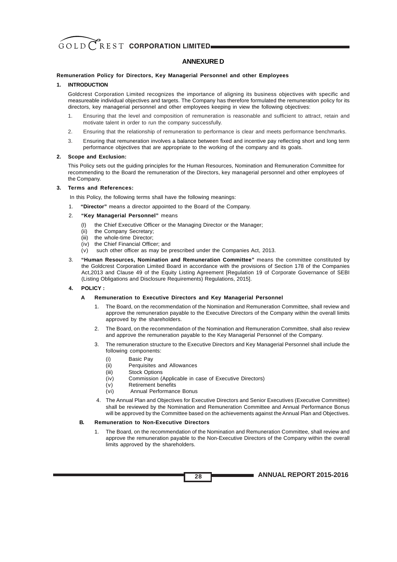#### **ANNEXURE D**

#### **Remuneration Policy for Directors, Key Managerial Personnel and other Employees**

#### **1. INTRODUCTION**

Goldcrest Corporation Limited recognizes the importance of aligning its business objectives with specific and measureable individual objectives and targets. The Company has therefore formulated the remuneration policy for its directors, key managerial personnel and other employees keeping in view the following objectives:

- 1. Ensuring that the level and composition of remuneration is reasonable and sufficient to attract, retain and motivate talent in order to run the company successfully.
- 2. Ensuring that the relationship of remuneration to performance is clear and meets performance benchmarks.
- 3. Ensuring that remuneration involves a balance between fixed and incentive pay reflecting short and long term performance objectives that are appropriate to the working of the company and its goals.

#### **2. Scope and Exclusion:**

This Policy sets out the guiding principles for the Human Resources, Nomination and Remuneration Committee for recommending to the Board the remuneration of the Directors, key managerial personnel and other employees of the Company.

#### **3. Terms and References:**

In this Policy, the following terms shall have the following meanings:

- 1. **"Director"** means a director appointed to the Board of the Company.
- 2. **"Key Managerial Personnel"** means
	- (I) the Chief Executive Officer or the Managing Director or the Manager;
	- (ii) the Company Secretary;
	- (iii) the whole-time Director;
	- (iv) the Chief Financial Officer; and
	- (v) such other officer as may be prescribed under the Companies Act, 2013.
- 3. **"Human Resources, Nomination and Remuneration Committee"** means the committee constituted by the Goldcrest Corporation Limited Board in accordance with the provisions of Section 178 of the Companies Act,2013 and Clause 49 of the Equity Listing Agreement [Regulation 19 of Corporate Governance of SEBI (Listing Obligations and Disclosure Requirements) Regulations, 2015].

#### **4. POLICY :**

#### **A Remuneration to Executive Directors and Key Managerial Personnel**

- 1. The Board, on the recommendation of the Nomination and Remuneration Committee, shall review and approve the remuneration payable to the Executive Directors of the Company within the overall limits approved by the shareholders.
- 2. The Board, on the recommendation of the Nomination and Remuneration Committee, shall also review and approve the remuneration payable to the Key Managerial Personnel of the Company.
- 3. The remuneration structure to the Executive Directors and Key Managerial Personnel shall include the following components:
	- (i) Basic Pay
	- (ii) Perquisites and Allowances
	- (iii) Stock Options
	- (iv) Commission (Applicable in case of Executive Directors)
	- (v) Retirement benefits
	- (vi) Annual Performance Bonus
- 4. The Annual Plan and Objectives for Executive Directors and Senior Executives (Executive Committee) shall be reviewed by the Nomination and Remuneration Committee and Annual Performance Bonus will be approved by the Committee based on the achievements against the Annual Plan and Objectives.

#### **B. Remuneration to Non-Executive Directors**

1. The Board, on the recommendation of the Nomination and Remuneration Committee, shall review and approve the remuneration payable to the Non-Executive Directors of the Company within the overall limits approved by the shareholders.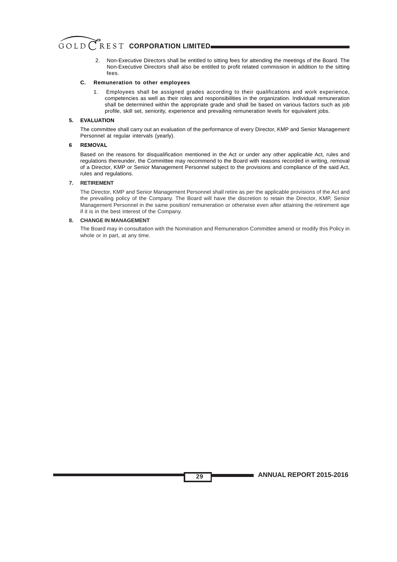2. Non-Executive Directors shall be entitled to sitting fees for attending the meetings of the Board. The Non-Executive Directors shall also be entitled to profit related commission in addition to the sitting fees.

#### **C. Remuneration to other employees**

1. Employees shall be assigned grades according to their qualifications and work experience, competencies as well as their roles and responsibilities in the organization. Individual remuneration shall be determined within the appropriate grade and shall be based on various factors such as job profile, skill set, seniority, experience and prevailing remuneration levels for equivalent jobs.

#### **5. EVALUATION**

The committee shall carry out an evaluation of the performance of every Director, KMP and Senior Management Personnel at regular intervals (yearly).

#### **6 REMOVAL**

Based on the reasons for disqualification mentioned in the Act or under any other applicable Act, rules and regulations thereunder, the Committee may recommend to the Board with reasons recorded in writing, removal of a Director, KMP or Senior Management Personnel subject to the provisions and compliance of the said Act, rules and regulations.

#### **7. RETIREMENT**

The Director, KMP and Senior Management Personnel shall retire as per the applicable provisions of the Act and the prevailing policy of the Company. The Board will have the discretion to retain the Director, KMP, Senior Management Personnel in the same position/ remuneration or otherwise even after attaining the retirement age if it is in the best interest of the Company.

#### **8. CHANGE IN MANAGEMENT**

The Board may in consultation with the Nomination and Remuneration Committee amend or modify this Policy in whole or in part, at any time.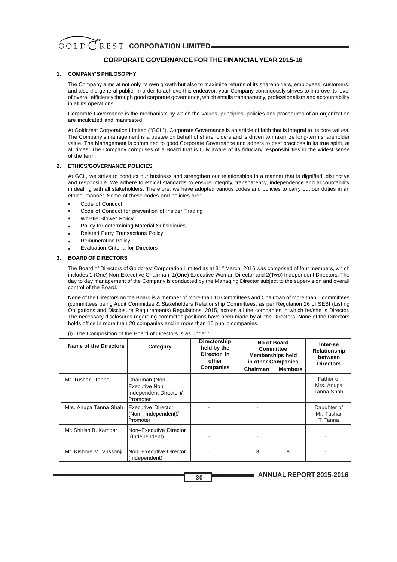#### **CORPORATE GOVERNANCE FOR THE FINANCIALYEAR 2015-16**

#### **1. COMPANY'S PHILOSOPHY**

The Company aims at not only its own growth but also to maximize returns of its shareholders, employees, customers, and also the general public. In order to achieve this endeavor, your Company continuously strives to improve its level of overall efficiency through good corporate governance, which entails transparency, professionalism and accountability in all its operations.

Corporate Governance is the mechanism by which the values, principles, policies and procedures of an organization are inculcated and manifested.

At Goldcrest Corporation Limited ("GCL"), Corporate Governance is an article of faith that is integral to its core values. The Company's management is a trustee on behalf of shareholders and is driven to maximize long-term shareholder value. The Management is committed to good Corporate Governance and adhers to best practices in its true spirit, at all times. The Company comprises of a Board that is fully aware of its fiduciary responsibilities in the widest sense of the term.

#### **2. ETHICS/GOVERNANCE POLICIES**

At GCL, we strive to conduct our business and strengthen our relationships in a manner that is dignified, distinctive and responsible. We adhere to ethical standards to ensure integrity, transparency, independence and accountability in dealing with all stakeholders. Therefore, we have adopted various codes and policies to carry out our duties in an ethical manner. Some of these codes and policies are:

- Code of Conduct
- Code of Conduct for prevention of Insider Trading
- Whistle Blower Policy
- Policy for determining Material Subsidiaries
- Related Party Transactions Policy
- Remuneration Policy
- Evaluation Criteria for Directors

#### **3. BOARD OF DIRECTORS**

The Board of Directors of Goldcrest Corporation Limited as at 31st March, 2016 was comprised of four members, which includes 1 (One) Non-Executive Chairman, 1(One) Executive Woman Director and 2(Two) Independent Directors. The day to day management of the Company is conducted by the Managing Director subject to the supervision and overall control of the Board.

None of the Directors on the Board is a member of more than 10 Committees and Chairman of more than 5 committees (committees being Audit Committee & Stakeholders Relationship Committees, as per Regulation 26 of SEBI (Listing Obligations and Disclosure Requirements) Regulations, 2015, across all the companies in which he/she is Director. The necessary disclosures regarding committee positions have been made by all the Directors. None of the Directors holds office in more than 20 companies and in more than 10 public companies.

| Name of the Directors   | Categpry                                                                     | <b>Directorship</b><br>held by the<br>Director in<br>other | No of Board<br><b>Committee</b><br><b>Memberships held</b><br>in other Companies |                | Inter-se<br>Relationship<br>between<br><b>Directors</b> |
|-------------------------|------------------------------------------------------------------------------|------------------------------------------------------------|----------------------------------------------------------------------------------|----------------|---------------------------------------------------------|
|                         |                                                                              | <b>Companies</b>                                           | Chairman                                                                         | <b>Members</b> |                                                         |
| Mr. TusharT.Tanna       | Chairman (Non-<br>Executive Non<br>Independent Director)/<br><b>Promoter</b> |                                                            |                                                                                  |                | Father of<br>Mrs. Anupa<br>Tanna Shah                   |
| Mrs. Anupa Tanna Shah   | <b>IExecutive Director</b><br>(Non - Independent)/<br><b>IPromoter</b>       |                                                            |                                                                                  |                | Daughter of<br>Mr. Tushar<br>T. Tanna                   |
| Mr. Shirish B. Kamdar   | <b>Non-Executive Director</b><br>(Independent)                               |                                                            |                                                                                  |                |                                                         |
| Mr. Kishore M. Vussonji | <b>INon-Executive Director</b><br>(Independent)                              | 5                                                          | 3                                                                                | 8              |                                                         |

(i) The Composition of the Board of Directors is as under :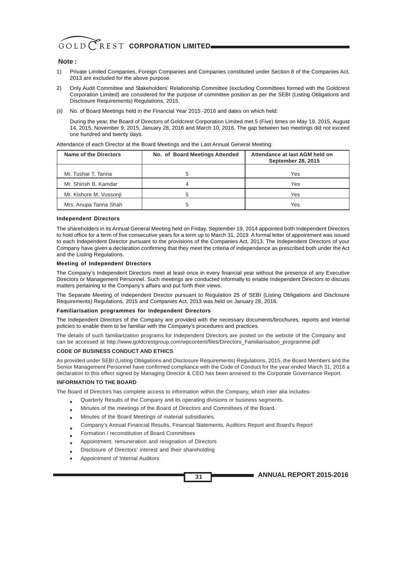#### **Note :**

- 1) Private Limited Companies, Foreign Companies and Companies constituted under Section 8 of the Companies Act, 2013 are excluded for the above purpose.
- 2) Only Audit Committee and Stakeholders' Relationship Committee (excluding Committees formed with the Goldcrest Corporation Limited) are considered for the purpose of committee position as per the SEBI (Listing Obligations and Disclosure Requirements) Regulations, 2015.
- (ii) No. of Board Meetings held in the Financial Year 2015 -2016 and dates on which held:

During the year, the Board of Directors of Goldcrest Corporation Limited met 5 (Five) times on May 19, 2015, August 14, 2015, November 9, 2015, January 28, 2016 and March 10, 2016. The gap between two meetings did not exceed one hundred and twenty days.

| Name of the Directors   | No. of Board Meetings Attended | Attendance at last AGM held on<br><b>September 28, 2015</b> |
|-------------------------|--------------------------------|-------------------------------------------------------------|
|                         |                                |                                                             |
| Mr. Tushar T. Tanna     |                                | Yes                                                         |
| Mr. Shirish B. Kamdar   |                                | Yes                                                         |
| Mr. Kishore M. Vussonji |                                | Yes                                                         |
| Mrs. Anupa Tanna Shah   |                                | Yes                                                         |

Attendance of each Director at the Board Meetings and the Last Annual General Meeting:

#### **Independent Directors**

The shareholders in its Annual General Meeting held on Friday, September 19, 2014 appointed both Independent Directors to hold office for a term of five consecutive years for a term up to March 31, 2019. A formal letter of appointment was issued to each Independent Director pursuant to the provisions of the Companies Act, 2013. The Independent Directors of your Company have given a declaration confirming that they meet the criteria of independence as prescribed both under the Act and the Listing Regulations.

#### **Meeting of Independent Directors**

The Company's Independent Directors meet at least once in every financial year without the presence of any Executive Directors or Management Personnel. Such meetings are conducted informally to enable Independent Directors to discuss matters pertaining to the Company's affairs and put forth their views.

The Separate Meeting of Independent Director pursuant to Regulation 25 of SEBI (Listing Obligations and Disclosure Requirements) Regulations, 2015 and Companies Act, 2013 was held on January 28, 2016.

#### **Familiarisation programmes for Independent Directors**

The Independent Directors of the Company are provided with the necessary documents/brochures, reports and internal policies to enable them to be familiar with the Company's procedures and practices.

The details of such familiarization programs for Independent Directors are posted on the website of the Company and can be accessed at http://www.goldcrestgroup.com/wpcontent/files/Directors\_Familiarisation\_programme.pdf

#### **CODE OF BUSINESS CONDUCT AND ETHICS**

As provided under SEBI (Listing Obligations and Disclosure Requirements) Regulations, 2015, the Board Members and the Senior Management Personnel have confirmed compliance with the Code of Conduct for the year ended March 31, 2016 a declaration to this effect signed by Managing Director & CEO has been annexed to the Corporate Governance Report.

#### **INFORMATION TO THE BOARD**

The Board of Directors has complete access to information within the Company, which inter alia includes-

- Quarterly Results of the Company and its operating divisions or business segments.
- Minutes of the meetings of the Board of Directors and Committees of the Board.
- Minutes of the Board Meetings of material subsidiaries.
- Company's Annual Financial Results, Financial Statements, Auditors Report and Board's Report
- • Formation / reconstitution of Board Committees
- Appointment, remuneration and resignation of Directors
- Disclosure of Directors' interest and their shareholding
- Appointment of Internal Auditors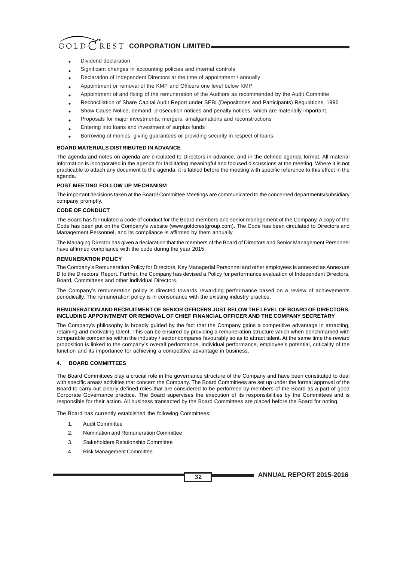- Dividend declaration
- Significant changes in accounting policies and internal controls
- Declaration of Independent Directors at the time of appointment / annually
- Appointment or removal of the KMP and Officers one level below KMP
- Appointment of and fixing of the remuneration of the Auditors as recommended by the Audit Committe
- Reconciliation of Share Capital Audit Report under SEBI (Depositories and Participants) Regulations, 1996
- Show Cause Notice, demand, prosecution notices and penalty notices, which are materially important.
- Proposals for major investments, mergers, amalgamations and reconstructions
- Entering into loans and investment of surplus funds
- Borrowing of monies, giving guarantees or providing security in respect of loans. •

#### **BOARD MATERIALS DISTRIBUTED IN ADVANCE**

The agenda and notes on agenda are circulated to Directors in advance, and in the defined agenda format. All material information is incorporated in the agenda for facilitating meaningful and focused discussions at the meeting. Where it is not practicable to attach any document to the agenda, it is tabled before the meeting with specific reference to this effect in the agenda.

#### **POST MEETING FOLLOW UP MECHANISM**

The important decisions taken at the Board/ Committee Meetings are communicated to the concerned departments/subsidiary company promptly.

#### **CODE OF CONDUCT**

The Board has formulated a code of conduct for the Board members and senior management of the Company. A copy of the Code has been put on the Company's website (www.goldcrestgroup.com). The Code has been circulated to Directors and Management Personnel, and its compliance is affirmed by them annually.

The Managing Director has given a declaration that the members of the Board of Directors and Senior Management Personnel have affirmed compliance with the code during the year 2015.

#### **REMUNERATION POLICY**

The Company's Remuneration Policy for Directors, Key Managerial Personnel and other employees is annexed as Annexure D to the Directors' Report. Further, the Company has devised a Policy for performance evaluation of Independent Directors, Board, Committees and other individual Directors.

The Company's remuneration policy is directed towards rewarding performance based on a review of achievements periodically. The remuneration policy is in consonance with the existing industry practice.

#### **REMUNERATION AND RECRUITMENT OF SENIOR OFFICERS JUST BELOW THE LEVEL OF BOARD OF DIRECTORS, INCLUDING APPOINTMENT OR REMOVAL OF CHIEF FINANCIAL OFFICER AND THE COMPANY SECRETARY**

The Company's philosophy is broadly guided by the fact that the Company gains a competitive advantage in attracting, retaining and motivating talent. This can be ensured by providing a remuneration structure which when benchmarked with comparable companies within the industry / sector compares favourably so as to attract talent. At the same time the reward proposition is linked to the company's overall performance, individual performance, employee's potential, criticality of the function and its importance for achieving a competitive advantage in business.

#### **4. BOARD COMMITTEES**

The Board Committees play a crucial role in the governance structure of the Company and have been constituted to deal with specific areas/ activities that concern the Company. The Board Committees are set up under the formal approval of the Board to carry out clearly defined roles that are considered to be performed by members of the Board as a part of good Corporate Governance practice. The Board supervises the execution of its responsibilities by the Committees and is responsible for their action. All business transacted by the Board Committees are placed before the Board for noting.

The Board has currently established the following Committees:

- 1. Audit Committee
- 2. Nomination and Remuneration Committee
- 3. Stakeholders Relationship Committee
- 4. Risk Management Committee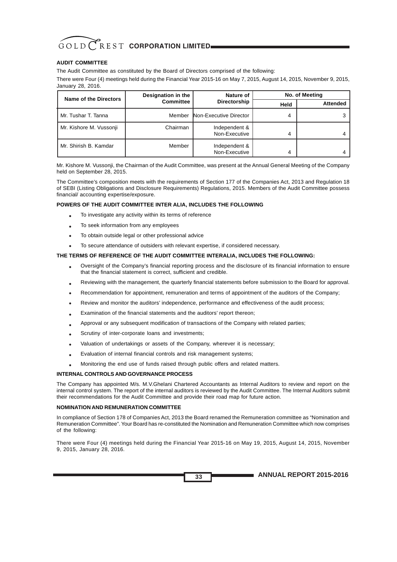#### **AUDIT COMMITTEE**

The Audit Committee as constituted by the Board of Directors comprised of the following:

There were Four (4) meetings held during the Financial Year 2015-16 on May 7, 2015, August 14, 2015, November 9, 2015, January 28, 2016.

| Name of the Directors   | Designation in the | Nature of                      | No. of Meeting |                 |
|-------------------------|--------------------|--------------------------------|----------------|-----------------|
|                         | <b>Committee</b>   | Directorship                   | Held           | <b>Attended</b> |
| Mr. Tushar T. Tanna     | Member             | Non-Executive Director         |                |                 |
| Mr. Kishore M. Vussonji | Chairman           | Independent &<br>Non-Executive | 4              |                 |
| Mr. Shirish B. Kamdar   | Member             | Independent &<br>Non-Executive |                |                 |

Mr. Kishore M. Vussonji, the Chairman of the Audit Committee, was present at the Annual General Meeting of the Company held on September 28, 2015.

The Committee's composition meets with the requirements of Section 177 of the Companies Act, 2013 and Regulation 18 of SEBI (Listing Obligations and Disclosure Requirements) Regulations, 2015. Members of the Audit Committee possess financial/ accounting expertise/exposure.

#### **POWERS OF THE AUDIT COMMITTEE INTER ALIA, INCLUDES THE FOLLOWING**

- To investigate any activity within its terms of reference
- To seek information from any employees
- To obtain outside legal or other professional advice

• To secure attendance of outsiders with relevant expertise, if considered necessary.

### **THE TERMS OF REFERENCE OF THE AUDIT COMMITTEE INTERALIA, INCLUDES THE FOLLOWING:**

- Oversight of the Company's financial reporting process and the disclosure of its financial information to ensure that the financial statement is correct, sufficient and credible.
- Reviewing with the management, the quarterly financial statements before submission to the Board for approval.
- Recommendation for appointment, remuneration and terms of appointment of the auditors of the Company;
- Review and monitor the auditors' independence, performance and effectiveness of the audit process;
- Examination of the financial statements and the auditors' report thereon;
- Approval or any subsequent modification of transactions of the Company with related parties;
- Scrutiny of inter-corporate loans and investments;
- Valuation of undertakings or assets of the Company, wherever it is necessary;
- Evaluation of internal financial controls and risk management systems;
- Monitoring the end use of funds raised through public offers and related matters.

#### **INTERNAL CONTROLS AND GOVERNANCE PROCESS**

The Company has appointed M/s. M.V.Ghelani Chartered Accountants as Internal Auditors to review and report on the internal control system. The report of the internal auditors is reviewed by the Audit Committee. The Internal Auditors submit their recommendations for the Audit Committee and provide their road map for future action.

#### **NOMINATION AND REMUNERATION COMMITTEE**

In compliance of Section 178 of Companies Act, 2013 the Board renamed the Remuneration committee as "Nomination and Remuneration Committee". Your Board has re-constituted the Nomination and Remuneration Committee which now comprises of the following:

There were Four (4) meetings held during the Financial Year 2015-16 on May 19, 2015, August 14, 2015, November 9, 2015, January 28, 2016.

**33**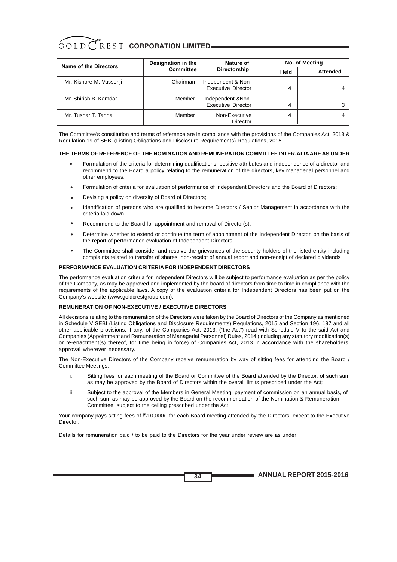| GOLD CREST CORPORATION LIMITED |
|--------------------------------|
|                                |

| Name of the Directors   | Designation in the | Nature of                                       | No. of Meeting |                 |
|-------------------------|--------------------|-------------------------------------------------|----------------|-----------------|
|                         | <b>Committee</b>   | Directorship                                    | Held           | <b>Attended</b> |
| Mr. Kishore M. Vussonji | Chairman           | Independent & Non-<br><b>Executive Director</b> | 4              |                 |
| Mr. Shirish B. Kamdar   | Member             | Independent & Non-<br><b>Executive Director</b> | 4              |                 |
| Mr. Tushar T. Tanna     | Member             | Non-Executive<br>Director                       | 4              |                 |

The Committee's constitution and terms of reference are in compliance with the provisions of the Companies Act, 2013 & Regulation 19 of SEBI (Listing Obligations and Disclosure Requirements) Regulations, 2015

#### **THE TERMS OF REFERENCE OF THE NOMINATION AND REMUNERATION COMMITTEE INTER-ALIAARE AS UNDER**

- · Formulation of the criteria for determining qualifications, positive attributes and independence of a director and recommend to the Board a policy relating to the remuneration of the directors, key managerial personnel and other employees; •
- Formulation of criteria for evaluation of performance of Independent Directors and the Board of Directors; •
- Devising a policy on diversity of Board of Directors; •
- Identification of persons who are qualified to become Directors / Senior Management in accordance with the criteria laid down. •
- Recommend to the Board for appointment and removal of Director(s). •
- Determine whether to extend or continue the term of appointment of the Independent Director, on the basis of the report of performance evaluation of Independent Directors. •
- The Committee shall consider and resolve the grievances of the security holders of the listed entity including complaints related to transfer of shares, non-receipt of annual report and non-receipt of declared dividends •

#### **PERFORMANCE EVALUATION CRITERIA FOR INDEPENDENT DIRECTORS**

The performance evaluation criteria for Independent Directors will be subject to performance evaluation as per the policy of the Company, as may be approved and implemented by the board of directors from time to time in compliance with the requirements of the applicable laws. A copy of the evaluation criteria for Independent Directors has been put on the Company's website (www.goldcrestgroup.com).

#### **REMUNERATION OF NON-EXECUTIVE / EXECUTIVE DIRECTORS**

All decisions relating to the remuneration of the Directors were taken by the Board of Directors of the Company as mentioned in Schedule V SEBI (Listing Obligations and Disclosure Requirements) Regulations, 2015 and Section 196, 197 and all other applicable provisions, if any, of the Companies Act, 2013, ("the Act") read with Schedule V to the said Act and Companies (Appointment and Remuneration of Managerial Personnel) Rules, 2014 (including any statutory modification(s) or re-enactment(s) thereof, for time being in force) of Companies Act, 2013 in accordance with the shareholders' approval wherever necessary.

The Non-Executive Directors of the Company receive remuneration by way of sitting fees for attending the Board / Committee Meetings.

- i. Sitting fees for each meeting of the Board or Committee of the Board attended by the Director, of such sum as may be approved by the Board of Directors within the overall limits prescribed under the Act;
- ii. Subject to the approval of the Members in General Meeting, payment of commission on an annual basis, of such sum as may be approved by the Board on the recommendation of the Nomination & Remuneration Committee, subject to the ceiling prescribed under the Act

Your company pays sitting fees of  $\bar{\mathfrak{c}}$ .10,000/- for each Board meeting attended by the Directors, except to the Executive Director.

**34**

Details for remuneration paid / to be paid to the Directors for the year under review are as under: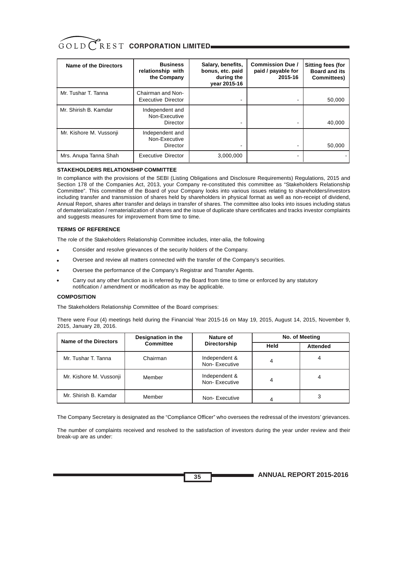| GOLD CREST CORPORATION LIMITED |
|--------------------------------|
|                                |

| Name of the Directors   | <b>Business</b><br>relationship with<br>the Company | Salary, benefits,<br>bonus, etc. paid<br>during the<br>vear 2015-16 | <b>Commission Due /</b><br>paid / payable for<br>2015-16 | <b>Sitting fees (for</b><br><b>Board and its</b><br>Committees) |
|-------------------------|-----------------------------------------------------|---------------------------------------------------------------------|----------------------------------------------------------|-----------------------------------------------------------------|
| Mr. Tushar T. Tanna     | Chairman and Non-<br><b>Executive Director</b>      |                                                                     |                                                          | 50,000                                                          |
| Mr. Shirish B. Kamdar   | Independent and<br>Non-Executive<br>Director        |                                                                     |                                                          | 40,000                                                          |
| Mr. Kishore M. Vussonji | Independent and<br>Non-Executive<br>Director        |                                                                     |                                                          | 50,000                                                          |
| Mrs. Anupa Tanna Shah   | <b>Executive Director</b>                           | 3,000,000                                                           |                                                          |                                                                 |

#### **STAKEHOLDERS RELATIONSHIP COMMITTEE**

In compliance with the provisions of the SEBI (Listing Obligations and Disclosure Requirements) Regulations, 2015 and Section 178 of the Companies Act, 2013, your Company re-constituted this committee as "Stakeholders Relationship Committee". This committee of the Board of your Company looks into various issues relating to shareholders/investors including transfer and transmission of shares held by shareholders in physical format as well as non-receipt of dividend, Annual Report, shares after transfer and delays in transfer of shares. The committee also looks into issues including status of dematerialization / rematerialization of shares and the issue of duplicate share certificates and tracks investor complaints and suggests measures for improvement from time to time.

#### **TERMS OF REFERENCE**

The role of the Stakeholders Relationship Committee includes, inter-alia, the following

- Consider and resolve grievances of the security holders of the Company. •
- Oversee and review all matters connected with the transfer of the Company's securities. •
- Oversee the performance of the Company's Registrar and Transfer Agents. •
- Carry out any other function as is referred by the Board from time to time or enforced by any statutory notification / amendment or modification as may be applicable. •

#### **COMPOSITION**

The Stakeholders Relationship Committee of the Board comprises:

There were Four (4) meetings held during the Financial Year 2015-16 on May 19, 2015, August 14, 2015, November 9, 2015, January 28, 2016.

| <b>Name of the Directors</b> | Designation in the | Nature of                      | No. of Meeting |                 |
|------------------------------|--------------------|--------------------------------|----------------|-----------------|
|                              | <b>Committee</b>   | Directorship                   | Held           | <b>Attended</b> |
| Mr. Tushar T. Tanna          | Chairman           | Independent &<br>Non-Executive | 4              | 4               |
| Mr. Kishore M. Vussonji      | Member             | Independent &<br>Non-Executive | 4              | 4               |
| Mr. Shirish B. Kamdar        | Member             | Non-Executive                  | 4              |                 |

The Company Secretary is designated as the "Compliance Officer" who oversees the redressal of the investors' grievances.

The number of complaints received and resolved to the satisfaction of investors during the year under review and their break-up are as under:

**35**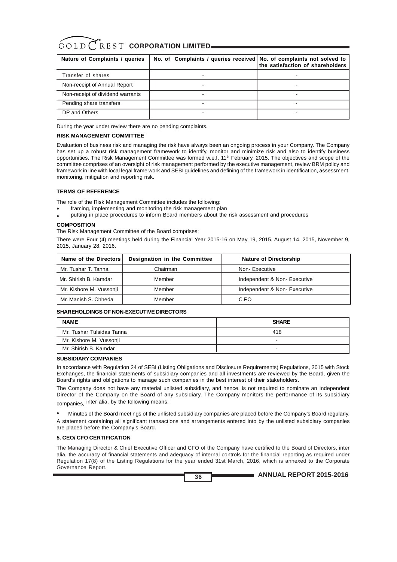| Nature of Complaints / queries   | No. of Complaints / queries received No. of complaints not solved to | the satisfaction of shareholders |
|----------------------------------|----------------------------------------------------------------------|----------------------------------|
| Transfer of shares               |                                                                      |                                  |
| Non-receipt of Annual Report     |                                                                      |                                  |
| Non-receipt of dividend warrants | -                                                                    |                                  |
| Pending share transfers          |                                                                      |                                  |
| DP and Others                    |                                                                      |                                  |

During the year under review there are no pending complaints.

#### **RISK MANAGEMENT COMMITTEE**

Evaluation of business risk and managing the risk have always been an ongoing process in your Company. The Company has set up a robust risk management framework to identify, monitor and minimize risk and also to identify business opportunities. The Risk Management Committee was formed w.e.f. 11<sup>th</sup> February, 2015. The objectives and scope of the committee comprises of an oversight of risk management performed by the executive management, review BRM policy and framework in line with local legal frame work and SEBI guidelines and defining of the framework in identification, assessment, monitoring, mitigation and reporting risk.

#### **TERMS OF REFERENCE**

The role of the Risk Management Committee includes the following:

- framing, implementing and monitoring the risk management plan
- putting in place procedures to inform Board members about the risk assessment and procedures

#### **COMPOSITION**

The Risk Management Committee of the Board comprises:

There were Four (4) meetings held during the Financial Year 2015-16 on May 19, 2015, August 14, 2015, November 9, 2015, January 28, 2016.

| Name of the Directors   | Designation in the Committee | <b>Nature of Directorship</b> |
|-------------------------|------------------------------|-------------------------------|
| Mr. Tushar T. Tanna     | Chairman                     | Non-Executive                 |
| Mr. Shirish B. Kamdar   | Member                       | Independent & Non-Executive   |
| Mr. Kishore M. Vussonji | Member                       | Independent & Non-Executive   |
| Mr. Manish S. Chheda    | Member                       | C.F.O                         |

#### **SHAREHOLDINGS OF NON-EXECUTIVE DIRECTORS**

| <b>NAME</b>               | <b>SHARE</b> |
|---------------------------|--------------|
| Mr. Tushar Tulsidas Tanna | 418          |
| Mr. Kishore M. Vussonji   | -            |
| Mr. Shirish B. Kamdar     |              |

#### **SUBSIDIARY COMPANIES**

In accordance with Regulation 24 of SEBI (Listing Obligations and Disclosure Requirements) Regulations, 2015 with Stock Exchanges, the financial statements of subsidiary companies and all investments are reviewed by the Board, given the Board's rights and obligations to manage such companies in the best interest of their stakeholders.

The Company does not have any material unlisted subsidiary, and hence, is not required to nominate an Independent Director of the Company on the Board of any subsidiary. The Company monitors the performance of its subsidiary companies, inter alia, by the following means:

 Minutes of the Board meetings of the unlisted subsidiary companies are placed before the Company's Board regularly. A statement containing all significant transactions and arrangements entered into by the unlisted subsidiary companies are placed before the Company's Board. •

#### **5. CEO/ CFO CERTIFICATION**

The Managing Director & Chief Executive Officer and CFO of the Company have certified to the Board of Directors, inter alia, the accuracy of financial statements and adequacy of internal controls for the financial reporting as required under Regulation 17(8) of the Listing Regulations for the year ended 31st March, 2016, which is annexed to the Corporate Governance Report.

**36**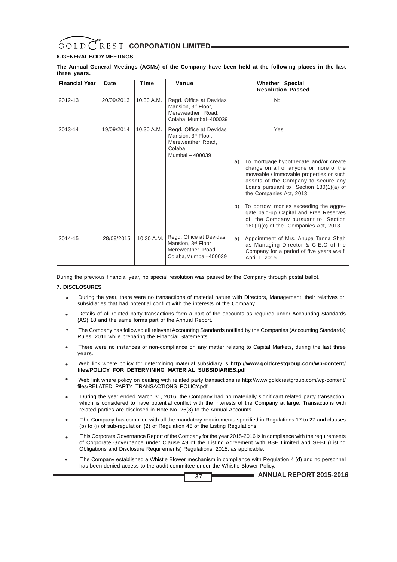

## **6. GENERAL BODY MEETINGS**

**The Annual General Meetings (AGMs) of the Company have been held at the following places in the last three years.**

| <b>Financial Year</b> | Date       | Time       | Venue                                                                                                         | Whether Special<br><b>Resolution Passed</b>                                                                                                                                                                                                      |
|-----------------------|------------|------------|---------------------------------------------------------------------------------------------------------------|--------------------------------------------------------------------------------------------------------------------------------------------------------------------------------------------------------------------------------------------------|
| 2012-13               | 20/09/2013 | 10.30 A.M. | Regd. Office at Devidas<br>Mansion, 3 <sup>rd</sup> Floor,<br>Mereweather Road,<br>Colaba, Mumbai-400039      | <b>No</b>                                                                                                                                                                                                                                        |
| 2013-14               | 19/09/2014 | 10.30 A.M. | Regd. Office at Devidas<br>Mansion, 3 <sup>rd</sup> Floor,<br>Mereweather Road.<br>Colaba.<br>Mumbai - 400039 | Yes                                                                                                                                                                                                                                              |
|                       |            |            |                                                                                                               | To mortgage, hypothecate and/or create<br>a)<br>charge on all or anyone or more of the<br>moveable / immovable properties or such<br>assets of the Company to secure any<br>Loans pursuant to Section $180(1)(a)$ of<br>the Companies Act, 2013. |
|                       |            |            |                                                                                                               | To borrow monies exceeding the aggre-<br>b)<br>gate paid-up Capital and Free Reserves<br>of the Company pursuant to Section<br>180(1)(c) of the Companies Act, 2013                                                                              |
| 2014-15               | 28/09/2015 | 10.30 A.M. | Regd. Office at Devidas<br>Mansion, 3 <sup>rd</sup> Floor<br>Mereweather Road,<br>Colaba, Mumbai-400039       | Appointment of Mrs. Anupa Tanna Shah<br>a)<br>as Managing Director & C.E.O of the<br>Company for a period of five years w.e.f.<br>April 1, 2015.                                                                                                 |

During the previous financial year, no special resolution was passed by the Company through postal ballot.

#### **7. DISCLOSURES**

- During the year, there were no transactions of material nature with Directors, Management, their relatives or subsidiaries that had potential conflict with the interests of the Company. •
- Details of all related party transactions form a part of the accounts as required under Accounting Standards (AS) 18 and the same forms part of the Annual Report. •
- The Company has followed all relevant Accounting Standards notified by the Companies (Accounting Standards) Rules, 2011 while preparing the Financial Statements. •
- There were no instances of non-compliance on any matter relating to Capital Markets, during the last three years. •
- Web link where policy for determining material subsidiary is **http://www.goldcrestgroup.com/wp-content/ files/POLICY\_FOR\_DETERMINING\_MATERIAL\_SUBSIDIARIES.pdf** •
- Web link where policy on dealing with related party transactions is http://www.goldcrestgroup.com/wp-content/ files/RELATED\_PARTY\_TRANSACTIONS\_POLICY.pdf •
- During the year ended March 31, 2016, the Company had no materially significant related party transaction, which is considered to have potential conflict with the interests of the Company at large. Transactions with related parties are disclosed in Note No. 26(8) to the Annual Accounts. •
- The Company has complied with all the mandatory requirements specified in Regulations 17 to 27 and clauses (b) to (i) of sub-regulation (2) of Regulation 46 of the Listing Regulations. •
- This Corporate Governance Report of the Company for the year 2015-2016 is in compliance with the requirements of Corporate Governance under Clause 49 of the Listing Agreement with BSE Limited and SEBI (Listing Obligations and Disclosure Requirements) Regulations, 2015, as applicable. •
- The Company established a Whistle Blower mechanism in compliance with Regulation 4 (d) and no personnel has been denied access to the audit committee under the Whistle Blower Policy. •

**37**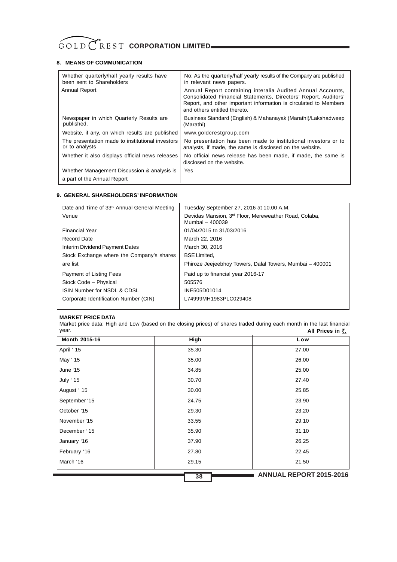# GOLD CREST CORPORATION LIMITED

## **8. MEANS OF COMMUNICATION**

| Whether quarterly/half yearly results have<br>been sent to Shareholders    | No: As the quarterly/half yearly results of the Company are published<br>in relevant news papers.                                                                                                                                  |
|----------------------------------------------------------------------------|------------------------------------------------------------------------------------------------------------------------------------------------------------------------------------------------------------------------------------|
| Annual Report                                                              | Annual Report containing interalia Audited Annual Accounts,<br>Consolidated Financial Statements, Directors' Report, Auditors'<br>Report, and other important information is circulated to Members<br>and others entitled thereto. |
| Newspaper in which Quarterly Results are<br>published.                     | Business Standard (English) & Mahanayak (Marathi)/Lakshadweep<br>(Marathi)                                                                                                                                                         |
| Website, if any, on which results are published                            | www.goldcrestgroup.com                                                                                                                                                                                                             |
| The presentation made to institutional investors<br>or to analysts         | No presentation has been made to institutional investors or to<br>analysts, if made, the same is disclosed on the website.                                                                                                         |
| Whether it also displays official news releases                            | No official news release has been made, if made, the same is<br>disclosed on the website.                                                                                                                                          |
| Whether Management Discussion & analysis is<br>a part of the Annual Report | Yes                                                                                                                                                                                                                                |

### **9. GENERAL SHAREHOLDERS' INFORMATION**

| Date and Time of 33 <sup>rd</sup> Annual General Meeting | Tuesday September 27, 2016 at 10.00 A.M.                                             |
|----------------------------------------------------------|--------------------------------------------------------------------------------------|
| Venue                                                    | Devidas Mansion, 3 <sup>rd</sup> Floor, Mereweather Road, Colaba,<br>Mumbai - 400039 |
| <b>Financial Year</b>                                    | 01/04/2015 to 31/03/2016                                                             |
| Record Date                                              | March 22, 2016                                                                       |
| Interim Dividend Payment Dates                           | March 30, 2016                                                                       |
| Stock Exchange where the Company's shares                | <b>BSE Limited.</b>                                                                  |
| are list                                                 | Phiroze Jeejeebhoy Towers, Dalal Towers, Mumbai - 400001                             |
| Payment of Listing Fees                                  | Paid up to financial year 2016-17                                                    |
| Stock Code - Physical                                    | 505576                                                                               |
| ISIN Number for NSDL & CDSL                              | INE505D01014                                                                         |
| Corporate Identification Number (CIN)                    | L74999MH1983PLC029408                                                                |
|                                                          |                                                                                      |

## **MARKET PRICE DATA**

Market price data: High and Low (based on the closing prices) of shares traded during each month in the last financial year. **All Prices in** 

| Month 2015-16   | <b>High</b> | Low                            |
|-----------------|-------------|--------------------------------|
| April ' 15      | 35.30       | 27.00                          |
| May ' 15        | 35.00       | 26.00                          |
| June '15        | 34.85       | 25.00                          |
| <b>July '15</b> | 30.70       | 27.40                          |
| August ' 15     | 30.00       | 25.85                          |
| September '15   | 24.75       | 23.90                          |
| October '15     | 29.30       | 23.20                          |
| November '15    | 33.55       | 29.10                          |
| December '15    | 35.90       | 31.10                          |
| January '16     | 37.90       | 26.25                          |
| February '16    | 27.80       | 22.45                          |
| March '16       | 29.15       | 21.50                          |
|                 | 38          | <b>ANNUAL REPORT 2015-2016</b> |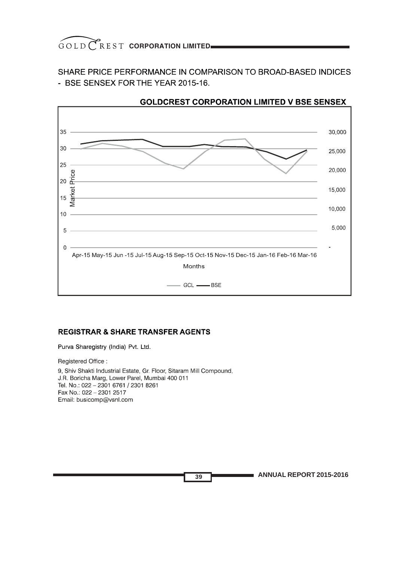SHARE PRICE PERFORMANCE IN COMPARISON TO BROAD-BASED INDICES - BSE SENSEX FOR THE YEAR 2015-16.



# **GOLDCREST CORPORATION LIMITED V BSE SENSEX**

## **REGISTRAR & SHARE TRANSFER AGENTS**

Purva Sharegistry (India) Pvt. Ltd.

Registered Office:

9, Shiv Shakti Industrial Estate, Gr. Floor, Sitaram Mill Compound, J.R. Boricha Marg, Lower Parel, Mumbai 400 011 Tel. No.: 022 - 2301 6761 / 2301 8261 Fax No.: 022 - 2301 2517 Email: busicomp@vsnl.com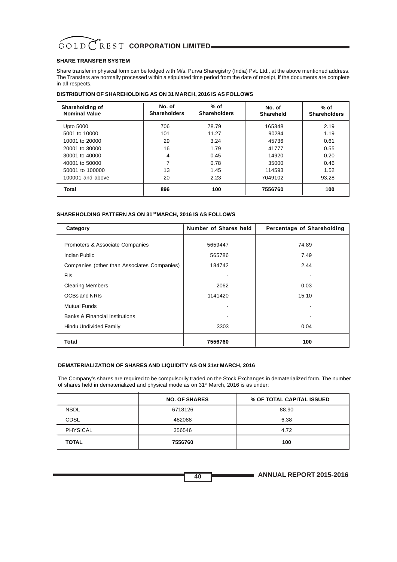## **SHARE TRANSFER SYSTEM**

Share transfer in physical form can be lodged with M/s. Purva Sharegistry (India) Pvt. Ltd., at the above mentioned address. The Transfers are normally processed within a stipulated time period from the date of receipt, if the documents are complete in all respects.

| Shareholding of<br><b>Nominal Value</b> | No. of<br><b>Shareholders</b> | $%$ of<br><b>Shareholders</b> | No. of<br>Shareheld | $%$ of<br><b>Shareholders</b> |
|-----------------------------------------|-------------------------------|-------------------------------|---------------------|-------------------------------|
| <b>Upto 5000</b>                        | 706                           | 78.79                         | 165348              | 2.19                          |
| 5001 to 10000                           | 101                           | 11.27                         | 90284               | 1.19                          |
| 10001 to 20000                          | 29                            | 3.24                          | 45736               | 0.61                          |
| 20001 to 30000                          | 16                            | 1.79                          | 41777               | 0.55                          |
| 30001 to 40000                          | 4                             | 0.45                          | 14920               | 0.20                          |
| 40001 to 50000                          | $\overline{ }$                | 0.78                          | 35000               | 0.46                          |
| 50001 to 100000                         | 13                            | 1.45                          | 114593              | 1.52                          |
| 100001 and above                        | 20                            | 2.23                          | 7049102             | 93.28                         |
| Total                                   | 896                           | 100                           | 7556760             | 100                           |

## **DISTRIBUTION OF SHAREHOLDING AS ON 31 MARCH, 2016 IS AS FOLLOWS**

### **SHAREHOLDING PATTERN AS ON 31STMARCH, 2016 IS AS FOLLOWS**

| Category                                    | Number of Shares held | Percentage of Shareholding |
|---------------------------------------------|-----------------------|----------------------------|
|                                             |                       |                            |
| Promoters & Associate Companies             | 5659447               | 74.89                      |
| Indian Public                               | 565786                | 7.49                       |
| Companies (other than Associates Companies) | 184742                | 2.44                       |
| <b>Flls</b>                                 |                       |                            |
| <b>Clearing Members</b>                     | 2062                  | 0.03                       |
| OCBs and NRIs                               | 1141420               | 15.10                      |
| <b>Mutual Funds</b>                         |                       |                            |
| <b>Banks &amp; Financial Institutions</b>   |                       |                            |
| Hindu Undivided Family                      | 3303                  | 0.04                       |
| Total                                       | 7556760               | 100                        |

#### **DEMATERIALIZATION OF SHARES AND LIQUIDITY AS ON 31st MARCH, 2016**

The Company's shares are required to be compulsorily traded on the Stock Exchanges in dematerialized form. The number of shares held in dematerialized and physical mode as on 31st March, 2016 is as under:

|                 | <b>NO. OF SHARES</b> | % OF TOTAL CAPITAL ISSUED |
|-----------------|----------------------|---------------------------|
| <b>NSDL</b>     | 6718126              | 88.90                     |
| <b>CDSL</b>     | 482088               | 6.38                      |
| <b>PHYSICAL</b> | 356546               | 4.72                      |
| <b>TOTAL</b>    | 7556760              | 100                       |

**ANNUAL REPORT 2015-2016**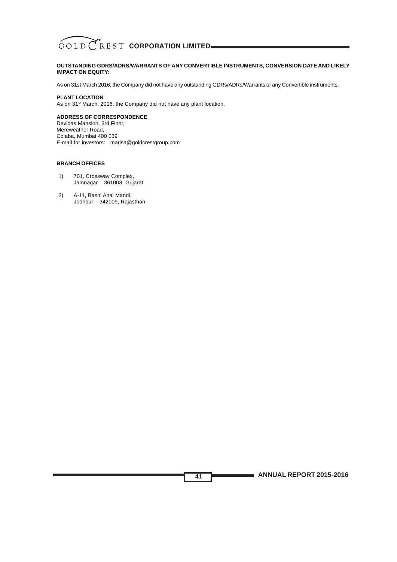

#### **OUTSTANDING GDRS/ADRS/WARRANTS OF ANY CONVERTIBLE INSTRUMENTS, CONVERSION DATE AND LIKELY IMPACT ON EQUITY:**

As on 31st March 2016, the Company did not have any outstanding GDRs/ADRs/Warrants or any Convertible instruments.

**41**

#### **PLANT LOCATION**

As on 31<sup>st</sup> March, 2016, the Company did not have any plant location.

### **ADDRESS OF CORRESPONDENCE**

Devidas Mansion, 3rd Floor, Mereweather Road, Colaba, Mumbai 400 039 E-mail for investors: marisa@goldcrestgroup.com

#### **BRANCH OFFICES**

- 1) 701, Crossway Complex, Jamnagar – 361008, Gujarat.
- 2) A-11, Basni Anaj Mandi, Jodhpur – 342009, Rajasthan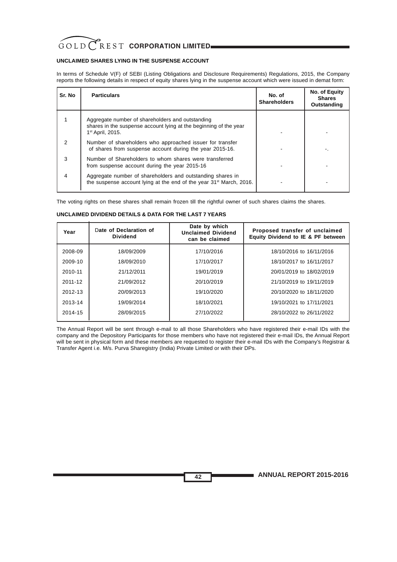### **UNCLAIMED SHARES LYING IN THE SUSPENSE ACCOUNT**

In terms of Schedule V(F) of SEBI (Listing Obligations and Disclosure Requirements) Regulations, 2015, the Company reports the following details in respect of equity shares lying in the suspense account which were issued in demat form:

| Sr. No        | <b>Particulars</b>                                                                                                                                    | No. of<br><b>Shareholders</b> | No. of Equity<br><b>Shares</b><br>Outstanding |
|---------------|-------------------------------------------------------------------------------------------------------------------------------------------------------|-------------------------------|-----------------------------------------------|
|               | Aggregate number of shareholders and outstanding<br>shares in the suspense account lying at the beginning of the year<br>1 <sup>st</sup> April, 2015. |                               |                                               |
| $\mathcal{P}$ | Number of shareholders who approached issuer for transfer<br>of shares from suspense account during the year 2015-16.                                 |                               |                                               |
| 3             | Number of Shareholders to whom shares were transferred<br>from suspense account during the year 2015-16                                               |                               |                                               |
| 4             | Aggregate number of shareholders and outstanding shares in<br>the suspense account lying at the end of the year 31 <sup>st</sup> March, 2016.         |                               |                                               |

The voting rights on these shares shall remain frozen till the rightful owner of such shares claims the shares.

#### **UNCLAIMED DIVIDEND DETAILS & DATA FOR THE LAST 7 YEARS**

| Year    | Date of Declaration of<br><b>Dividend</b> | Date by which<br><b>Unclaimed Dividend</b><br>can be claimed | Proposed transfer of unclaimed<br>Equity Dividend to IE & PF between |
|---------|-------------------------------------------|--------------------------------------------------------------|----------------------------------------------------------------------|
| 2008-09 | 18/09/2009                                | 17/10/2016                                                   | 18/10/2016 to 16/11/2016                                             |
| 2009-10 | 18/09/2010                                | 17/10/2017                                                   | 18/10/2017 to 16/11/2017                                             |
| 2010-11 | 21/12/2011                                | 19/01/2019                                                   | 20/01/2019 to 18/02/2019                                             |
| 2011-12 | 21/09/2012                                | 20/10/2019                                                   | 21/10/2019 to 19/11/2019                                             |
| 2012-13 | 20/09/2013                                | 19/10/2020                                                   | 20/10/2020 to 18/11/2020                                             |
| 2013-14 | 19/09/2014                                | 18/10/2021                                                   | 19/10/2021 to 17/11/2021                                             |
| 2014-15 | 28/09/2015                                | 27/10/2022                                                   | 28/10/2022 to 26/11/2022                                             |
|         |                                           |                                                              |                                                                      |

The Annual Report will be sent through e-mail to all those Shareholders who have registered their e-mail IDs with the company and the Depository Participants for those members who have not registered their e-mail IDs, the Annual Report will be sent in physical form and these members are requested to register their e-mail IDs with the Company's Registrar & Transfer Agent i.e. M/s. Purva Sharegistry (India) Private Limited or with their DPs.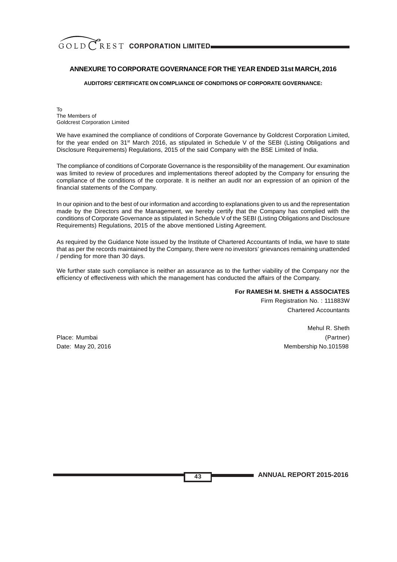## **ANNEXURE TO CORPORATE GOVERNANCE FOR THE YEAR ENDED 31st MARCH, 2016**

**AUDITORS' CERTIFICATE ON COMPLIANCE OF CONDITIONS OF CORPORATE GOVERNANCE:**

To The Members of Goldcrest Corporation Limited

We have examined the compliance of conditions of Corporate Governance by Goldcrest Corporation Limited, for the year ended on 31st March 2016, as stipulated in Schedule V of the SEBI (Listing Obligations and Disclosure Requirements) Regulations, 2015 of the said Company with the BSE Limited of India.

The compliance of conditions of Corporate Governance is the responsibility of the management. Our examination was limited to review of procedures and implementations thereof adopted by the Company for ensuring the compliance of the conditions of the corporate. It is neither an audit nor an expression of an opinion of the financial statements of the Company.

In our opinion and to the best of our information and according to explanations given to us and the representation made by the Directors and the Management, we hereby certify that the Company has complied with the conditions of Corporate Governance as stipulated in Schedule V of the SEBI (Listing Obligations and Disclosure Requirements) Regulations, 2015 of the above mentioned Listing Agreement.

As required by the Guidance Note issued by the Institute of Chartered Accountants of India, we have to state that as per the records maintained by the Company, there were no investors' grievances remaining unattended / pending for more than 30 days.

We further state such compliance is neither an assurance as to the further viability of the Company nor the efficiency of effectiveness with which the management has conducted the affairs of the Company.

**43**

### **For RAMESH M. SHETH & ASSOCIATES**

Firm Registration No. : 111883W Chartered Accountants

Mehul R. Sheth Place: Mumbai (Partner) Date: May 20, 2016 Membership No.101598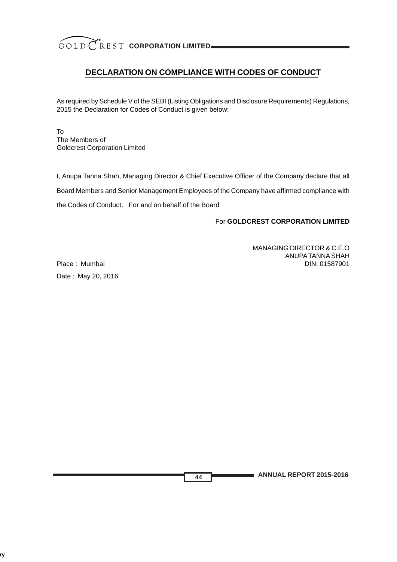# **DECLARATION ON COMPLIANCE WITH CODES OF CONDUCT**

As required by Schedule V of the SEBI (Listing Obligations and Disclosure Requirements) Regulations, 2015 the Declaration for Codes of Conduct is given below:

To The Members of Goldcrest Corporation Limited

I, Anupa Tanna Shah, Managing Director & Chief Executive Officer of the Company declare that all Board Members and Senior Management Employees of the Company have affirmed compliance with the Codes of Conduct. For and on behalf of the Board

**44**

For **GOLDCREST CORPORATION LIMITED**

MANAGING DIRECTOR & C.E.O ANUPA TANNA SHAH Place : MumbaiDIN: 01587901

Date : May 20, 2016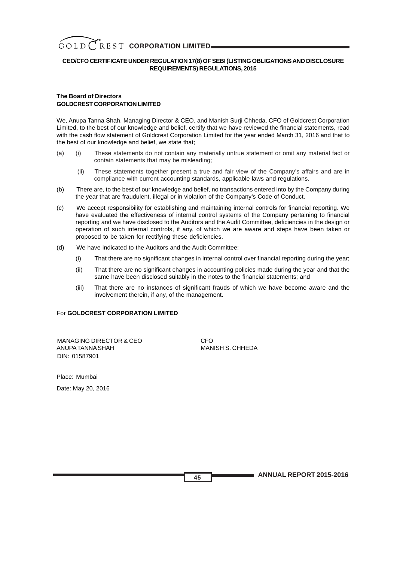

### **CEO/CFO CERTIFICATE UNDER REGULATION 17(8) OF SEBI (LISTING OBLIGATIONS AND DISCLOSURE REQUIREMENTS) REGULATIONS, 2015**

## **The Board of Directors GOLDCREST CORPORATION LIMITED**

We, Anupa Tanna Shah, Managing Director & CEO, and Manish Surji Chheda, CFO of Goldcrest Corporation Limited, to the best of our knowledge and belief, certify that we have reviewed the financial statements, read with the cash flow statement of Goldcrest Corporation Limited for the year ended March 31, 2016 and that to the best of our knowledge and belief, we state that;

- (a) (i) These statements do not contain any materially untrue statement or omit any material fact or contain statements that may be misleading;
	- (ii) These statements together present a true and fair view of the Company's affairs and are in compliance with current accounting standards, applicable laws and regulations.
- (b) There are, to the best of our knowledge and belief, no transactions entered into by the Company during the year that are fraudulent, illegal or in violation of the Company's Code of Conduct.
- (c) We accept responsibility for establishing and maintaining internal controls for financial reporting. We have evaluated the effectiveness of internal control systems of the Company pertaining to financial reporting and we have disclosed to the Auditors and the Audit Committee, deficiencies in the design or operation of such internal controls, if any, of which we are aware and steps have been taken or proposed to be taken for rectifying these deficiencies.
- (d) We have indicated to the Auditors and the Audit Committee:
	- (i) That there are no significant changes in internal control over financial reporting during the year;
	- (ii) That there are no significant changes in accounting policies made during the year and that the same have been disclosed suitably in the notes to the financial statements; and
	- (iii) That there are no instances of significant frauds of which we have become aware and the involvement therein, if any, of the management.

### For **GOLDCREST CORPORATION LIMITED**

MANAGING DIRECTOR & CEO ANUPA TANNA SHAH MANISH S. CHHEDA DIN: 01587901

Place: Mumbai

Date: May 20, 2016

**ANNUAL REPORT 2015-2016**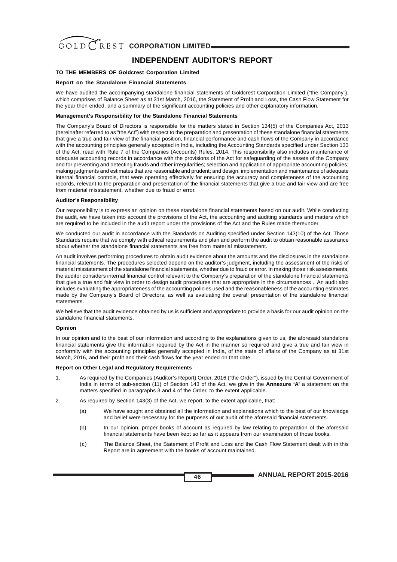# **INDEPENDENT AUDITOR'S REPORT**

#### **TO THE MEMBERS OF Goldcrest Corporation Limited**

#### **Report on the Standalone Financial Statements**

We have audited the accompanying standalone financial statements of Goldcrest Corporation Limited ("the Company"), which comprises of Balance Sheet as at 31st March, 2016, the Statement of Profit and Loss, the Cash Flow Statement for the year then ended, and a summary of the significant accounting policies and other explanatory information.

#### **Management's Responsibility for the Standalone Financial Statements**

The Company's Board of Directors is responsible for the matters stated in Section 134(5) of the Companies Act, 2013 (hereinafter referred to as "the Act") with respect to the preparation and presentation of these standalone financial statements that give a true and fair view of the financial position, financial performance and cash flows of the Company in accordance with the accounting principles generally accepted in India, including the Accounting Standards specified under Section 133 of the Act, read with Rule 7 of the Companies (Accounts) Rules, 2014. This responsibility also includes maintenance of adequate accounting records in accordance with the provisions of the Act for safeguarding of the assets of the Company and for preventing and detecting frauds and other irregularities; selection and application of appropriate accounting policies; making judgments and estimates that are reasonable and prudent; and design, implementation and maintenance of adequate internal financial controls, that were operating effectively for ensuring the accuracy and completeness of the accounting records, relevant to the preparation and presentation of the financial statements that give a true and fair view and are free from material misstatement, whether due to fraud or error.

#### **Auditor's Responsibility**

Our responsibility is to express an opinion on these standalone financial statements based on our audit. While conducting the audit, we have taken into account the provisions of the Act, the accounting and auditing standards and matters which are required to be included in the audit report under the provisions of the Act and the Rules made thereunder.

We conducted our audit in accordance with the Standards on Auditing specified under Section 143(10) of the Act. Those Standards require that we comply with ethical requirements and plan and perform the audit to obtain reasonable assurance about whether the standalone financial statements are free from material misstatement.

An audit involves performing procedures to obtain audit evidence about the amounts and the disclosures in the standalone financial statements. The procedures selected depend on the auditor's judgment, including the assessment of the risks of material misstatement of the standalone financial statements, whether due to fraud or error. In making those risk assessments, the auditor considers internal financial control relevant to the Company's preparation of the standalone financial statements that give a true and fair view in order to design audit procedures that are appropriate in the circumstances . An audit also includes evaluating the appropriateness of the accounting policies used and the reasonableness of the accounting estimates made by the Company's Board of Directors, as well as evaluating the overall presentation of the standalone financial statements.

We believe that the audit evidence obtained by us is sufficient and appropriate to provide a basis for our audit opinion on the standalone financial statements.

#### **Opinion**

In our opinion and to the best of our information and according to the explanations given to us, the aforesaid standalone financial statements give the information required by the Act in the manner so required and give a true and fair view in conformity with the accounting principles generally accepted in India, of the state of affairs of the Company as at 31st March, 2016, and their profit and their cash flows for the year ended on that date.

#### **Report on Other Legal and Regulatory Requirements**

- 1. As required by the Companies (Auditor's Report) Order, 2016 ("the Order"), issued by the Central Government of India in terms of sub-section (11) of Section 143 of the Act, we give in the **Annexure 'A'** a statement on the matters specified in paragraphs 3 and 4 of the Order, to the extent applicable.
- 2. As required by Section 143(3) of the Act, we report, to the extent applicable, that:
	- (a) We have sought and obtained all the information and explanations which to the best of our knowledge and belief were necessary for the purposes of our audit of the aforesaid financial statements.
	- (b) In our opinion, proper books of account as required by law relating to preparation of the aforesaid financial statements have been kept so far as it appears from our examination of those books.
	- (c) The Balance Sheet, the Statement of Profit and Loss and the Cash Flow Statement dealt with in this Report are in agreement with the books of account maintained.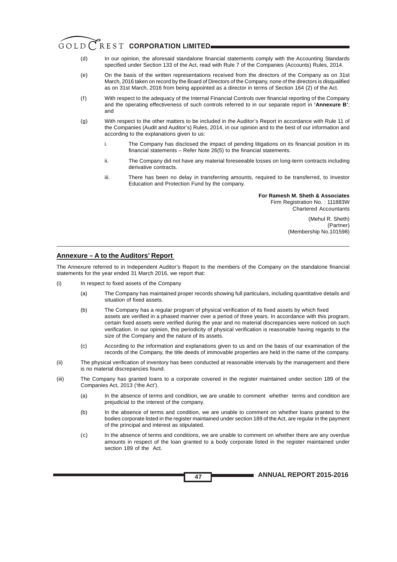# GOLD CREST CORPORATION LIMITED.

- (d) In our opinion, the aforesaid standalone financial statements comply with the Accounting Standards specified under Section 133 of the Act, read with Rule 7 of the Companies (Accounts) Rules, 2014.
- (e) On the basis of the written representations received from the directors of the Company as on 31st March, 2016 taken on record by the Board of Directors of the Company, none of the directors is disqualified as on 31st March, 2016 from being appointed as a director in terms of Section 164 (2) of the Act.
- (f) With respect to the adequacy of the Internal Financial Controls over financial reporting of the Company and the operating effectiveness of such controls referred to in our separate report in **'Annexure B'**; and
- (g) With respect to the other matters to be included in the Auditor's Report in accordance with Rule 11 of the Companies (Audit and Auditor's) Rules, 2014, in our opinion and to the best of our information and according to the explanations given to us:
	- i. The Company has disclosed the impact of pending litigations on its financial position in its financial statements – Refer Note 26(5) to the financial statements.
	- ii. The Company did not have any material foreseeable losses on long-term contracts including derivative contracts.
	- iii. There has been no delay in transferring amounts, required to be transferred, to Investor Education and Protection Fund by the company.

**For Ramesh M. Sheth & Associates** Firm Registration No. : 111883W Chartered Accountants

> (Mehul R. Sheth) (Partner) (Membership No.101598)

### **Annexure – A to the Auditors' Report**

The Annexure referred to in Independent Auditor's Report to the members of the Company on the standalone financial statements for the year ended 31 March 2016, we report that:

- (i) In respect to fixed assets of the Company
	- (a) The Company has maintained proper records showing full particulars, including quantitative details and situation of fixed assets.
	- (b) The Company has a regular program of physical verification of its fixed assets by which fixed assets are verified in a phased manner over a period of three years. In accordance with this program, certain fixed assets were verified during the year and no material discrepancies were noticed on such verification. In our opinion, this periodicity of physical verification is reasonable having regards to the size of the Company and the nature of its assets.
	- (c) According to the information and explanations given to us and on the basis of our examination of the records of the Company, the title deeds of immovable properties are held in the name of the company.
- (ii) The physical verification of inventory has been conducted at reasonable intervals by the management and there is no material discrepancies found.
- (iii) The Company has granted loans to a corporate covered in the register maintained under section 189 of the Companies Act, 2013 ('the Act').
	- (a) In the absence of terms and condition, we are unable to comment whether terms and condition are prejudicial to the interest of the company.
	- (b) In the absence of terms and condition, we are unable to comment on whether loans granted to the bodies corporate listed in the register maintained under section 189 of the Act, are regular in the payment of the principal and interest as stipulated.
	- (c) In the absence of terms and conditions, we are unable to comment on whether there are any overdue amounts in respect of the loan granted to a body corporate listed in the register maintained under section 189 of the Act.

**ANNUAL REPORT 2015-2016**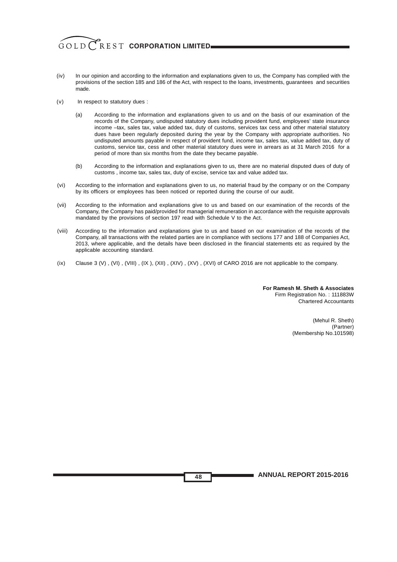- (iv) In our opinion and according to the information and explanations given to us, the Company has complied with the provisions of the section 185 and 186 of the Act, with respect to the loans, investments, guarantees and securities made.
- (v) In respect to statutory dues :
	- (a) According to the information and explanations given to us and on the basis of our examination of the records of the Company, undisputed statutory dues including provident fund, employees' state insurance income –tax, sales tax, value added tax, duty of customs, services tax cess and other material statutory dues have been regularly deposited during the year by the Company with appropriate authorities. No undisputed amounts payable in respect of provident fund, income tax, sales tax, value added tax, duty of customs, service tax, cess and other material statutory dues were in arrears as at 31 March 2016 for a period of more than six months from the date they became payable.
	- (b) According to the information and explanations given to us, there are no material disputed dues of duty of customs , income tax, sales tax, duty of excise, service tax and value added tax.
- (vi) According to the information and explanations given to us, no material fraud by the company or on the Company by its officers or employees has been noticed or reported during the course of our audit.
- (vii) According to the information and explanations give to us and based on our examination of the records of the Company, the Company has paid/provided for managerial remuneration in accordance with the requisite approvals mandated by the provisions of section 197 read with Schedule V to the Act.
- (viii) According to the information and explanations give to us and based on our examination of the records of the Company, all transactions with the related parties are in compliance with sections 177 and 188 of Companies Act, 2013, where applicable, and the details have been disclosed in the financial statements etc as required by the applicable accounting standard.
- (ix) Clause 3 (V), (VII), (VIII), (IX), (XII), (XIV), (XV), (XVI) of CARO 2016 are not applicable to the company.

**For Ramesh M. Sheth & Associates** Firm Registration No. : 111883W Chartered Accountants

> (Mehul R. Sheth) (Partner) (Membership No.101598)

**ANNUAL REPORT 2015-2016**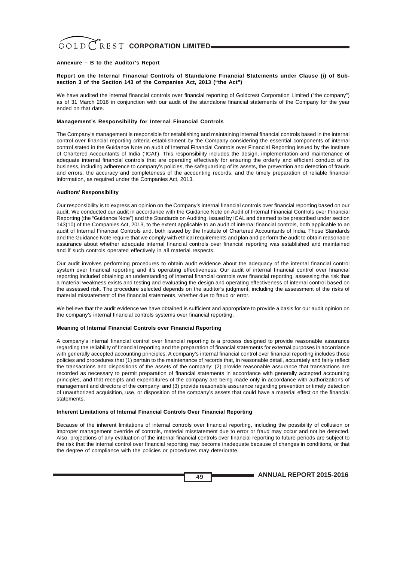#### **Annexure – B to the Auditor's Report**

#### **Report on the Internal Financial Controls of Standalone Financial Statements under Clause (i) of Subsection 3 of the Section 143 of the Companies Act, 2013 ("the Act")**

We have audited the internal financial controls over financial reporting of Goldcrest Corporation Limited ("the company") as of 31 March 2016 in conjunction with our audit of the standalone financial statements of the Company for the year ended on that date.

#### **Management's Responsibility for Internal Financial Controls**

The Company's management is responsible for establishing and maintaining internal financial controls based in the internal control over financial reporting criteria establishment by the Company considering the essential components of internal control stated in the Guidance Note on audit of Internal Financial Controls over Financial Reporting issued by the Institute of Chartered Accountants of India ('ICAI'). This responsibility includes the design, implementation and maintenance of adequate internal financial controls that are operating effectively for ensuring the orderly and efficient conduct of its business, including adherence to company's policies, the safeguarding of its assets, the prevention and detection of frauds and errors, the accuracy and completeness of the accounting records, and the timely preparation of reliable financial information, as required under the Companies Act, 2013.

#### **Auditors' Responsibility**

Our responsibility is to express an opinion on the Company's internal financial controls over financial reporting based on our audit. We conducted our audit in accordance with the Guidance Note on Audit of Internal Financial Controls over Financial Reporting (the "Guidance Note") and the Standards on Auditing, issued by ICAL and deemed to be prescribed under section 143(10) of the Companies Act, 2013, to the extent applicable to an audit of internal financial controls, both applicable to an audit of Internal Financial Controls and, both issued by the Institute of Chartered Accountants of India. Those Standards and the Guidance Note require that we comply with ethical requirements and plan and perform the audit to obtain reasonable assurance about whether adequate internal financial controls over financial reporting was established and maintained and if such controls operated effectively in all material respects.

Our audit involves performing procedures to obtain audit evidence about the adequacy of the internal financial control system over financial reporting and it's operating effectiveness. Our audit of internal financial control over financial reporting included obtaining an understanding of internal financial controls over financial reporting, assessing the risk that a material weakness exists and testing and evaluating the design and operating effectiveness of internal control based on the assessed risk. The procedure selected depends on the auditor's judgment, including the assessment of the risks of material misstatement of the financial statements, whether due to fraud or error.

We believe that the audit evidence we have obtained is sufficient and appropriate to provide a basis for our audit opinion on the company's internal financial controls systems over financial reporting.

#### **Meaning of Internal Financial Controls over Financial Reporting**

A company's internal financial control over financial reporting is a process designed to provide reasonable assurance regarding the reliability of financial reporting and the preparation of financial statements for external purposes in accordance with generally accepted accounting principles. A company's internal financial control over financial reporting includes those policies and procedures that (1) pertain to the maintenance of records that, in reasonable detail, accurately and fairly reflect the transactions and dispositions of the assets of the company; (2) provide reasonable assurance that transactions are recorded as necessary to permit preparation of financial statements in accordance with generally accepted accounting principles, and that receipts and expenditures of the company are being made only in accordance with authorizations of management and directors of the company; and (3) provide reasonable assurance regarding prevention or timely detection of unauthorized acquisition, use, or disposition of the company's assets that could have a material effect on the financial statements.

#### **Inherent Limitations of Internal Financial Controls Over Financial Reporting**

Because of the inherent limitations of internal controls over financial reporting, including the possibility of collusion or improper management override of controls, material misstatement due to error or fraud may occur and not be detected. Also, projections of any evaluation of the internal financial controls over financial reporting to future periods are subject to the risk that the internal control over financial reporting may become inadequate because of changes in conditions, or that the degree of compliance with the policies or procedures may deteriorate.

**ANNUAL REPORT 2015-2016**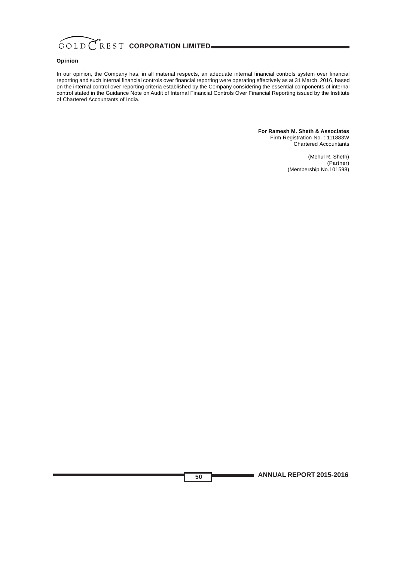

#### **Opinion**

In our opinion, the Company has, in all material respects, an adequate internal financial controls system over financial reporting and such internal financial controls over financial reporting were operating effectively as at 31 March, 2016, based on the internal control over reporting criteria established by the Company considering the essential components of internal control stated in the Guidance Note on Audit of Internal Financial Controls Over Financial Reporting issued by the Institute of Chartered Accountants of India.

**50**

**For Ramesh M. Sheth & Associates** Firm Registration No. : 111883W Chartered Accountants

> (Mehul R. Sheth) (Partner) (Membership No.101598)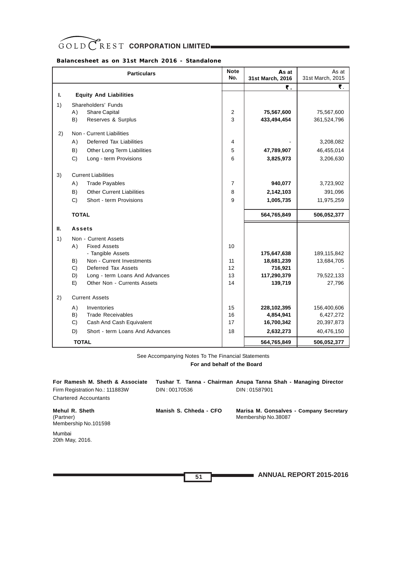# GOLD CREST CORPORATION LIMITED

# **Balancesheet as on 31st March 2016 - Standalone**

|    | <b>Particulars</b>                     | <b>Note</b><br>No. | As at<br>31st March, 2016 | As at<br>31st March, 2015 |
|----|----------------------------------------|--------------------|---------------------------|---------------------------|
|    |                                        |                    | ₹.                        | ₹.                        |
| ı. | <b>Equity And Liabilities</b>          |                    |                           |                           |
| 1) | Shareholders' Funds                    |                    |                           |                           |
|    | Share Capital<br>A)                    | 2                  | 75,567,600                | 75,567,600                |
|    | B)<br>Reserves & Surplus               | 3                  | 433,494,454               | 361,524,796               |
| 2) | Non - Current Liabilities              |                    |                           |                           |
|    | Deferred Tax Liabilities<br>A)         | 4                  |                           | 3,208,082                 |
|    | B)<br>Other Long Term Liabilities      | 5                  | 47,789,907                | 46,455,014                |
|    | C)<br>Long - term Provisions           | 6                  | 3,825,973                 | 3,206,630                 |
|    |                                        |                    |                           |                           |
| 3) | <b>Current Liabilities</b>             |                    |                           |                           |
|    | A)<br><b>Trade Payables</b>            | 7                  | 940,077                   | 3,723,902                 |
|    | B)<br><b>Other Current Liabilities</b> | 8                  | 2,142,103                 | 391,096                   |
|    | C)<br>Short - term Provisions          | 9                  | 1,005,735                 | 11,975,259                |
|    | <b>TOTAL</b>                           |                    | 564,765,849               | 506,052,377               |
| П. | <b>Assets</b>                          |                    |                           |                           |
| 1) | Non - Current Assets                   |                    |                           |                           |
|    | A)<br><b>Fixed Assets</b>              | 10                 |                           |                           |
|    | - Tangible Assets                      |                    | 175,647,638               | 189,115,842               |
|    | Non - Current Investments<br>B)        | 11                 | 18,681,239                | 13,684,705                |
|    | C)<br>Deferred Tax Assets              | 12                 | 716,921                   |                           |
|    | D)<br>Long - term Loans And Advances   | 13                 | 117,290,379               | 79,522,133                |
|    | E)<br>Other Non - Currents Assets      | 14                 | 139,719                   | 27,796                    |
| 2) | <b>Current Assets</b>                  |                    |                           |                           |
|    | A)<br>Inventories                      | 15                 | 228,102,395               | 156,400,606               |
|    | B)<br><b>Trade Receivables</b>         | 16                 | 4,854,941                 | 6,427,272                 |
|    | C)<br>Cash And Cash Equivalent         | 17                 | 16,700,342                | 20,397,873                |
|    | D)<br>Short - term Loans And Advances  | 18                 | 2,632,273                 | 40,476,150                |
|    | <b>TOTAL</b>                           |                    | 564,765,849               | 506,052,377               |

See Accompanying Notes To The Financial Statements

 **For and behalf of the Board**

| For Ramesh M. Sheth & Associate                     |                        | Tushar T. Tanna - Chairman Anupa Tanna Shah - Managing Director |
|-----------------------------------------------------|------------------------|-----------------------------------------------------------------|
| Firm Registration No.: 111883W                      | DIN: 00170536          | DIN: 01587901                                                   |
| <b>Chartered Accountants</b>                        |                        |                                                                 |
| Mehul R. Sheth<br>(Partner)<br>Membership No.101598 | Manish S. Chheda - CFO | Marisa M. Gonsalves - Company Secretary<br>Membership No.38087  |
| Mumbai<br>20th May, 2016.                           |                        |                                                                 |
|                                                     |                        |                                                                 |

**ANNUAL REPORT 2015-2016**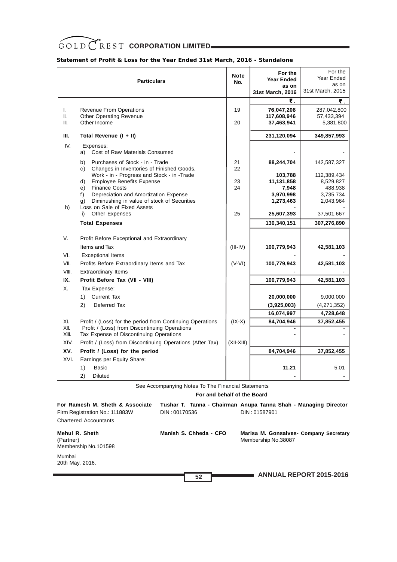# GOLD CREST CORPORATION LIMITED

|                   | <b>Particulars</b>                                                                       | <b>Note</b><br>No. | For the<br><b>Year Ended</b><br>as on<br>31st March, 2016 | For the<br>Year Ended<br>as on<br>31st March, 2015 |
|-------------------|------------------------------------------------------------------------------------------|--------------------|-----------------------------------------------------------|----------------------------------------------------|
|                   |                                                                                          |                    | ₹.                                                        | ₹.                                                 |
| L.<br>II.<br>III. | <b>Revenue From Operations</b><br><b>Other Operating Revenue</b><br>Other Income         | 19<br>20           | 76,047,208<br>117,608,946<br>37,463,941                   | 287,042,800<br>57,433,394<br>5,381,800             |
| Ш.                | Total Revenue (I + II)                                                                   |                    | 231,120,094                                               | 349,857,993                                        |
|                   |                                                                                          |                    |                                                           |                                                    |
| IV.               | Expenses:<br>Cost of Raw Materials Consumed<br>a)                                        |                    |                                                           |                                                    |
|                   | Purchases of Stock - in - Trade<br>b)<br>Changes in Inventories of Finished Goods,<br>C) | 21<br>22           | 88,244,704                                                | 142,587,327                                        |
|                   | Work - in - Progress and Stock - in -Trade                                               |                    | 103,788                                                   | 112,389,434                                        |
|                   | <b>Employee Benefits Expense</b><br>d)                                                   | 23                 | 11,131,858                                                | 8,529,827                                          |
|                   | <b>Finance Costs</b><br>e)<br>Depreciation and Amortization Expense<br>f)                | 24                 | 7,948<br>3,970,998                                        | 488,938<br>3,735,734                               |
|                   | Diminushing in value of stock of Securities<br>g)                                        |                    | 1,273,463                                                 | 2,043,964                                          |
| h)                | Loss on Sale of Fixed Assets<br><b>Other Expenses</b><br>i)                              | 25                 | 25,607,393                                                | 37,501,667                                         |
|                   | <b>Total Expenses</b>                                                                    |                    | 130,340,151                                               | 307,276,890                                        |
|                   |                                                                                          |                    |                                                           |                                                    |
| V.                | Profit Before Exceptional and Extraordinary                                              |                    |                                                           |                                                    |
|                   | Items and Tax                                                                            | $(III-IV)$         | 100,779,943                                               | 42,581,103                                         |
| VI.               | <b>Exceptional Items</b>                                                                 |                    |                                                           |                                                    |
| VII.              | Profits Before Extraordinary Items and Tax                                               | $(V-VI)$           | 100,779,943                                               | 42,581,103                                         |
| VIII.             | Extraordinary Items                                                                      |                    |                                                           |                                                    |
| IX.               | Profit Before Tax (VII - VIII)                                                           |                    | 100,779,943                                               | 42,581,103                                         |
| Х.                | Tax Expense:                                                                             |                    |                                                           |                                                    |
|                   | <b>Current Tax</b><br>1)                                                                 |                    | 20,000,000                                                | 9,000,000                                          |
|                   | 2)<br>Deferred Tax                                                                       |                    | (3,925,003)                                               | (4,271,352)                                        |
|                   |                                                                                          |                    | 16,074,997                                                | 4,728,648                                          |
| XI.               | Profit / (Loss) for the period from Continuing Operations                                | $(IX-X)$           | 84,704,946                                                | 37,852,455                                         |
| XII.              | Profit / (Loss) from Discontinuing Operations                                            |                    |                                                           |                                                    |
| XIII.             | Tax Expense of Discontinuing Operations                                                  |                    |                                                           |                                                    |
| XIV.              | Profit / (Loss) from Discontinuing Operations (After Tax)                                | (XII-XIII)         |                                                           |                                                    |
| XV.               | Profit / (Loss) for the period                                                           |                    | 84,704,946                                                | 37,852,455                                         |
| XVI.              | Earnings per Equity Share:                                                               |                    |                                                           |                                                    |
|                   | <b>Basic</b><br>1)                                                                       |                    | 11.21                                                     | 5.01                                               |
|                   | 2)<br><b>Diluted</b>                                                                     |                    |                                                           |                                                    |

See Accompanying Notes To The Financial Statements

 **For and behalf of the Board**

| For Ramesh M. Sheth & Associate<br>Firm Registration No.: 111883W<br><b>Chartered Accountants</b> | DIN: 00170536          | Tushar T. Tanna - Chairman Anupa Tanna Shah - Managing Director<br>DIN: 01587901 |
|---------------------------------------------------------------------------------------------------|------------------------|----------------------------------------------------------------------------------|
| Mehul R. Sheth<br>(Partner)<br>Membership No.101598                                               | Manish S. Chheda - CFO | Marisa M. Gonsalves- Company Secretary<br>Membership No.38087                    |
| Mumbai<br>20th May, 2016.                                                                         |                        |                                                                                  |
|                                                                                                   | 52                     | <b>ANNUAL REPORT 2015-2016</b>                                                   |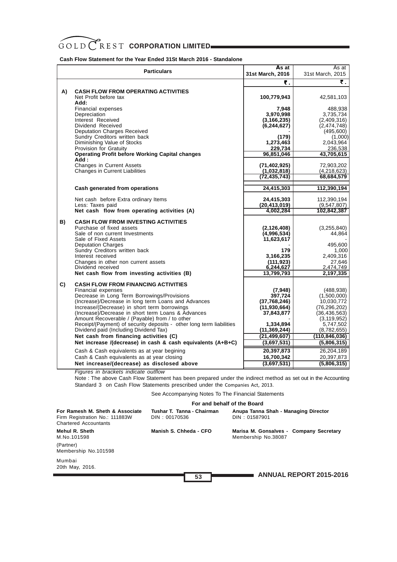**Cash Flow Statement for the Year Ended 31St March 2016 - Standalone**

|    | <b>Particulars</b>                                                                                                                                                                                                                                                                                                                                                                                                                                                                                                                                                                                                                                                                                                                                  | As at<br>31st March, 2016                                                                                                                                                    | As at<br>31st March, 2015                                                                                                                                                                         |
|----|-----------------------------------------------------------------------------------------------------------------------------------------------------------------------------------------------------------------------------------------------------------------------------------------------------------------------------------------------------------------------------------------------------------------------------------------------------------------------------------------------------------------------------------------------------------------------------------------------------------------------------------------------------------------------------------------------------------------------------------------------------|------------------------------------------------------------------------------------------------------------------------------------------------------------------------------|---------------------------------------------------------------------------------------------------------------------------------------------------------------------------------------------------|
|    |                                                                                                                                                                                                                                                                                                                                                                                                                                                                                                                                                                                                                                                                                                                                                     | ₹.                                                                                                                                                                           | ₹.                                                                                                                                                                                                |
| A) | <b>CASH FLOW FROM OPERATING ACTIVITIES</b><br>Net Profit before tax<br>Add:                                                                                                                                                                                                                                                                                                                                                                                                                                                                                                                                                                                                                                                                         | 100,779,943                                                                                                                                                                  | 42,581,103                                                                                                                                                                                        |
|    | <b>Financial expenses</b><br>Depreciation<br>Interest Received<br>Dividend Received<br><b>Deputation Charges Received</b><br>Sundry Creditors written back<br>Diminishing Value of Stocks<br><b>Provision for Gratuity</b><br><b>Operating Profit before Working Capital changes</b><br>Add:<br><b>Changes in Current Assets</b><br><b>Changes in Current Liabilities</b>                                                                                                                                                                                                                                                                                                                                                                           | 7,948<br>3,970,998<br>(3, 166, 235)<br>(6, 244, 627)<br>(179)<br>1,273,463<br>229,734<br>96,851,046<br>(71, 402, 925)<br>(1,032,818)<br>(72,435,743)                         | 488,938<br>3,735,734<br>(2,409,316)<br>(2,474,748)<br>(495,600)<br>(1,000)<br>2,043,964<br>236,538<br>43,705,615<br>72,903,202<br>(4,218,623)<br>68,684,579                                       |
|    | Cash generated from operations                                                                                                                                                                                                                                                                                                                                                                                                                                                                                                                                                                                                                                                                                                                      | 24,415,303                                                                                                                                                                   | 112,390,194                                                                                                                                                                                       |
|    | Net cash before Extra ordinary Items<br>Less: Taxes paid<br>Net cash flow from operating activities (A)                                                                                                                                                                                                                                                                                                                                                                                                                                                                                                                                                                                                                                             | 24,415,303<br>(20, 413, 019)<br>4,002,284                                                                                                                                    | 112,390,194<br>(9,547,807)<br>102,842,387                                                                                                                                                         |
| B) | <b>CASH FLOW FROM INVESTING ACTIVITIES</b><br>Purchase of fixed assets<br>Sale of non current Investments<br>Sale of Fixed Assets<br><b>Deputation Charges</b><br>Sundry Creditors written back<br>Interest received<br>Changes in other non current assets<br>Dividend received<br>Net cash flow from investing activities (B)                                                                                                                                                                                                                                                                                                                                                                                                                     | (2, 126, 408)<br>(4,996,534)<br>11,623,617<br>179<br>3,166,235<br>(111, 923)<br>6,244,627<br>13,799,793                                                                      | (3,255,840)<br>44,864<br>495,600<br>1,000<br>2,409,316<br>27,646<br>2,474,749<br>2,197,335                                                                                                        |
| C) | <b>CASH FLOW FROM FINANCING ACTIVITIES</b><br><b>Financial expenses</b><br>Decrease in Long Term Borrowings/Provisions<br>(Increase)/Decrease in long term Loans and Advances<br>Increase/(Decrease) in short term borrowings<br>(Increase)/Decrease in short term Loans & Advances<br>Amount Recoverable / (Payable) from / to other<br>Receipt/(Payment) of security deposits - other long term liabilities<br>Dividend paid (Including Dividend Tax)<br>Net cash from financing activities (C)<br>Net increase /(decrease) in cash & cash equivalents (A+B+C)<br>Cash & Cash equivalents as at year begining<br>Cash & Cash equivalents as at year closing<br>Net increase/(decrease) as disclosed above<br>Figures in brackets indicate outflow | (7, 948)<br>397,724<br>(37,768,246)<br>(11, 930, 664)<br>37,843,877<br>1,334,894<br>(11,369,244)<br>(21, 499, 607)<br>(3,697,531)<br>20,397,873<br>16,700,342<br>(3,697,531) | (488, 938)<br>(1,500,000)<br>10,030,772<br>(76,296,202)<br>(36, 436, 563)<br>(3, 119, 952)<br>5,747,502<br>(8,782,655)<br>(110,846,036)<br>(5,806,315)<br>26,204,189<br>20,397,873<br>(5,806,315) |

Note : The above Cash Flow Statement has been prepared under the indirect method as set out in the Accounting Standard 3 on Cash Flow Statements prescribed under the Companies Act, 2013.

See Accompanying Notes To The Financial Statements

#### **For and behalf of the Board**

| For Ramesh M. Sheth & Associate<br>Firm Registration No.: 111883W<br><b>Chartered Accountants</b> | Tushar T. Tanna - Chairman<br>DIN: 00170536 | Anupa Tanna Shah - Managing Director<br>DIN: 01587901          |
|---------------------------------------------------------------------------------------------------|---------------------------------------------|----------------------------------------------------------------|
| Mehul R. Sheth<br>M.No.101598                                                                     | Manish S. Chheda - CFO                      | Marisa M. Gonsalves - Company Secretary<br>Membership No.38087 |
| (Partner)<br>Membership No.101598                                                                 |                                             |                                                                |
| Mumbai<br>20th May, 2016.                                                                         |                                             |                                                                |
|                                                                                                   | 53                                          | <b>ANNUAL REPORT 2015-2016</b>                                 |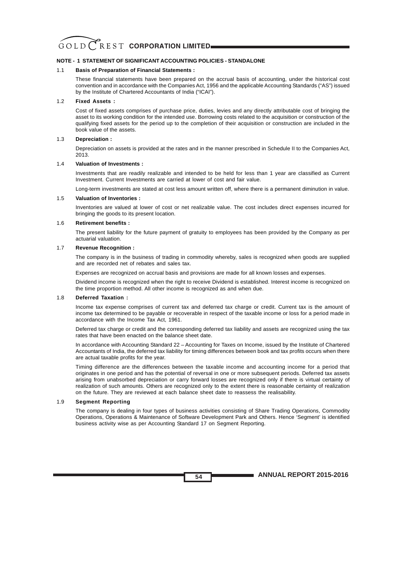#### **NOTE - 1 STATEMENT OF SIGNIFICANT ACCOUNTING POLICIES - STANDALONE**

#### 1.1 **Basis of Preparation of Financial Statements :**

These financial statements have been prepared on the accrual basis of accounting, under the historical cost convention and in accordance with the Companies Act, 1956 and the applicable Accounting Standards ("AS") issued by the Institute of Chartered Accountants of India ("ICAI").

#### 1.2 **Fixed Assets :**

Cost of fixed assets comprises of purchase price, duties, levies and any directly attributable cost of bringing the asset to its working condition for the intended use. Borrowing costs related to the acquisition or construction of the qualifying fixed assets for the period up to the completion of their acquisition or construction are included in the book value of the assets.

#### 1.3 **Depreciation :**

Depreciation on assets is provided at the rates and in the manner prescribed in Schedule II to the Companies Act, 2013.

#### 1.4 **Valuation of Investments :**

Investments that are readily realizable and intended to be held for less than 1 year are classified as Current Investment. Current Investments are carried at lower of cost and fair value.

Long-term investments are stated at cost less amount written off, where there is a permanent diminution in value.

#### 1.5 **Valuation of Inventories :**

Inventories are valued at lower of cost or net realizable value. The cost includes direct expenses incurred for bringing the goods to its present location.

#### 1.6 **Retirement benefits :**

The present liability for the future payment of gratuity to employees has been provided by the Company as per actuarial valuation.

#### 1.7 **Revenue Recognition :**

The company is in the business of trading in commodity whereby, sales is recognized when goods are supplied and are recorded net of rebates and sales tax.

Expenses are recognized on accrual basis and provisions are made for all known losses and expenses.

Dividend income is recognized when the right to receive Dividend is established. Interest income is recognized on the time proportion method. All other income is recognized as and when due.

#### 1.8 **Deferred Taxation :**

Income tax expense comprises of current tax and deferred tax charge or credit. Current tax is the amount of income tax determined to be payable or recoverable in respect of the taxable income or loss for a period made in accordance with the Income Tax Act, 1961.

Deferred tax charge or credit and the corresponding deferred tax liability and assets are recognized using the tax rates that have been enacted on the balance sheet date.

In accordance with Accounting Standard 22 – Accounting for Taxes on Income, issued by the Institute of Chartered Accountants of India, the deferred tax liability for timing differences between book and tax profits occurs when there are actual taxable profits for the year.

Timing difference are the differences between the taxable income and accounting income for a period that originates in one period and has the potential of reversal in one or more subsequent periods. Deferred tax assets arising from unabsorbed depreciation or carry forward losses are recognized only if there is virtual certainty of realization of such amounts. Others are recognized only to the extent there is reasonable certainty of realization on the future. They are reviewed at each balance sheet date to reassess the realisability.

#### 1.9 **Segment Reporting**

The company is dealing in four types of business activities consisting of Share Trading Operations, Commodity Operations, Operations & Maintenance of Software Development Park and Others. Hence 'Segment' is identified business activity wise as per Accounting Standard 17 on Segment Reporting.

**ANNUAL REPORT 2015-2016**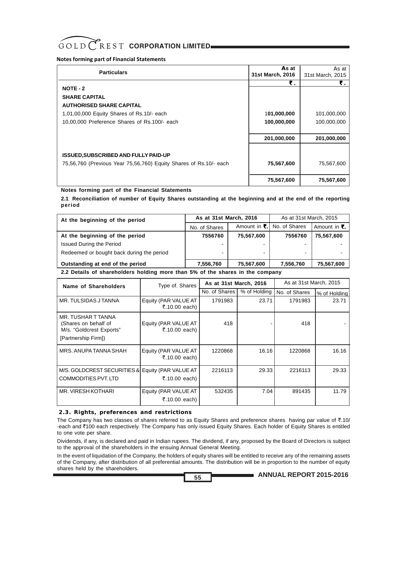#### **Notes forming part of Financial Statements**

| <b>Particulars</b>                                                                                               | As at<br>31st March, 2016  | As at<br>31st March, 2015  |
|------------------------------------------------------------------------------------------------------------------|----------------------------|----------------------------|
| $NOTE - 2$<br><b>SHARE CAPITAL</b><br><b>AUTHORISED SHARE CAPITAL</b>                                            | ₹.                         | ₹.                         |
| 1,01,00,000 Equity Shares of Rs.10/- each<br>10,00,000 Preference Shares of Rs.100/- each                        | 101,000,000<br>100,000,000 | 101,000,000<br>100,000,000 |
|                                                                                                                  | 201,000,000                | 201,000,000                |
| <b>ISSUED, SUBSCRIBED AND FULLY PAID-UP</b><br>75,56,760 (Previous Year 75,56,760) Equity Shares of Rs.10/- each | 75,567,600                 | 75,567,600                 |
|                                                                                                                  | 75,567,600                 | 75,567,600                 |

### **Notes forming part of the Financial Statements**

**2.1 Reconciliation of number of Equity Shares outstanding at the beginning and at the end of the reporting period**

| At the beginning of the period                                                | As at 31st March, 2016 |            | As at 31st March, 2015       |                                     |  |  |
|-------------------------------------------------------------------------------|------------------------|------------|------------------------------|-------------------------------------|--|--|
|                                                                               | No. of Shares          |            | Amount in ₹.   No. of Shares | Amount in $\overline{\mathbf{z}}$ . |  |  |
| At the beginning of the period                                                | 7556760                | 75,567,600 | 7556760                      | 75,567,600                          |  |  |
| <b>Issued During the Period</b>                                               | ۰.                     |            |                              |                                     |  |  |
| Redeemed or bought back during the period                                     | -                      |            | -                            |                                     |  |  |
| Outstanding at end of the period                                              | 7,556,760              | 75,567,600 | 7,556,760                    | 75,567,600                          |  |  |
| 2.2 Details of shareholders holding more than 5% of the shares in the company |                        |            |                              |                                     |  |  |

| Name of Shareholders                                                                          | Type of. Shares                       | As at 31st March, 2016 |              | As at 31st March, 2015 |              |
|-----------------------------------------------------------------------------------------------|---------------------------------------|------------------------|--------------|------------------------|--------------|
|                                                                                               |                                       | No. of Shares          | % of Holding | No. of Shares          | % of Holding |
| MR. TULSIDAS J TANNA                                                                          | Equity (PAR VALUE AT<br>₹.10.00 each) | 1791983                | 23.71        | 1791983                | 23.71        |
| MR. TUSHAR T TANNA<br>(Shares on behalf of<br>M/s. "Goldcrest Exports"<br>[Partnership Firm]) | Equity (PAR VALUE AT<br>₹.10.00 each) | 418                    |              | 418                    |              |
| MRS. ANUPA TANNA SHAH                                                                         | Equity (PAR VALUE AT<br>₹.10.00 each) | 1220868                | 16.16        | 1220868                | 16.16        |
| M/S. GOLDCREST SECURITIES & Equity (PAR VALUE AT<br><b>COMMODITIES PVT. LTD</b>               | ₹.10.00 each)                         | 2216113                | 29.33        | 2216113                | 29.33        |
| <b>MR. VIRESH KOTHARI</b>                                                                     | Equity (PAR VALUE AT<br>₹.10.00 each) | 532435                 | 7.04         | 891435                 | 11.79        |

### **2.3. Rights, preferences and restrictions**

The Company has two classes of shares referred to as Equity Shares and preference shares having par value of  $\bar{\tau}$ .10/ -each and ₹100 each respectively. The Company has only issued Equity Shares. Each holder of Equity Shares is entitled to one vote per share.

Dividends, if any, is declared and paid in Indian rupees. The dividend, if any, proposed by the Board of Directors is subject to the approval of the shareholders in the ensuing Annual General Meeting.

In the event of liquidation of the Company, the holders of equity shares will be entitled to receive any of the remaining assets of the Company, after distribution of all preferential amounts. The distribution will be in proportion to the number of equity shares held by the shareholders.

**ANNUAL REPORT 2015-2016**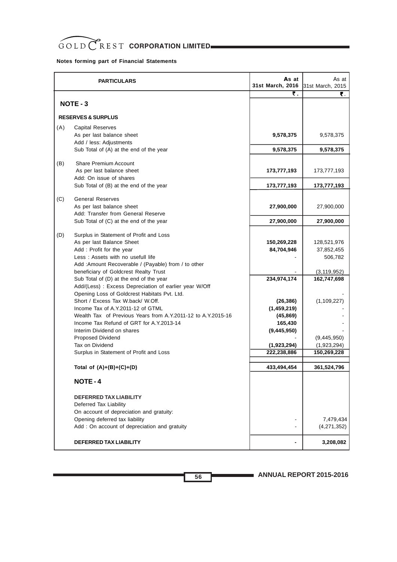## **Notes forming part of Financial Statements**

|     | <b>PARTICULARS</b>                                                                                                                                                                                                                                                                                                                                                                         | As at<br>31st March, 2016                                         | As at<br>31st March, 2015                                            |
|-----|--------------------------------------------------------------------------------------------------------------------------------------------------------------------------------------------------------------------------------------------------------------------------------------------------------------------------------------------------------------------------------------------|-------------------------------------------------------------------|----------------------------------------------------------------------|
|     |                                                                                                                                                                                                                                                                                                                                                                                            | ₹.                                                                | ₹.                                                                   |
|     | NOTE - 3                                                                                                                                                                                                                                                                                                                                                                                   |                                                                   |                                                                      |
|     | <b>RESERVES &amp; SURPLUS</b>                                                                                                                                                                                                                                                                                                                                                              |                                                                   |                                                                      |
| (A) | <b>Capital Reserves</b><br>As per last balance sheet                                                                                                                                                                                                                                                                                                                                       | 9,578,375                                                         | 9,578,375                                                            |
|     | Add / less: Adjustments<br>Sub Total of (A) at the end of the year                                                                                                                                                                                                                                                                                                                         | 9,578,375                                                         | 9,578,375                                                            |
|     |                                                                                                                                                                                                                                                                                                                                                                                            |                                                                   |                                                                      |
| (B) | <b>Share Premium Account</b><br>As per last balance sheet                                                                                                                                                                                                                                                                                                                                  | 173,777,193                                                       | 173,777,193                                                          |
|     | Add: On issue of shares<br>Sub Total of (B) at the end of the year                                                                                                                                                                                                                                                                                                                         | 173,777,193                                                       | 173,777,193                                                          |
|     |                                                                                                                                                                                                                                                                                                                                                                                            |                                                                   |                                                                      |
| (C) | <b>General Reserves</b><br>As per last balance sheet<br>Add: Transfer from General Reserve                                                                                                                                                                                                                                                                                                 | 27,900,000                                                        | 27,900,000                                                           |
|     | Sub Total of (C) at the end of the year                                                                                                                                                                                                                                                                                                                                                    | 27,900,000                                                        | 27,900,000                                                           |
|     |                                                                                                                                                                                                                                                                                                                                                                                            |                                                                   |                                                                      |
| (D) | Surplus in Statement of Profit and Loss<br>As per last Balance Sheet<br>Add: Profit for the year<br>Less: Assets with no usefull life<br>Add: Amount Recoverable / (Payable) from / to other<br>beneficiary of Goldcrest Realty Trust<br>Sub Total of (D) at the end of the year<br>Add/(Less) : Excess Depreciation of earlier year W/Off<br>Opening Loss of Goldcrest Habitats Pvt. Ltd. | 150,269,228<br>84,704,946<br>234,974,174                          | 128,521,976<br>37,852,455<br>506,782<br>(3, 119, 952)<br>162,747,698 |
|     | Short / Excess Tax W.back/ W.Off.<br>Income Tax of A.Y.2011-12 of GTML<br>Wealth Tax of Previous Years from A.Y.2011-12 to A.Y.2015-16<br>Income Tax Refund of GRT for A.Y.2013-14<br>Interim Dividend on shares<br><b>Proposed Dividend</b>                                                                                                                                               | (26, 386)<br>(1,459,219)<br>(45, 869)<br>165,430<br>(9, 445, 950) | (1, 109, 227)<br>(9,445,950)                                         |
|     | Tax on Dividend                                                                                                                                                                                                                                                                                                                                                                            | (1,923,294)                                                       | (1,923,294)                                                          |
|     | Surplus in Statement of Profit and Loss                                                                                                                                                                                                                                                                                                                                                    | 222,238,886                                                       | 150,269,228                                                          |
|     | Total of $(A)+(B)+(C)+(D)$                                                                                                                                                                                                                                                                                                                                                                 | 433,494,454                                                       | 361,524,796                                                          |
|     | <b>NOTE-4</b>                                                                                                                                                                                                                                                                                                                                                                              |                                                                   |                                                                      |
|     | <b>DEFERRED TAX LIABILITY</b><br>Deferred Tax Liability<br>On account of depreciation and gratuity:<br>Opening deferred tax liability<br>Add : On account of depreciation and gratuity                                                                                                                                                                                                     |                                                                   | 7,479,434<br>(4,271,352)                                             |
|     | DEFERRED TAX LIABILITY                                                                                                                                                                                                                                                                                                                                                                     |                                                                   | 3,208,082                                                            |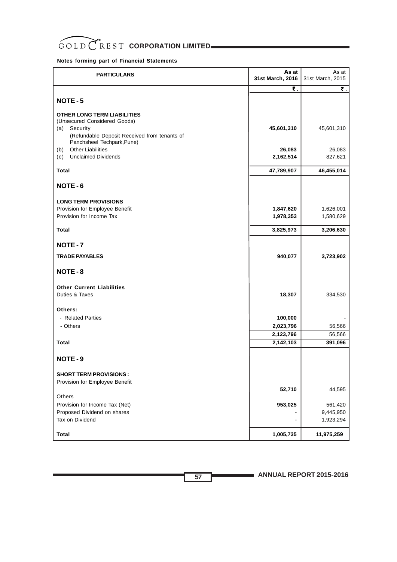

**Notes forming part of Financial Statements**

| <b>PARTICULARS</b>                                              | As at<br>31st March, 2016 | As at<br>31st March, 2015 |
|-----------------------------------------------------------------|---------------------------|---------------------------|
|                                                                 | ₹.                        | ₹.                        |
| NOTE-5                                                          |                           |                           |
| <b>OTHER LONG TERM LIABILITIES</b>                              |                           |                           |
| (Unsecured Considered Goods)                                    |                           |                           |
| (a)<br>Security<br>(Refundable Deposit Received from tenants of | 45,601,310                | 45,601,310                |
| Panchsheel Techpark, Pune)                                      |                           |                           |
| <b>Other Liabilities</b><br>(b)                                 | 26,083                    | 26,083                    |
| <b>Unclaimed Dividends</b><br>(c)                               | 2,162,514                 | 827,621                   |
| Total                                                           | 47,789,907                | 46,455,014                |
| NOTE-6                                                          |                           |                           |
|                                                                 |                           |                           |
| <b>LONG TERM PROVISIONS</b>                                     |                           |                           |
| Provision for Employee Benefit<br>Provision for Income Tax      | 1,847,620<br>1,978,353    | 1,626,001<br>1,580,629    |
|                                                                 |                           |                           |
| <b>Total</b>                                                    | 3,825,973                 | 3,206,630                 |
| NOTE-7                                                          |                           |                           |
| <b>TRADE PAYABLES</b>                                           | 940,077                   | 3,723,902                 |
| NOTE-8                                                          |                           |                           |
| <b>Other Current Liabilities</b>                                |                           |                           |
| Duties & Taxes                                                  | 18,307                    | 334,530                   |
|                                                                 |                           |                           |
| Others:                                                         |                           |                           |
| - Related Parties                                               | 100,000                   |                           |
| - Others                                                        | 2,023,796                 | 56,566                    |
| Total                                                           | 2,123,796<br>2,142,103    | 56,566<br>391,096         |
|                                                                 |                           |                           |
| NOTE-9                                                          |                           |                           |
| <b>SHORT TERM PROVISIONS:</b>                                   |                           |                           |
| Provision for Employee Benefit                                  |                           |                           |
|                                                                 | 52,710                    | 44,595                    |
| Others                                                          |                           |                           |
| Provision for Income Tax (Net)                                  | 953,025                   | 561,420                   |
| Proposed Dividend on shares<br>Tax on Dividend                  |                           | 9,445,950<br>1,923,294    |
|                                                                 |                           |                           |
| <b>Total</b>                                                    | 1,005,735                 | 11,975,259                |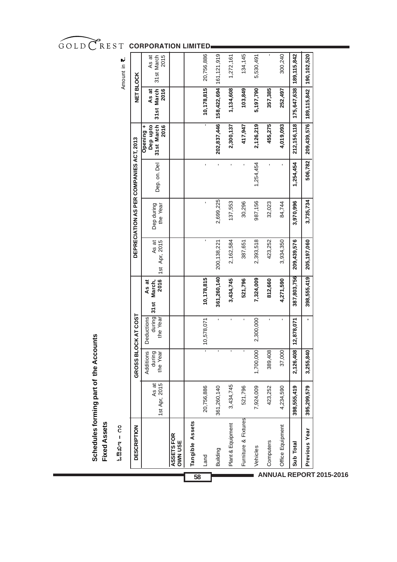| IJ         |                                         | 2015                                           |                              |                 |            |                           |                   |                      |           | ı         |                  |               |               |
|------------|-----------------------------------------|------------------------------------------------|------------------------------|-----------------|------------|---------------------------|-------------------|----------------------|-----------|-----------|------------------|---------------|---------------|
| Amount in  |                                         | As at<br>31st March                            |                              |                 | 20,756,886 |                           | 1,272,161         | 134,145              | 5,530,491 |           | 300,240          | 189, 115, 842 | 190,102,520   |
|            | <b>NET BLOCK</b>                        | 31st March<br>As at<br>2016                    |                              |                 | 10,178,815 | 158,422,694   161,121,919 | 1,134,608         | 103,849              | 5,197,790 | 357,385   | 252,497          | 175,647,638   | 189, 115, 842 |
|            |                                         | 31st March<br>2016<br>Dep upto<br>٠<br>Opening |                              |                 |            | 202,837,446               | 2,300,137         | 417,947              | 2,126,219 | 455,275   | 4,019,093        | 212, 156, 118 | 209,439,576   |
|            |                                         | Dep.on. Del                                    |                              |                 | ı          | ı.                        |                   |                      | 1,254,454 | ï         | ı                | 1,254,454     | 506,782       |
|            | DEPRECIATION AS PER COMPANIES ACT, 2013 | Dep during<br>the Year                         |                              |                 | ,          | 2,699,225                 | 137,553           | 30,296               | 987,156   | 32,023    | 84,744           | 3,970,996     | 3,735,734     |
|            |                                         | As at<br>1st Apr, 2015                         |                              |                 | ı          | 200, 138, 221             | 2,162,584         | 387,651              | 2,393,518 | 423,252   | 3,934,350        | 209,439,576   | 205,197,060   |
|            |                                         | 2016<br>March,<br>As at<br>31st                |                              |                 | 10,178,815 | 361,260,140               | 3,434,745         | 521,796              | 7,324,009 | 812,660   | 4,271,590        | 387,803,756   | 398,555,419   |
|            | <b>OCK AT COST</b>                      | during<br>Deductions<br>the Year               |                              |                 | 10,578,071 | í.                        | ı.                | $\blacksquare$       | 2,300,000 | ı         | ı                | 12,878,071    |               |
|            | GROSS BL                                | Additions<br>during<br>the Year                |                              |                 |            |                           |                   |                      | 1,700,000 | 389,408   | 37,000           | 2,126,408     | 3,255,840     |
|            |                                         | As at<br>1st Apr, 2015                         |                              |                 | 20,756,886 | 361,260,140               | 3,434,745         | 521,796              | 7,924,009 | 423,252   | 4,234,590        | 398,555,419   | 395,299,579   |
| ಓಔಖಿಇ – ೧೦ | <b>DESCRIPTION</b>                      |                                                | ASSETS FOR<br><b>OWN USE</b> | Tangible Assets | Land       | Building                  | Plant & Equipment | Furniture & Fixtures | Vehicles  | Computers | Office Equipment | Sub Total     | Previous Year |
|            |                                         |                                                |                              |                 |            |                           |                   |                      |           |           |                  |               |               |

GOLD CREST CORPORATION LIMITED

**Schedules forming part of the Accounts**

Schedules forming part of the Accounts<br>Fixed Assets

**Fixed Assets**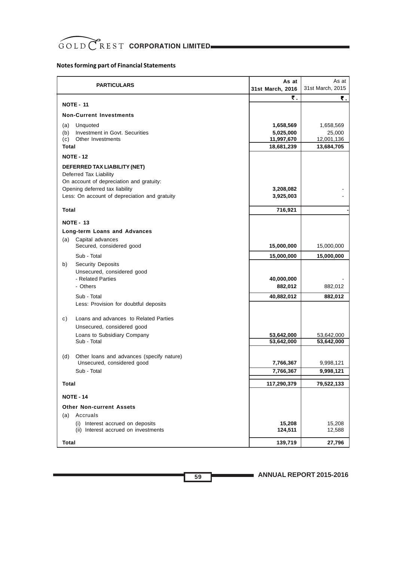# **Notes forming part of Financial Statements**

| <b>PARTICULARS</b>                                                                                                                                                                    | As at<br>31st March, 2016                          | As at<br>31st March, 2015                       |
|---------------------------------------------------------------------------------------------------------------------------------------------------------------------------------------|----------------------------------------------------|-------------------------------------------------|
| <b>NOTE - 11</b>                                                                                                                                                                      | ₹.                                                 | ₹.                                              |
| <b>Non-Current Investments</b>                                                                                                                                                        |                                                    |                                                 |
| (a)<br>Unquoted<br>(b)<br>Investment in Govt. Securities<br>Other Investments<br>(c)<br>Total                                                                                         | 1,658,569<br>5,025,000<br>11,997,670<br>18,681,239 | 1,658,569<br>25,000<br>12,001,136<br>13,684,705 |
| <b>NOTE - 12</b>                                                                                                                                                                      |                                                    |                                                 |
| DEFERRED TAX LIABILITY (NET)<br>Deferred Tax Liability<br>On account of depreciation and gratuity:<br>Opening deferred tax liability<br>Less: On account of depreciation and gratuity | 3,208,082<br>3,925,003                             |                                                 |
| Total                                                                                                                                                                                 | 716,921                                            |                                                 |
| <b>NOTE - 13</b><br>Long-term Loans and Advances                                                                                                                                      |                                                    |                                                 |
| Capital advances<br>(a)<br>Secured, considered good                                                                                                                                   | 15,000,000                                         | 15,000,000                                      |
| Sub - Total                                                                                                                                                                           | 15,000,000                                         | 15,000,000                                      |
| <b>Security Deposits</b><br>b)<br>Unsecured, considered good<br>- Related Parties<br>- Others<br>Sub - Total<br>Less: Provision for doubtful deposits                                 | 40,000,000<br>882,012<br>40,882,012                | 882,012<br>882,012                              |
| Loans and advances to Related Parties<br>C)<br>Unsecured, considered good                                                                                                             |                                                    |                                                 |
| Loans to Subsidiary Company                                                                                                                                                           | 53,642,000                                         | 53,642,000                                      |
| Sub - Total<br>Other loans and advances (specify nature)<br>(d)<br>Unsecured, considered good<br>Sub - Total                                                                          | 53,642,000<br>7,766,367<br>7,766,367               | 53,642,000<br>9,998,121<br>9,998,121            |
| <b>Total</b>                                                                                                                                                                          | 117,290,379                                        | 79,522,133                                      |
| <b>NOTE - 14</b>                                                                                                                                                                      |                                                    |                                                 |
| <b>Other Non-current Assets</b>                                                                                                                                                       |                                                    |                                                 |
| Accruals<br>(a)                                                                                                                                                                       |                                                    |                                                 |
| (i) Interest accrued on deposits<br>(ii) Interest accrued on investments                                                                                                              | 15,208<br>124,511                                  | 15,208<br>12,588                                |
| <b>Total</b>                                                                                                                                                                          | 139,719                                            | 27,796                                          |

**ANNUAL REPORT 2015-2016**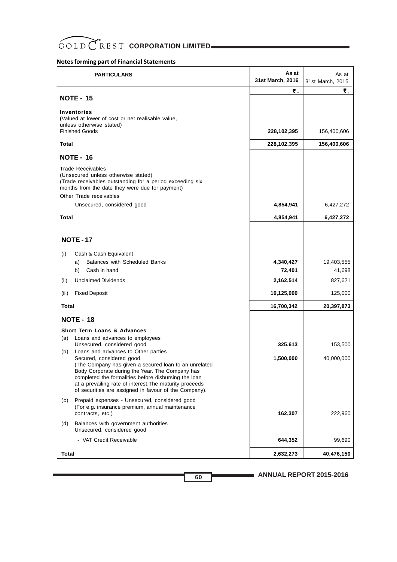# **Notes forming part of Financial Statements**

| <b>PARTICULARS</b>                                                                                                                                                                                                                                                                                                                                                                                                                     | As at<br>31st March, 2016        | As at<br>31st March, 2015       |
|----------------------------------------------------------------------------------------------------------------------------------------------------------------------------------------------------------------------------------------------------------------------------------------------------------------------------------------------------------------------------------------------------------------------------------------|----------------------------------|---------------------------------|
| <b>NOTE - 15</b>                                                                                                                                                                                                                                                                                                                                                                                                                       | ₹.                               | ₹.                              |
| <b>Inventories</b><br>(Valued at lower of cost or net realisable value,<br>unless otherwise stated)<br><b>Finished Goods</b>                                                                                                                                                                                                                                                                                                           | 228,102,395                      | 156,400,606                     |
| Total                                                                                                                                                                                                                                                                                                                                                                                                                                  | 228,102,395                      | 156,400,606                     |
| <b>NOTE - 16</b>                                                                                                                                                                                                                                                                                                                                                                                                                       |                                  |                                 |
| <b>Trade Receivables</b><br>(Unsecured unless otherwise stated)<br>(Trade receivables outstanding for a period exceeding six<br>months from the date they were due for payment)                                                                                                                                                                                                                                                        |                                  |                                 |
| Other Trade receivables<br>Unsecured, considered good                                                                                                                                                                                                                                                                                                                                                                                  | 4,854,941                        | 6,427,272                       |
| Total                                                                                                                                                                                                                                                                                                                                                                                                                                  |                                  |                                 |
|                                                                                                                                                                                                                                                                                                                                                                                                                                        | 4,854,941                        | 6,427,272                       |
| <b>NOTE - 17</b>                                                                                                                                                                                                                                                                                                                                                                                                                       |                                  |                                 |
| Cash & Cash Equivalent<br>(i)<br><b>Balances with Scheduled Banks</b><br>a)<br>Cash in hand<br>b)<br><b>Unclaimed Dividends</b><br>(iii)                                                                                                                                                                                                                                                                                               | 4,340,427<br>72,401<br>2,162,514 | 19,403,555<br>41,698<br>827,621 |
| (iii)<br><b>Fixed Deposit</b>                                                                                                                                                                                                                                                                                                                                                                                                          | 10,125,000                       | 125,000                         |
| Total                                                                                                                                                                                                                                                                                                                                                                                                                                  | 16,700,342                       | 20,397,873                      |
|                                                                                                                                                                                                                                                                                                                                                                                                                                        |                                  |                                 |
| <b>NOTE - 18</b><br><b>Short Term Loans &amp; Advances</b>                                                                                                                                                                                                                                                                                                                                                                             |                                  |                                 |
| (a)<br>Loans and advances to employees<br>Unsecured, considered good<br>Loans and advances to Other parties<br>(b)<br>Secured, considered good<br>(The Company has given a secured loan to an unrelated<br>Body Corporate during the Year. The Company has<br>completed the formalities before disbursing the loan<br>at a prevailing rate of interest. The maturity proceeds<br>of securities are assigned in favour of the Company). | 325,613<br>1,500,000             | 153,500<br>40,000,000           |
| Prepaid expenses - Unsecured, considered good<br>(c)<br>(For e.g. insurance premium, annual maintenance<br>contracts, etc.)                                                                                                                                                                                                                                                                                                            | 162,307                          | 222,960                         |
| Balances with government authorities<br>(d)<br>Unsecured, considered good                                                                                                                                                                                                                                                                                                                                                              |                                  |                                 |
| - VAT Credit Receivable                                                                                                                                                                                                                                                                                                                                                                                                                | 644,352                          | 99,690                          |
| Total                                                                                                                                                                                                                                                                                                                                                                                                                                  | 2,632,273                        | 40,476,150                      |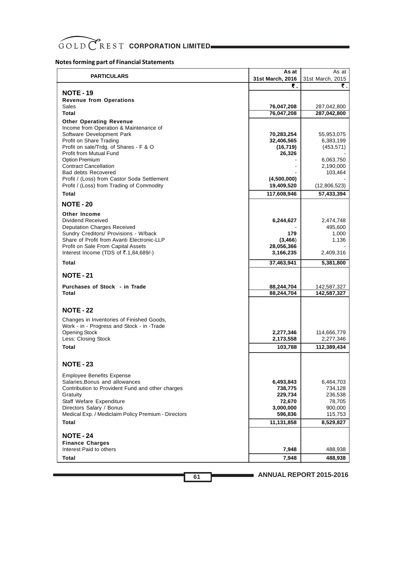# GOLD CREST CORPORATION LIMITED

## **Notes forming part of Financial Statements**

| <b>PARTICULARS</b>                                                                        | As at                   | As at                   |
|-------------------------------------------------------------------------------------------|-------------------------|-------------------------|
|                                                                                           | 31st March, 2016        | 31st March, 2015        |
|                                                                                           | ₹.                      | ₹.                      |
| <b>NOTE - 19</b><br><b>Revenue from Operations</b>                                        |                         |                         |
| Sales                                                                                     | 76,047,208              | 287,042,800             |
| Total                                                                                     | 76,047,208              | 287,042,800             |
| <b>Other Operating Revenue</b>                                                            |                         |                         |
| Income from Operation & Maintenance of                                                    |                         |                         |
| Software Development Park                                                                 | 70,283,254              | 55,953,075              |
| Profit on Share Trading<br>Profit on sale/Trdg. of Shares - F & O                         | 32,406,565<br>(16, 719) | 6,383,199<br>(453, 571) |
| <b>Profit from Mutual Fund</b>                                                            | 26,326                  |                         |
| Option Premium                                                                            |                         | 6,063,750               |
| <b>Contract Cancellation</b>                                                              |                         | 2,190,000               |
| <b>Bad debts Recovered</b><br>Profit / (Loss) from Castor Soda Settlement                 | (4,500,000)             | 103,464                 |
| Profit / (Loss) from Trading of Commodity                                                 | 19,409,520              | (12,806,523)            |
| Total                                                                                     | 117,608,946             | 57,433,394              |
|                                                                                           |                         |                         |
| <b>NOTE - 20</b>                                                                          |                         |                         |
| Other Income<br>Dividend Received                                                         | 6,244,627               | 2,474,748               |
| <b>Deputation Charges Received</b>                                                        |                         | 495,600                 |
| Sundry Creditors/ Provisions - W/back                                                     | 179                     | 1,000                   |
| Share of Profit from Avanti Electronic-LLP                                                | (3, 466)                | 1,136                   |
| Profit on Sale From Capital Assets<br>Interest Income (TDS of $\overline{5}.1,84,689/-$ ) | 28,056,366<br>3,166,235 | 2,409,316               |
| Total                                                                                     | 37,463,941              | 5,381,800               |
|                                                                                           |                         |                         |
| <b>NOTE - 21</b>                                                                          |                         |                         |
| Purchases of Stock - in Trade                                                             | 88,244,704              | 142,587,327             |
| Total                                                                                     | 88,244,704              | 142,587,327             |
|                                                                                           |                         |                         |
| <b>NOTE - 22</b>                                                                          |                         |                         |
| Changes in Inventories of Finished Goods,                                                 |                         |                         |
| Work - in - Progress and Stock - in -Trade<br><b>Opening Stock</b>                        | 2,277,346               | 114,666,779             |
| Less: Closing Stock                                                                       | 2,173,558               | 2,277,346               |
| Total                                                                                     | 103,788                 | 112,389,434             |
|                                                                                           |                         |                         |
| <b>NOTE - 23</b>                                                                          |                         |                         |
| <b>Employee Benefits Expense</b>                                                          |                         |                         |
| Salaries, Bonus and allowances                                                            | 6,493,843               | 6,464,703               |
| Contribution to Provident Fund and other charges                                          | 738,775                 | 734,128                 |
| Gratuity<br>Staff Wefare Expenditure                                                      | 229,734                 | 236,538                 |
| Directors Salary / Bonus                                                                  | 72,670<br>3,000,000     | 78,705<br>900,000       |
| Medical Exp. / Mediclaim Policy Premium - Directors                                       | 596,836                 | 115,753                 |
| Total                                                                                     | 11,131,858              | 8,529,827               |
| <b>NOTE - 24</b>                                                                          |                         |                         |
| <b>Finance Charges</b>                                                                    |                         |                         |
| Interest Paid to others                                                                   | 7,948                   | 488,938                 |
| Total                                                                                     | 7,948                   | 488,938                 |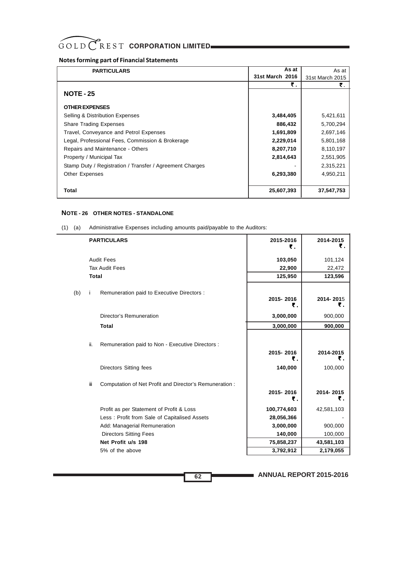## **Notes forming part of Financial Statements**

| <b>PARTICULARS</b>                                       | As at           | As at           |
|----------------------------------------------------------|-----------------|-----------------|
|                                                          | 31st March 2016 | 31st March 2015 |
|                                                          | ₹.              | ₹.              |
| <b>NOTE - 25</b>                                         |                 |                 |
|                                                          |                 |                 |
| <b>OTHER EXPENSES</b>                                    |                 |                 |
| Selling & Distribution Expenses                          | 3,484,405       | 5,421,611       |
| <b>Share Trading Expenses</b>                            | 886,432         | 5,700,294       |
| Travel, Conveyance and Petrol Expenses                   | 1,691,809       | 2,697,146       |
| Legal, Professional Fees, Commission & Brokerage         | 2,229,014       | 5,801,168       |
| Repairs and Maintenance - Others                         | 8,207,710       | 8,110,197       |
| Property / Municipal Tax                                 | 2,814,643       | 2,551,905       |
| Stamp Duty / Registration / Transfer / Agreement Charges |                 | 2,315,221       |
| Other Expenses                                           | 6,293,380       | 4,950,211       |
|                                                          |                 |                 |
| Total                                                    | 25,607,393      | 37,547,753      |

## **NOTE - 26 OTHER NOTES - STANDALONE**

|     |              | <b>PARTICULARS</b>                                                         | 2015-2016<br>₹.            | 2014-2015<br>₹.            |
|-----|--------------|----------------------------------------------------------------------------|----------------------------|----------------------------|
|     |              | <b>Audit Fees</b>                                                          | 103,050                    | 101,124                    |
|     |              | <b>Tax Audit Fees</b>                                                      | 22,900                     | 22,472                     |
|     | <b>Total</b> |                                                                            | 125,950                    | 123,596                    |
| (b) |              | Remuneration paid to Executive Directors :                                 | 2015-2016<br>₹.            | 2014-2015<br>₹.            |
|     |              | Director's Remuneration                                                    | 3,000,000                  | 900,000                    |
|     |              | <b>Total</b>                                                               | 3,000,000                  | 900,000                    |
|     | ii.          | Remuneration paid to Non - Executive Directors :<br>Directors Sitting fees | 2015-2016<br>₹.<br>140,000 | 2014-2015<br>₹.<br>100,000 |
|     | Ϊİ           | Computation of Net Profit and Director's Remuneration :                    | 2015-2016<br>₹.            | 2014-2015<br>₹.            |
|     |              | Profit as per Statement of Profit & Loss                                   | 100,774,603                | 42,581,103                 |
|     |              | Less: Profit from Sale of Capitalised Assets                               | 28,056,366                 |                            |
|     |              | Add: Managerial Remuneration                                               | 3,000,000                  | 900,000                    |
|     |              | <b>Directors Sitting Fees</b>                                              | 140,000                    | 100,000                    |
|     |              | Net Profit u/s 198                                                         | 75,858,237                 | 43,581,103                 |
|     |              | 5% of the above                                                            | 3,792,912                  | 2,179,055                  |

(1) (a) Administrative Expenses including amounts paid/payable to the Auditors: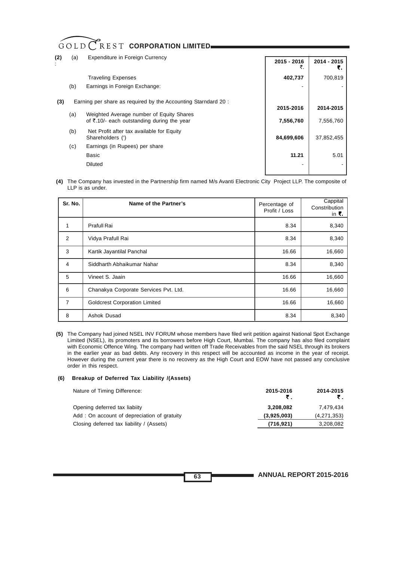| (2) | (a) | <b>Expenditure in Foreign Currency</b>                                                 | 2015 - 2016 | 2014 - 2015<br>₹. |
|-----|-----|----------------------------------------------------------------------------------------|-------------|-------------------|
|     |     | <b>Traveling Expenses</b>                                                              | 402,737     | 700,819           |
|     | (b) | Earnings in Foreign Exchange:                                                          |             |                   |
| (3) |     | Earning per share as required by the Accounting Starndard 20:                          | 2015-2016   | 2014-2015         |
|     | (a) | Weighted Average number of Equity Shares<br>of ₹.10/- each outstanding during the year | 7,556,760   | 7,556,760         |
|     | (b) | Net Profit after tax available for Equity<br>Shareholders (')                          | 84,699,606  | 37,852,455        |
|     | (c) | Earnings (in Rupees) per share                                                         |             |                   |
|     |     | Basic                                                                                  | 11.21       | 5.01              |
|     |     | <b>Diluted</b>                                                                         |             |                   |

**(4)** The Company has invested in the Partnership firm named M/s Avanti Electronic City Project LLP. The composite of LLP is as under.

| Sr. No.        | Name of the Partner's                 | Percentage of<br>Profit / Loss | Cappital<br>Constribution<br>in $\bar{\mathbf{z}}$ . |
|----------------|---------------------------------------|--------------------------------|------------------------------------------------------|
| $\mathbf{1}$   | Prafull Rai                           | 8.34                           | 8,340                                                |
| 2              | Vidya Prafull Rai                     | 8.34                           | 8,340                                                |
| 3              | Kartik Jayantilal Panchal             | 16.66                          | 16,660                                               |
| 4              | Siddharth Abhaikumar Nahar            | 8.34                           | 8,340                                                |
| 5              | Vineet S. Jaain                       | 16.66                          | 16,660                                               |
| 6              | Chanakya Corporate Services Pvt. Ltd. | 16.66                          | 16,660                                               |
| $\overline{7}$ | <b>Goldcrest Corporation Limited</b>  | 16.66                          | 16,660                                               |
| 8              | Ashok Dusad                           | 8.34                           | 8,340                                                |

**(5)** The Company had joined NSEL INV FORUM whose members have filed writ petition against National Spot Exchange Limited (NSEL), its promoters and its borrowers before High Court, Mumbai. The company has also filed complaint with Economic Offence Wing. The company had written off Trade Receivables from the said NSEL through its brokers in the earlier year as bad debts. Any recovery in this respect will be accounted as income in the year of receipt. However during the current year there is no recovery as the High Court and EOW have not passed any conclusive order in this respect.

#### **(6) Breakup of Deferred Tax Liability /(Assets)**

| Nature of Timing Difference:                | 2015-2016   | 2014-2015   |
|---------------------------------------------|-------------|-------------|
| Opening deferred tax liabiity               | 3.208.082   | 7.479.434   |
| Add: On account of depreciation of gratuity | (3,925,003) | (4,271,353) |
| Closing deferred tax liability / (Assets)   | (716, 921)  | 3,208,082   |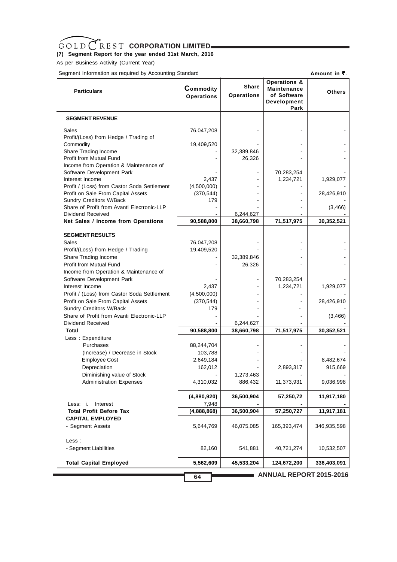### **(7) Segment Report for the year ended 31st March, 2016**

As per Business Activity (Current Year)

Segment Information as required by Accounting Standard

**Amount in ₹.** 

| <b>Particulars</b>                                                  | Commodity<br><b>Operations</b> | <b>Share</b><br><b>Operations</b> | <b>Operations &amp;</b><br>Maintenance<br>of Software<br>Development<br>Park | <b>Others</b>        |
|---------------------------------------------------------------------|--------------------------------|-----------------------------------|------------------------------------------------------------------------------|----------------------|
| <b>SEGMENT REVENUE</b>                                              |                                |                                   |                                                                              |                      |
| Sales<br>Profit/(Loss) from Hedge / Trading of                      | 76,047,208                     |                                   |                                                                              |                      |
| Commodity                                                           | 19,409,520                     |                                   |                                                                              |                      |
| Share Trading Income<br>Profit from Mutual Fund                     |                                | 32,389,846<br>26,326              |                                                                              |                      |
| Income from Operation & Maintenance of                              |                                |                                   |                                                                              |                      |
| Software Development Park<br>Interest Income                        | 2,437                          |                                   | 70,283,254<br>1,234,721                                                      | 1,929,077            |
| Profit / (Loss) from Castor Soda Settlement                         | (4,500,000)                    |                                   |                                                                              |                      |
| Profit on Sale From Capital Assets<br>Sundry Creditors W/Back       | (370, 544)<br>179              |                                   |                                                                              | 28,426,910           |
| Share of Profit from Avanti Electronic-LLP                          |                                |                                   |                                                                              | (3, 466)             |
| Dividend Received                                                   |                                | 6,244,627                         |                                                                              |                      |
| Net Sales / Income from Operations                                  | 90,588,800                     | 38,660,798                        | 71,517,975                                                                   | 30,352,521           |
| <b>SEGMENT RESULTS</b>                                              |                                |                                   |                                                                              |                      |
| Sales                                                               | 76,047,208                     |                                   |                                                                              |                      |
| Profit/(Loss) from Hedge / Trading<br>Share Trading Income          | 19,409,520                     | 32,389,846                        |                                                                              |                      |
| Profit from Mutual Fund                                             |                                | 26,326                            |                                                                              |                      |
| Income from Operation & Maintenance of<br>Software Development Park |                                |                                   | 70,283,254                                                                   |                      |
| Interest Income                                                     | 2,437                          |                                   | 1,234,721                                                                    | 1,929,077            |
| Profit / (Loss) from Castor Soda Settlement                         | (4,500,000)                    |                                   |                                                                              |                      |
| Profit on Sale From Capital Assets<br>Sundry Creditors W/Back       | (370, 544)<br>179              |                                   |                                                                              | 28,426,910           |
| Share of Profit from Avanti Electronic-LLP                          |                                |                                   |                                                                              | (3, 466)             |
| Dividend Received                                                   |                                | 6,244,627                         |                                                                              |                      |
| Total<br>Less: Expenditure                                          | 90,588,800                     | 38,660,798                        | 71,517,975                                                                   | 30,352,521           |
| Purchases                                                           | 88,244,704                     |                                   |                                                                              |                      |
| (Increase) / Decrease in Stock                                      | 103,788                        |                                   |                                                                              |                      |
| <b>Employee Cost</b><br>Depreciation                                | 2,649,184<br>162,012           |                                   | 2,893,317                                                                    | 8,482,674<br>915,669 |
| Diminishing value of Stock                                          |                                | 1,273,463                         |                                                                              |                      |
| <b>Administration Expenses</b>                                      | 4,310,032                      | 886,432                           | 11,373,931                                                                   | 9,036,998            |
| Less: i.<br>Interest                                                | (4,880,920)<br>7,948           | 36,500,904                        | 57,250,72                                                                    | 11,917,180           |
| <b>Total Profit Before Tax</b>                                      | (4,888,868)                    | 36,500,904                        | 57,250,727                                                                   | 11,917,181           |
| <b>CAPITAL EMPLOYED</b><br>- Segment Assets                         | 5,644,769                      | 46,075,085                        | 165,393,474                                                                  | 346,935,598          |
| Less :<br>- Segment Liabilities                                     | 82,160                         | 541,881                           | 40,721,274                                                                   | 10,532,507           |
| <b>Total Capital Employed</b>                                       | 5,562,609                      | 45,533,204                        | 124,672,200                                                                  | 336,403,091          |
|                                                                     | 64                             |                                   | ANNUAL REPORT 2015-2016                                                      |                      |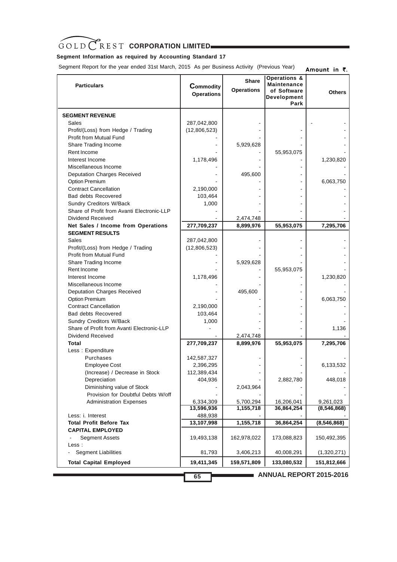# **Segment Information as required by Accounting Standard 17**

Segment Report for the year ended 31st March, 2015 As per Business Activity (Previous Year)

| <b>Particulars</b>                         | Commodity<br><b>Operations</b> | <b>Share</b><br><b>Operations</b> | <b>Operations &amp;</b><br><b>Maintenance</b><br>of Software<br>Development<br>Park | <b>Others</b>           |
|--------------------------------------------|--------------------------------|-----------------------------------|-------------------------------------------------------------------------------------|-------------------------|
| <b>SEGMENT REVENUE</b>                     |                                |                                   |                                                                                     |                         |
| Sales                                      | 287,042,800                    |                                   |                                                                                     |                         |
| Profit/(Loss) from Hedge / Trading         | (12,806,523)                   |                                   |                                                                                     |                         |
| Profit from Mutual Fund                    |                                |                                   |                                                                                     |                         |
| Share Trading Income                       |                                | 5,929,628                         |                                                                                     |                         |
| Rent Income                                |                                |                                   | 55,953,075                                                                          |                         |
| Interest Income                            | 1,178,496                      |                                   |                                                                                     | 1,230,820               |
| Miscellaneous Income                       |                                |                                   |                                                                                     |                         |
| <b>Deputation Charges Received</b>         |                                | 495,600                           |                                                                                     |                         |
| <b>Option Premium</b>                      |                                |                                   |                                                                                     | 6,063,750               |
| <b>Contract Cancellation</b>               | 2,190,000                      |                                   |                                                                                     |                         |
| <b>Bad debts Recovered</b>                 | 103,464                        |                                   |                                                                                     |                         |
| <b>Sundry Creditors W/Back</b>             | 1,000                          |                                   |                                                                                     |                         |
| Share of Profit from Avanti Electronic-LLP |                                |                                   |                                                                                     |                         |
| Dividend Received                          |                                | 2,474,748                         |                                                                                     |                         |
| Net Sales / Income from Operations         | 277,709,237                    | 8,899,976                         | 55,953,075                                                                          | 7,295,706               |
| <b>SEGMENT RESULTS</b>                     |                                |                                   |                                                                                     |                         |
| Sales                                      | 287,042,800                    |                                   |                                                                                     |                         |
| Profit/(Loss) from Hedge / Trading         | (12,806,523)                   |                                   |                                                                                     |                         |
| <b>Profit from Mutual Fund</b>             |                                |                                   |                                                                                     |                         |
| Share Trading Income                       |                                | 5,929,628                         |                                                                                     |                         |
| Rent Income                                |                                |                                   | 55,953,075                                                                          |                         |
| Interest Income                            | 1,178,496                      |                                   |                                                                                     | 1,230,820               |
| Miscellaneous Income                       |                                |                                   |                                                                                     |                         |
| <b>Deputation Charges Received</b>         |                                | 495,600                           |                                                                                     |                         |
| <b>Option Premium</b>                      |                                |                                   |                                                                                     | 6,063,750               |
| <b>Contract Cancellation</b>               | 2,190,000                      |                                   |                                                                                     |                         |
| <b>Bad debts Recovered</b>                 | 103,464                        |                                   |                                                                                     |                         |
| Sundry Creditors W/Back                    | 1,000                          |                                   |                                                                                     |                         |
| Share of Profit from Avanti Electronic-LLP |                                |                                   |                                                                                     | 1,136                   |
| Dividend Received                          |                                | 2,474,748                         |                                                                                     |                         |
| Total                                      | 277,709,237                    | 8,899,976                         | 55,953,075                                                                          | 7,295,706               |
| Less: Expenditure                          |                                |                                   |                                                                                     |                         |
| Purchases                                  | 142,587,327                    |                                   |                                                                                     |                         |
| <b>Employee Cost</b>                       | 2,396,295                      |                                   |                                                                                     | 6,133,532               |
| (Increase) / Decrease in Stock             | 112,389,434                    |                                   |                                                                                     |                         |
| Depreciation                               | 404,936                        |                                   | 2,882,780                                                                           | 448,018                 |
| Diminishing value of Stock                 |                                | 2,043,964                         |                                                                                     |                         |
| Provision for Doubtful Debts W/off         |                                |                                   |                                                                                     |                         |
| <b>Administration Expenses</b>             | 6,334,309                      | 5,700,294                         | 16,206,041                                                                          | 9,261,023               |
|                                            | 13,596,936                     | 1,155,718                         | 36,864,254                                                                          | (8,546,868)             |
| Less: i. Interest                          | 488,938                        |                                   |                                                                                     |                         |
| <b>Total Profit Before Tax</b>             | 13,107,998                     | 1,155,718                         | 36,864,254                                                                          | (8,546,868)             |
| <b>CAPITAL EMPLOYED</b>                    |                                |                                   |                                                                                     |                         |
| <b>Segment Assets</b>                      | 19,493,138                     | 162,978,022                       | 173,088,823                                                                         | 150,492,395             |
| Less :                                     |                                |                                   |                                                                                     |                         |
| <b>Segment Liabilities</b>                 | 81,793                         | 3,406,213                         | 40,008,291                                                                          | (1,320,271)             |
| <b>Total Capital Employed</b>              | 19,411,345                     | 159,571,809                       | 133,080,532                                                                         | 151,812,666             |
|                                            | 65                             |                                   |                                                                                     | ANNUAL REPORT 2015-2016 |

Amount in  $\bar{z}$ .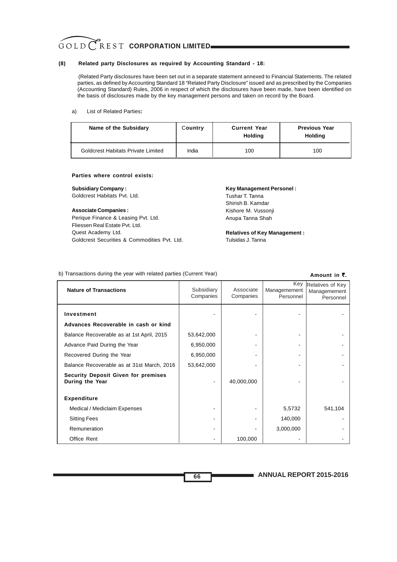#### **(8) Related party Disclosures as required by Accounting Standard - 18:**

(Related Party disclosures have been set out in a separate statement annexed to Financial Statements. The related parties, as defined by Accounting Standard 18 "Related Party Disclosure" issued and as prescribed by the Companies (Accounting Standard) Rules, 2006 in respect of which the disclosures have been made, have been identified on the basis of disclosures made by the key management persons and taken on record by the Board.

#### a) List of Related Parties**:**

| Name of the Subsidary                     | Country | <b>Current Year</b><br><b>Holding</b> | <b>Previous Year</b><br><b>Holding</b> |
|-------------------------------------------|---------|---------------------------------------|----------------------------------------|
| <b>Goldcrest Habitats Private Limited</b> | India   | 100                                   | 100                                    |

#### **Parties where control exists:**

#### **Subsidiary Company :**

Goldcrest Habitats Pvt. Ltd.

#### **Associate Companies :**

Perique Finance & Leasing Pvt. Ltd. Fliessen Real Estate Pvt. Ltd. Quest Academy Ltd. Goldcrest Securities & Commodities Pvt. Ltd.

## **Key Management Personel :**

Tushar T. Tanna Shirish B. Kamdar Kishore M. Vussonji Anupa Tanna Shah

**Relatives of Key Management :** Tulsidas J. Tanna

## b) Transactions during the year with related parties (Current Year)

#### **Amount in ₹.**

| <b>Nature of Transactions</b>                                 | Subsidiary<br>Companies | Associate<br>Companies | Key<br>Managemement<br>Personnel | Relatives of Key<br>Managemement<br>Personnel |
|---------------------------------------------------------------|-------------------------|------------------------|----------------------------------|-----------------------------------------------|
| Investment                                                    |                         |                        |                                  |                                               |
| Advances Recoverable in cash or kind                          |                         |                        |                                  |                                               |
| Balance Recoverable as at 1st April, 2015                     | 53,642,000              |                        |                                  |                                               |
| Advance Paid During the Year                                  | 6,950,000               |                        |                                  |                                               |
| Recovered During the Year                                     | 6,950,000               |                        |                                  |                                               |
| Balance Recoverable as at 31st March, 2016                    | 53,642,000              |                        |                                  |                                               |
| <b>Security Deposit Given for premises</b><br>During the Year |                         | 40,000,000             |                                  |                                               |
| <b>Expenditure</b>                                            |                         |                        |                                  |                                               |
| Medical / Mediclaim Expenses                                  |                         |                        | 5,5732                           | 541,104                                       |
| <b>Sitting Fees</b>                                           |                         |                        | 140,000                          |                                               |
| Remuneration                                                  |                         |                        | 3,000,000                        |                                               |
| Office Rent                                                   |                         | 100,000                |                                  |                                               |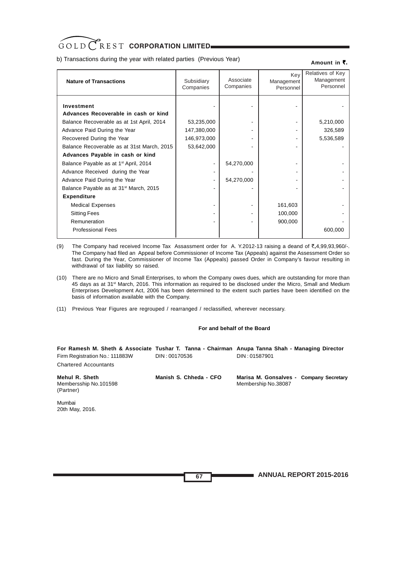b) Transactions during the year with related parties (Previous Year)

#### Amount in ₹.

| <b>Nature of Transactions</b>                                                                                                                                                                                                                                                                                                                                                                                                                                                                                         | Subsidiary<br>Companies                                | Associate<br>Companies   | Key<br>Management<br>Personnel | Relatives of Key<br>Management<br>Personnel |
|-----------------------------------------------------------------------------------------------------------------------------------------------------------------------------------------------------------------------------------------------------------------------------------------------------------------------------------------------------------------------------------------------------------------------------------------------------------------------------------------------------------------------|--------------------------------------------------------|--------------------------|--------------------------------|---------------------------------------------|
| Investment<br>Advances Recoverable in cash or kind<br>Balance Recoverable as at 1st April, 2014<br>Advance Paid During the Year<br>Recovered During the Year<br>Balance Recoverable as at 31st March, 2015<br>Advances Payable in cash or kind<br>Balance Payable as at 1 <sup>st</sup> April, 2014<br>Advance Received during the Year<br>Advance Paid During the Year<br>Balance Payable as at 31 <sup>st</sup> March, 2015<br><b>Expenditure</b><br><b>Medical Expenses</b><br><b>Sitting Fees</b><br>Remuneration | 53,235,000<br>147,380,000<br>146,973,000<br>53,642,000 | 54,270,000<br>54,270,000 | 161,603<br>100,000<br>900,000  | 5,210,000<br>326,589<br>5,536,589           |
| <b>Professional Fees</b>                                                                                                                                                                                                                                                                                                                                                                                                                                                                                              |                                                        |                          |                                | 600,000                                     |

(9) The Company had received Income Tax Assassment order for A. Y.2012-13 raising a deand of  $\bar{\tau}$ .4,99,93,960/-. The Company had filed an Appeal before Commissioner of Income Tax (Appeals) against the Assessment Order so fast. During the Year, Commissioner of Income Tax (Appeals) passed Order in Company's favour resulting in withdrawal of tax liability so raised.

- (10) There are no Micro and Small Enterprises, to whom the Company owes dues, which are outstanding for more than 45 days as at 31st March, 2016. This information as required to be disclosed under the Micro, Small and Medium Enterprises Development Act, 2006 has been determined to the extent such parties have been identified on the basis of information available with the Company.
- (11) Previous Year Figures are regrouped / rearranged / reclassified, wherever necessary.

### **For and behalf of the Board**

|                                                      |                        | For Ramesh M. Sheth & Associate Tushar T. Tanna - Chairman Anupa Tanna Shah - Managing Director |
|------------------------------------------------------|------------------------|-------------------------------------------------------------------------------------------------|
| Firm Registration No.: 111883W                       | DIN : 00170536         | DIN: 01587901                                                                                   |
| <b>Chartered Accountants</b>                         |                        |                                                                                                 |
| Mehul R. Sheth<br>Membersship No.101598<br>(Partner) | Manish S. Chheda - CFO | Marisa M. Gonsalves - Company Secretary<br>Membership No.38087                                  |

Mumbai 20th May, 2016.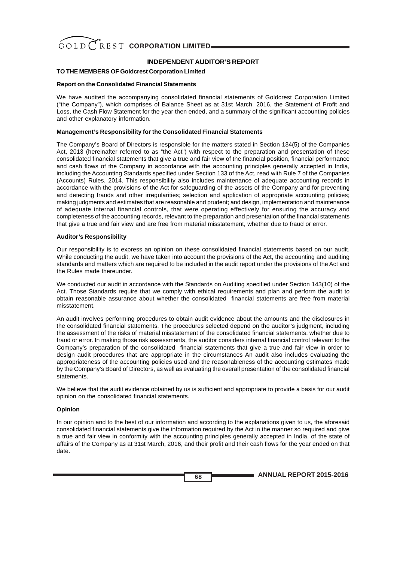

# **INDEPENDENT AUDITOR'S REPORT**

# **TO THE MEMBERS OF Goldcrest Corporation Limited**

### **Report on the Consolidated Financial Statements**

We have audited the accompanying consolidated financial statements of Goldcrest Corporation Limited ("the Company"), which comprises of Balance Sheet as at 31st March, 2016, the Statement of Profit and Loss, the Cash Flow Statement for the year then ended, and a summary of the significant accounting policies and other explanatory information.

## **Management's Responsibility for the Consolidated Financial Statements**

The Company's Board of Directors is responsible for the matters stated in Section 134(5) of the Companies Act, 2013 (hereinafter referred to as "the Act") with respect to the preparation and presentation of these consolidated financial statements that give a true and fair view of the financial position, financial performance and cash flows of the Company in accordance with the accounting principles generally accepted in India, including the Accounting Standards specified under Section 133 of the Act, read with Rule 7 of the Companies (Accounts) Rules, 2014. This responsibility also includes maintenance of adequate accounting records in accordance with the provisions of the Act for safeguarding of the assets of the Company and for preventing and detecting frauds and other irregularities; selection and application of appropriate accounting policies; making judgments and estimates that are reasonable and prudent; and design, implementation and maintenance of adequate internal financial controls, that were operating effectively for ensuring the accuracy and completeness of the accounting records, relevant to the preparation and presentation of the financial statements that give a true and fair view and are free from material misstatement, whether due to fraud or error.

### **Auditor's Responsibility**

Our responsibility is to express an opinion on these consolidated financial statements based on our audit. While conducting the audit, we have taken into account the provisions of the Act, the accounting and auditing standards and matters which are required to be included in the audit report under the provisions of the Act and the Rules made thereunder.

We conducted our audit in accordance with the Standards on Auditing specified under Section 143(10) of the Act. Those Standards require that we comply with ethical requirements and plan and perform the audit to obtain reasonable assurance about whether the consolidated financial statements are free from material misstatement.

An audit involves performing procedures to obtain audit evidence about the amounts and the disclosures in the consolidated financial statements. The procedures selected depend on the auditor's judgment, including the assessment of the risks of material misstatement of the consolidated financial statements, whether due to fraud or error. In making those risk assessments, the auditor considers internal financial control relevant to the Company's preparation of the consolidated financial statements that give a true and fair view in order to design audit procedures that are appropriate in the circumstances An audit also includes evaluating the appropriateness of the accounting policies used and the reasonableness of the accounting estimates made by the Company's Board of Directors, as well as evaluating the overall presentation of the consolidated financial statements.

We believe that the audit evidence obtained by us is sufficient and appropriate to provide a basis for our audit opinion on the consolidated financial statements.

### **Opinion**

In our opinion and to the best of our information and according to the explanations given to us, the aforesaid consolidated financial statements give the information required by the Act in the manner so required and give a true and fair view in conformity with the accounting principles generally accepted in India, of the state of affairs of the Company as at 31st March, 2016, and their profit and their cash flows for the year ended on that date.

**ANNUAL REPORT 2015-2016 68**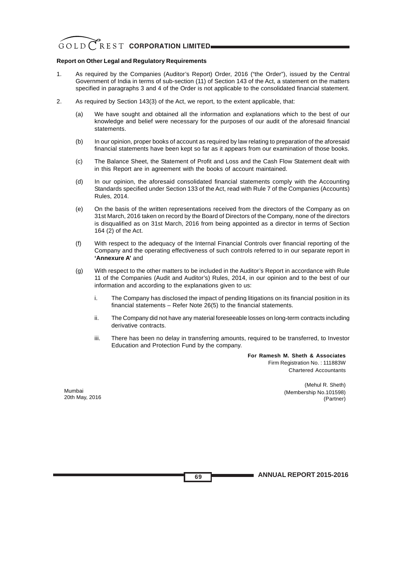#### **Report on Other Legal and Regulatory Requirements**

- 1. As required by the Companies (Auditor's Report) Order, 2016 ("the Order"), issued by the Central Government of India in terms of sub-section (11) of Section 143 of the Act, a statement on the matters specified in paragraphs 3 and 4 of the Order is not applicable to the consolidated financial statement.
- 2. As required by Section 143(3) of the Act, we report, to the extent applicable, that:
	- (a) We have sought and obtained all the information and explanations which to the best of our knowledge and belief were necessary for the purposes of our audit of the aforesaid financial statements.
	- (b) In our opinion, proper books of account as required by law relating to preparation of the aforesaid financial statements have been kept so far as it appears from our examination of those books.
	- (c) The Balance Sheet, the Statement of Profit and Loss and the Cash Flow Statement dealt with in this Report are in agreement with the books of account maintained.
	- (d) In our opinion, the aforesaid consolidated financial statements comply with the Accounting Standards specified under Section 133 of the Act, read with Rule 7 of the Companies (Accounts) Rules, 2014.
	- (e) On the basis of the written representations received from the directors of the Company as on 31st March, 2016 taken on record by the Board of Directors of the Company, none of the directors is disqualified as on 31st March, 2016 from being appointed as a director in terms of Section 164 (2) of the Act.
	- (f) With respect to the adequacy of the Internal Financial Controls over financial reporting of the Company and the operating effectiveness of such controls referred to in our separate report in **'Annexure A'** and
	- (g) With respect to the other matters to be included in the Auditor's Report in accordance with Rule 11 of the Companies (Audit and Auditor's) Rules, 2014, in our opinion and to the best of our information and according to the explanations given to us:
		- i. The Company has disclosed the impact of pending litigations on its financial position in its financial statements – Refer Note 26(5) to the financial statements.
		- ii. The Company did not have any material foreseeable losses on long-term contracts including derivative contracts.
		- iii. There has been no delay in transferring amounts, required to be transferred, to Investor Education and Protection Fund by the company.

**For Ramesh M. Sheth & Associates** Firm Registration No. : 111883W Chartered Accountants

Mumbai 20th May, 2016

(Mehul R. Sheth) (Membership No.101598) (Partner)

**ANNUAL REPORT 2015-2016 69**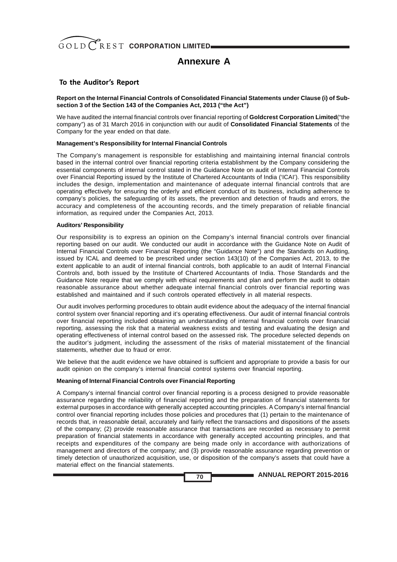

# **Annexure A**

## **To the Auditor's Report**

**Report on the Internal Financial Controls of Consolidated Financial Statements under Clause (i) of Subsection 3 of the Section 143 of the Companies Act, 2013 ("the Act")**

We have audited the internal financial controls over financial reporting of **Goldcrest Corporation Limited**("the company") as of 31 March 2016 in conjunction with our audit of **Consolidated Financial Statements** of the Company for the year ended on that date.

### **Management's Responsibility for Internal Financial Controls**

The Company's management is responsible for establishing and maintaining internal financial controls based in the internal control over financial reporting criteria establishment by the Company considering the essential components of internal control stated in the Guidance Note on audit of Internal Financial Controls over Financial Reporting issued by the Institute of Chartered Accountants of India ('ICAI'). This responsibility includes the design, implementation and maintenance of adequate internal financial controls that are operating effectively for ensuring the orderly and efficient conduct of its business, including adherence to company's policies, the safeguarding of its assets, the prevention and detection of frauds and errors, the accuracy and completeness of the accounting records, and the timely preparation of reliable financial information, as required under the Companies Act, 2013.

## **Auditors' Responsibility**

Our responsibility is to express an opinion on the Company's internal financial controls over financial reporting based on our audit. We conducted our audit in accordance with the Guidance Note on Audit of Internal Financial Controls over Financial Reporting (the "Guidance Note") and the Standards on Auditing, issued by ICAL and deemed to be prescribed under section 143(10) of the Companies Act, 2013, to the extent applicable to an audit of internal financial controls, both applicable to an audit of Internal Financial Controls and, both issued by the Institute of Chartered Accountants of India. Those Standards and the Guidance Note require that we comply with ethical requirements and plan and perform the audit to obtain reasonable assurance about whether adequate internal financial controls over financial reporting was established and maintained and if such controls operated effectively in all material respects.

Our audit involves performing procedures to obtain audit evidence about the adequacy of the internal financial control system over financial reporting and it's operating effectiveness. Our audit of internal financial controls over financial reporting included obtaining an understanding of internal financial controls over financial reporting, assessing the risk that a material weakness exists and testing and evaluating the design and operating effectiveness of internal control based on the assessed risk. The procedure selected depends on the auditor's judgment, including the assessment of the risks of material misstatement of the financial statements, whether due to fraud or error.

We believe that the audit evidence we have obtained is sufficient and appropriate to provide a basis for our audit opinion on the company's internal financial control systems over financial reporting.

### **Meaning of Internal Financial Controls over Financial Reporting**

A Company's internal financial control over financial reporting is a process designed to provide reasonable assurance regarding the reliability of financial reporting and the preparation of financial statements for external purposes in accordance with generally accepted accounting principles. A Company's internal financial control over financial reporting includes those policies and procedures that (1) pertain to the maintenance of records that, in reasonable detail, accurately and fairly reflect the transactions and dispositions of the assets of the company; (2) provide reasonable assurance that transactions are recorded as necessary to permit preparation of financial statements in accordance with generally accepted accounting principles, and that receipts and expenditures of the company are being made only in accordance with authorizations of management and directors of the company; and (3) provide reasonable assurance regarding prevention or timely detection of unauthorized acquisition, use, or disposition of the company's assets that could have a material effect on the financial statements.

**70**

**ANNUAL REPORT 2015-2016**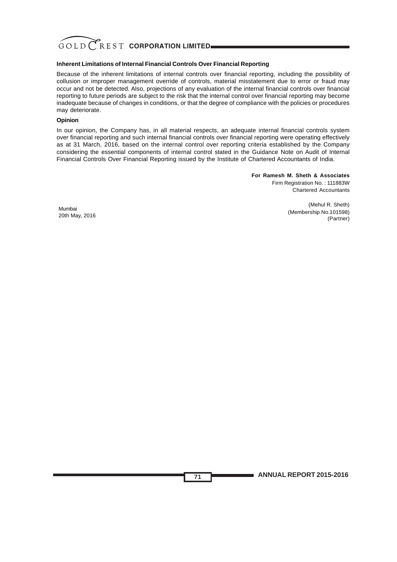

## **Inherent Limitations of Internal Financial Controls Over Financial Reporting**

Because of the inherent limitations of internal controls over financial reporting, including the possibility of collusion or improper management override of controls, material misstatement due to error or fraud may occur and not be detected. Also, projections of any evaluation of the internal financial controls over financial reporting to future periods are subject to the risk that the internal control over financial reporting may become inadequate because of changes in conditions, or that the degree of compliance with the policies or procedures may deteriorate.

### **Opinion**

In our opinion, the Company has, in all material respects, an adequate internal financial controls system over financial reporting and such internal financial controls over financial reporting were operating effectively as at 31 March, 2016, based on the internal control over reporting criteria established by the Company considering the essential components of internal control stated in the Guidance Note on Audit of Internal Financial Controls Over Financial Reporting issued by the Institute of Chartered Accountants of India.

**71**

**For Ramesh M. Sheth & Associates** Firm Registration No. : 111883W Chartered Accountants

Mumbai 20th May, 2016

(Mehul R. Sheth) (Membership No.101598) (Partner)

**ANNUAL REPORT 2015-2016**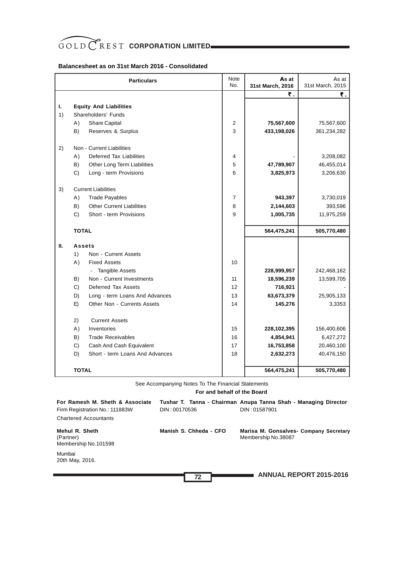# GOLD CREST CORPORATION LIMITED

## **Balancesheet as on 31st March 2016 - Consolidated**

|    |               | <b>Particulars</b>                       | Note<br>No.    | As at<br>31st March, 2016 | As at<br>31st March, 2015 |
|----|---------------|------------------------------------------|----------------|---------------------------|---------------------------|
|    |               |                                          |                | ₹.                        | ₹.                        |
| L. |               | <b>Equity And Liabilities</b>            |                |                           |                           |
| 1) |               | Shareholders' Funds                      |                |                           |                           |
|    | A)            | <b>Share Capital</b>                     | 2              | 75,567,600                | 75,567,600                |
|    | B)            | Reserves & Surplus                       | 3              | 433,198,026               | 361,234,282               |
| 2) |               | Non - Current Liabilities                |                |                           |                           |
|    | A)            | <b>Deferred Tax Liabilities</b>          | 4              |                           | 3,208,082                 |
|    | B)            | Other Long Term Liabilities              | 5              | 47,789,907                | 46,455,014                |
|    | C)            | Long - term Provisions                   | 6              | 3,825,973                 | 3,206,630                 |
| 3) |               | <b>Current Liabilities</b>               |                |                           |                           |
|    | A)            | <b>Trade Payables</b>                    | $\overline{7}$ | 943,397                   | 3,730,019                 |
|    | B)            | <b>Other Current Liabilities</b>         | 8              | 2,144,603                 | 393,596                   |
|    | C)            | Short - term Provisions                  | 9              | 1,005,735                 | 11,975,259                |
|    | <b>TOTAL</b>  |                                          |                | 564,475,241               | 505,770,480               |
| Ш. | <b>Assets</b> |                                          |                |                           |                           |
|    | 1)            | Non - Current Assets                     |                |                           |                           |
|    | A)            | <b>Fixed Assets</b>                      | 10             |                           |                           |
|    |               | <b>Tangible Assets</b><br>$\blacksquare$ |                | 228,999,957               | 242,468,162               |
|    | B)            | Non - Current Investments                | 11             | 18,596,239                | 13,599,705                |
|    | C)            | Deferred Tax Assets                      | 12             | 716,921                   |                           |
|    | D)            | Long - term Loans And Advances           | 13             | 63,673,379                | 25,905,133                |
|    | E)            | Other Non - Currents Assets              | 14             | 145,276                   | 3,3353                    |
|    | 2)            | <b>Current Assets</b>                    |                |                           |                           |
|    | A)            | Inventories                              | 15             | 228,102,395               | 156,400,606               |
|    | B)            | <b>Trade Receivables</b>                 | 16             | 4,854,941                 | 6,427,272                 |
|    | C)            | Cash And Cash Equivalent                 | 17             | 16,753,858                | 20,460,100                |
|    | D)            | Short - term Loans And Advances          | 18             | 2,632,273                 | 40,476,150                |
|    | <b>TOTAL</b>  |                                          |                | 564,475,241               | 505,770,480               |

See Accompanying Notes To The Financial Statements

 **For and behalf of the Board**

| For Ramesh M. Sheth & Associate<br>Firm Registration No.: 111883W | DIN: 00170536          | Tushar T. Tanna - Chairman Anupa Tanna Shah - Managing Director<br>DIN: 01587901 |
|-------------------------------------------------------------------|------------------------|----------------------------------------------------------------------------------|
| <b>Chartered Accountants</b>                                      |                        |                                                                                  |
| Mehul R. Sheth<br>(Partner)<br>Membership No.101598               | Manish S. Chheda - CFO | Marisa M. Gonsalves- Company Secretary<br>Membership No.38087                    |
| Mumbai<br>20th May, 2016.                                         |                        |                                                                                  |
|                                                                   | 72                     | <b>ANNUAL REPORT 2015-2016</b>                                                   |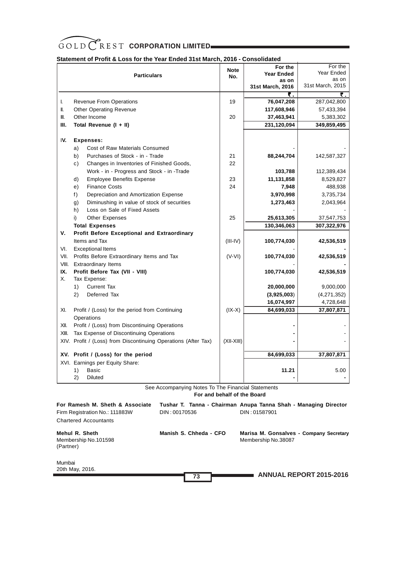

# **Statement of Profit & Loss for the Year Ended 31st March, 2016 - Consolidated**

|       | <b>Particulars</b>                                                                                 | <b>Note</b><br>No.          | For the<br><b>Year Ended</b><br>as on<br>31st March, 2016 | For the<br>Year Ended<br>as on<br>31st March, 2015 |
|-------|----------------------------------------------------------------------------------------------------|-----------------------------|-----------------------------------------------------------|----------------------------------------------------|
|       |                                                                                                    |                             | ₹.                                                        | ₹.                                                 |
| L.    | <b>Revenue From Operations</b>                                                                     | 19                          | 76,047,208                                                | 287,042,800                                        |
| II.   | <b>Other Operating Revenue</b>                                                                     |                             | 117,608,946                                               | 57,433,394                                         |
| III.  | Other Income                                                                                       | 20                          | 37,463,941                                                | 5,383,302                                          |
| Ш.    | Total Revenue (I + II)                                                                             |                             | 231,120,094                                               | 349,859,495                                        |
| IV.   | <b>Expenses:</b>                                                                                   |                             |                                                           |                                                    |
|       | Cost of Raw Materials Consumed<br>a)                                                               |                             |                                                           |                                                    |
|       | b)<br>Purchases of Stock - in - Trade                                                              | 21                          | 88,244,704                                                | 142,587,327                                        |
|       | Changes in Inventories of Finished Goods,<br>c)                                                    | 22                          |                                                           |                                                    |
|       | Work - in - Progress and Stock - in -Trade                                                         |                             | 103,788                                                   | 112,389,434                                        |
|       | <b>Employee Benefits Expense</b><br>d)                                                             | 23                          | 11,131,858                                                | 8,529,827                                          |
|       | <b>Finance Costs</b><br>e)                                                                         | 24                          | 7,948                                                     | 488,938                                            |
|       | f)<br>Depreciation and Amortization Expense                                                        |                             | 3,970,998                                                 | 3,735,734                                          |
|       | Diminushing in value of stock of securities<br>g)                                                  |                             | 1,273,463                                                 | 2,043,964                                          |
|       | Loss on Sale of Fixed Assets<br>h)                                                                 |                             |                                                           |                                                    |
|       | Other Expenses<br>i).                                                                              | 25                          | 25,613,305                                                | 37,547,753                                         |
|       | <b>Total Expenses</b>                                                                              |                             | 130,346,063                                               | 307,322,976                                        |
| v.    | Profit Before Exceptional and Extraordinary                                                        |                             |                                                           |                                                    |
|       | Items and Tax                                                                                      | $(III-IV)$                  | 100,774,030                                               | 42,536,519                                         |
| VI.   | <b>Exceptional Items</b>                                                                           |                             |                                                           |                                                    |
| VII.  | Profits Before Extraordinary Items and Tax                                                         | $(V-VI)$                    | 100,774,030                                               | 42,536,519                                         |
|       | VIII. Extraordinary Items                                                                          |                             |                                                           |                                                    |
| IX.   | Profit Before Tax (VII - VIII)                                                                     |                             | 100,774,030                                               | 42,536,519                                         |
| Х.    | Tax Expense:                                                                                       |                             |                                                           |                                                    |
|       | <b>Current Tax</b><br>1)                                                                           |                             | 20,000,000                                                | 9,000,000                                          |
|       | Deferred Tax<br>2)                                                                                 |                             | (3,925,003)                                               | (4,271,352)                                        |
|       |                                                                                                    |                             | 16,074,997                                                | 4,728,648                                          |
|       |                                                                                                    |                             |                                                           |                                                    |
| XI.   | Profit / (Loss) for the period from Continuing<br>Operations                                       | $(IX-X)$                    | 84,699,033                                                | 37,807,871                                         |
|       |                                                                                                    |                             |                                                           |                                                    |
| XII.  | Profit / (Loss) from Discontinuing Operations                                                      |                             |                                                           |                                                    |
| XIII. | Tax Expense of Discontinuing Operations                                                            |                             |                                                           |                                                    |
|       | XIV. Profit / (Loss) from Discontinuing Operations (After Tax)                                     | $(XII-XIII)$                |                                                           |                                                    |
|       | XV. Profit / (Loss) for the period                                                                 |                             | 84,699,033                                                | 37,807,871                                         |
|       | XVI. Earnings per Equity Share:                                                                    |                             |                                                           |                                                    |
|       | Basic<br>1)                                                                                        |                             | 11.21                                                     | 5.00                                               |
|       | <b>Diluted</b><br>2)                                                                               |                             |                                                           |                                                    |
|       | See Accompanying Notes To The Financial Statements                                                 | For and behalf of the Board |                                                           |                                                    |
|       | For Ramesh M. Sheth & Associate<br>Tushar T. Tanna - Chairman Anupa Tanna Shah - Managing Director |                             |                                                           |                                                    |
|       | DIN: 00170536<br>DIN: 01587901<br>Firm Registration No.: 111883W                                   |                             |                                                           |                                                    |

Membership No.101598 Membership No.38087 (Partner)

Chartered Accountants

**Mehul R. Sheth Manish S. Chheda - CFO Marisa M. Gonsalves - Company Secretary**

| Mumbai<br>20th May, 2016. |           |                  |
|---------------------------|-----------|------------------|
|                           | 72<br>- 9 | <b>ANNUAL RE</b> |

**ANNUAL REPORT 2015-2016**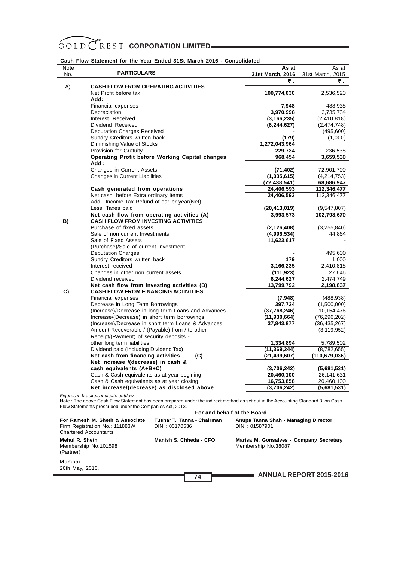## **Cash Flow Statement for the Year Ended 31St March 2016 - Consolidated**

| Note |                                                                                           | As at                        | As at                     |
|------|-------------------------------------------------------------------------------------------|------------------------------|---------------------------|
| No.  | <b>PARTICULARS</b>                                                                        | 31st March, 2016             | 31st March, 2015          |
| A)   | <b>CASH FLOW FROM OPERATING ACTIVITIES</b>                                                | ₹.                           | ₹.                        |
|      | Net Profit before tax                                                                     | 100,774,030                  | 2,536,520                 |
|      | Add:                                                                                      |                              |                           |
|      | Financial expenses                                                                        | 7,948                        | 488,938                   |
|      | Depreciation                                                                              | 3,970,998                    | 3,735,734                 |
|      | Interest Received                                                                         | (3, 166, 235)                | (2, 410, 818)             |
|      | Dividend Received                                                                         | (6, 244, 627)                | (2,474,748)               |
|      | <b>Deputation Charges Received</b>                                                        |                              | (495,600)                 |
|      | Sundry Creditors written back                                                             | (179)                        | (1,000)                   |
|      | Diminishing Value of Stocks                                                               | 1,272,043,964                |                           |
|      | Provision for Gratuity                                                                    | 229,734                      | 236,538                   |
|      | <b>Operating Profit before Working Capital changes</b>                                    | 968,454                      | 3,659,530                 |
|      | Add:                                                                                      |                              |                           |
|      | <b>Changes in Current Assets</b>                                                          | (71, 402)                    | 72,901,700                |
|      | <b>Changes in Current Liabilities</b>                                                     | (1,035,615)                  | (4,214,753)               |
|      | Cash generated from operations                                                            | (72, 438, 541)<br>24,406,593 | 68,686,947<br>112,346,477 |
|      | Net cash before Extra ordinary Items                                                      | 24,406,593                   | 112,346,477               |
|      | Add: Income Tax Refund of earlier year(Net)                                               |                              |                           |
|      | Less: Taxes paid                                                                          | (20, 413, 019)               | (9,547,807)               |
|      | Net cash flow from operating activities (A)                                               | 3,993,573                    | 102,798,670               |
| B)   | <b>CASH FLOW FROM INVESTING ACTIVITIES</b>                                                |                              |                           |
|      | Purchase of fixed assets                                                                  | (2, 126, 408)                | (3,255,840)               |
|      | Sale of non current Investments                                                           | (4,996,534)                  | 44,864                    |
|      | Sale of Fixed Assets                                                                      | 11,623,617                   |                           |
|      | (Purchase)/Sale of current investment                                                     |                              |                           |
|      | <b>Deputation Charges</b>                                                                 |                              | 495,600                   |
|      | Sundry Creditors written back                                                             | 179                          | 1,000                     |
|      | Interest received                                                                         | 3,166,235                    | 2,410,818                 |
|      | Changes in other non current assets                                                       | (111, 923)                   | 27,646                    |
|      | Dividend received                                                                         | 6,244,627                    | 2,474,749                 |
| C)   | Net cash flow from investing activities (B)<br><b>CASH FLOW FROM FINANCING ACTIVITIES</b> | 13,799,792                   | 2,198,837                 |
|      | Financial expenses                                                                        | (7,948)                      | (488, 938)                |
|      | Decrease in Long Term Borrowings                                                          | 397,724                      | (1,500,000)               |
|      | (Increase)/Decrease in long term Loans and Advances                                       | (37,768,246)                 | 10,154,476                |
|      | Increase/(Decrease) in short term borrowings                                              | (11, 930, 664)               | (76, 296, 202)            |
|      | (Increase)/Decrease in short term Loans & Advances                                        | 37,843,877                   | (36, 435, 267)            |
|      | Amount Recoverable / (Payable) from / to other                                            |                              | (3, 119, 952)             |
|      | Receipt/(Payment) of security deposits -                                                  |                              |                           |
|      | other long term liabilities                                                               | 1,334,894                    | 5,789,502                 |
|      | Dividend paid (Including Dividend Tax)                                                    | (11, 369, 244)               | (8,782,655)               |
|      | Net cash from financing activities<br>(C)                                                 | (21, 499, 607)               | (110, 679, 036)           |
|      | Net increase /(decrease) in cash &                                                        |                              |                           |
|      | cash equivalents (A+B+C)                                                                  | (3,706,242)                  | (5,681,531)               |
|      | Cash & Cash equivalents as at year begining                                               | 20,460,100                   | 26,141,631                |
|      | Cash & Cash equivalents as at year closing                                                | 16,753,858                   | 20,460,100                |
|      | Net increase/(decrease) as disclosed above                                                | (3,706,242)                  | (5,681,531)               |

*Figures in brackets indicate outflow*

Note : The above Cash Flow Statement has been prepared under the indirect method as set out in the Accounting Standard 3 on Cash Flow Statements prescribed under the Companies Act, 2013.

#### **ANNUAL REPORT 2015-2016 For and behalf of the Board For Ramesh M. Sheth & Associate Tushar T. Tanna - Chairman Anupa Tanna Shah - Managing Director** Firm Registration No.: 111883W Chartered Accountants **Mehul R. Sheth Manish S. Chheda - CFO Marisa M. Gonsalves - Company Secretary**<br>Membership No. 101598 Membership No. 38087 Membership No.101598 (Partner) Mumbai 20th May, 2016. **74**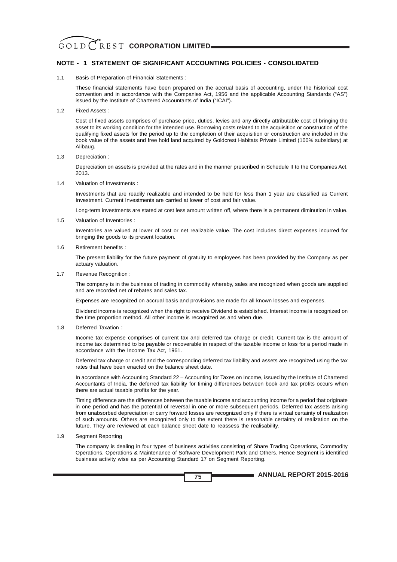# **NOTE - 1 STATEMENT OF SIGNIFICANT ACCOUNTING POLICIES - CONSOLIDATED**

1.1 Basis of Preparation of Financial Statements :

These financial statements have been prepared on the accrual basis of accounting, under the historical cost convention and in accordance with the Companies Act, 1956 and the applicable Accounting Standards ("AS") issued by the Institute of Chartered Accountants of India ("ICAI").

1.2 Fixed Assets :

Cost of fixed assets comprises of purchase price, duties, levies and any directly attributable cost of bringing the asset to its working condition for the intended use. Borrowing costs related to the acquisition or construction of the qualifying fixed assets for the period up to the completion of their acquisition or construction are included in the book value of the assets and free hold land acquired by Goldcrest Habitats Private Limited (100% subsidiary) at Alibaug.

1.3 Depreciation :

Depreciation on assets is provided at the rates and in the manner prescribed in Schedule II to the Companies Act, 2013.

1.4 Valuation of Investments :

Investments that are readily realizable and intended to be held for less than 1 year are classified as Current Investment. Current Investments are carried at lower of cost and fair value.

Long-term investments are stated at cost less amount written off, where there is a permanent diminution in value.

1.5 Valuation of Inventories :

Inventories are valued at lower of cost or net realizable value. The cost includes direct expenses incurred for bringing the goods to its present location.

1.6 Retirement benefits :

The present liability for the future payment of gratuity to employees has been provided by the Company as per actuary valuation.

1.7 Revenue Recognition :

The company is in the business of trading in commodity whereby, sales are recognized when goods are supplied and are recorded net of rebates and sales tax.

Expenses are recognized on accrual basis and provisions are made for all known losses and expenses.

Dividend income is recognized when the right to receive Dividend is established. Interest income is recognized on the time proportion method. All other income is recognized as and when due.

1.8 Deferred Taxation :

Income tax expense comprises of current tax and deferred tax charge or credit. Current tax is the amount of income tax determined to be payable or recoverable in respect of the taxable income or loss for a period made in accordance with the Income Tax Act, 1961.

Deferred tax charge or credit and the corresponding deferred tax liability and assets are recognized using the tax rates that have been enacted on the balance sheet date.

In accordance with Accounting Standard 22 – Accounting for Taxes on Income, issued by the Institute of Chartered Accountants of India, the deferred tax liability for timing differences between book and tax profits occurs when there are actual taxable profits for the year.

Timing difference are the differences between the taxable income and accounting income for a period that originate in one period and has the potential of reversal in one or more subsequent periods. Deferred tax assets arising from unabsorbed depreciation or carry forward losses are recognized only if there is virtual certainty of realization of such amounts. Others are recognized only to the extent there is reasonable certainty of realization on the future. They are reviewed at each balance sheet date to reassess the realisability.

#### 1.9 Segment Reporting

The company is dealing in four types of business activities consisting of Share Trading Operations, Commodity Operations, Operations & Maintenance of Software Development Park and Others. Hence Segment is identified business activity wise as per Accounting Standard 17 on Segment Reporting.

**ANNUAL REPORT 2015-2016**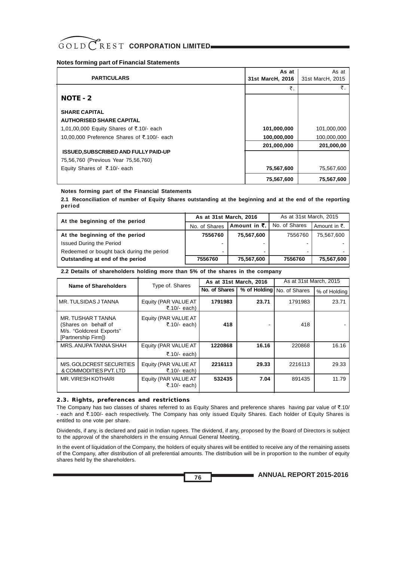| <b>PARTICULARS</b>                          | As at<br>31st MarcH, 2016 | As at<br>31st MarcH, 2015 |
|---------------------------------------------|---------------------------|---------------------------|
|                                             | ₹.                        | ₹.                        |
| NOTE - 2                                    |                           |                           |
| <b>SHARE CAPITAL</b>                        |                           |                           |
| <b>AUTHORISED SHARE CAPITAL</b>             |                           |                           |
| 1,01,00,000 Equity Shares of ₹.10/- each    | 101,000,000               | 101,000,000               |
| 10,00,000 Preference Shares of ₹.100/- each | 100,000,000               | 100,000,000               |
|                                             | 201,000,000               | 201,000,00                |
| <b>ISSUED, SUBSCRIBED AND FULLY PAID-UP</b> |                           |                           |
| 75,56,760 (Previous Year 75,56,760)         |                           |                           |
| Equity Shares of ₹.10/- each                | 75,567,600                | 75,567,600                |
|                                             | 75,567,600                | 75,567,600                |

### **Notes forming part of the Financial Statements**

**2.1 Reconciliation of number of Equity Shares outstanding at the beginning and at the end of the reporting period**

| At the beginning of the period            | As at 31st March, 2016 |                                | As at 31st March, 2015 |                          |
|-------------------------------------------|------------------------|--------------------------------|------------------------|--------------------------|
|                                           | No. of Shares          | Amount in $\bar{\mathbf{z}}$ . | No. of Shares          | Amount in $\bar{\tau}$ . |
| At the beginning of the period            | 7556760                | 75,567,600                     | 7556760                | 75,567,600               |
| <b>Issued During the Period</b>           | $\sim$                 |                                |                        |                          |
| Redeemed or bought back during the period | $\blacksquare$         |                                |                        |                          |
| Outstanding at end of the period          | 7556760                | 75,567,600                     | 7556760                | 75,567,600               |

#### **2.2 Details of shareholders holding more than 5% of the shares in the company**

| <b>Name of Shareholders</b>                                                                   | Type of. Shares                      | As at 31st March, 2016 |              | As at 31st March, 2015 |              |  |
|-----------------------------------------------------------------------------------------------|--------------------------------------|------------------------|--------------|------------------------|--------------|--|
|                                                                                               |                                      | No. of Shares          | % of Holding | No. of Shares          | % of Holding |  |
| MR. TULSIDAS J TANNA                                                                          | Equity (PAR VALUE AT<br>₹.10/- each) | 1791983                | 23.71        | 1791983                | 23.71        |  |
| MR. TUSHAR T TANNA<br>(Shares on behalf of<br>M/s. "Goldcrest Exports"<br>[Partnership Firm]) | Equity (PAR VALUE AT<br>₹.10/- each) | 418                    |              | 418                    |              |  |
| MRS. ANUPA TANNA SHAH                                                                         | Equity (PAR VALUE AT<br>₹.10/- each) | 1220868                | 16.16        | 220868                 | 16.16        |  |
| M/S. GOLDCREST SECURITIES<br>& COMMODITIES PVT. LTD                                           | Equity (PAR VALUE AT<br>₹.10/- each) | 2216113                | 29.33        | 2216113                | 29.33        |  |
| MR. VIRESH KOTHARI                                                                            | Equity (PAR VALUE AT<br>₹.10/- each) | 532435                 | 7.04         | 891435                 | 11.79        |  |

#### **2.3. Rights, preferences and restrictions**

The Company has two classes of shares referred to as Equity Shares and preference shares having par value of  $\bar{\tau}$ .10/ - each and ₹.100/- each respectively. The Company has only issued Equity Shares. Each holder of Equity Shares is entitled to one vote per share.

Dividends, if any, is declared and paid in Indian rupees. The dividend, if any, proposed by the Board of Directors is subject to the approval of the shareholders in the ensuing Annual General Meeting.

In the event of liquidation of the Company, the holders of equity shares will be entitled to receive any of the remaining assets of the Company, after distribution of all preferential amounts. The distribution will be in proportion to the number of equity shares held by the shareholders.

**76**

**ANNUAL REPORT 2015-2016**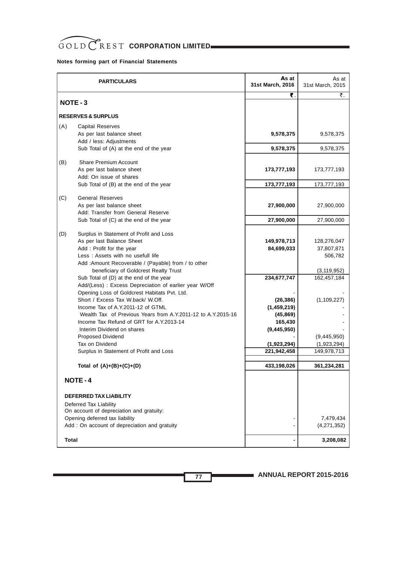|        | <b>PARTICULARS</b>                                                                           | As at<br>31st March, 2016 | As at<br>31st March, 2015 |
|--------|----------------------------------------------------------------------------------------------|---------------------------|---------------------------|
|        |                                                                                              | ₹.                        | ₹.                        |
| NOTE-3 |                                                                                              |                           |                           |
|        | <b>RESERVES &amp; SURPLUS</b>                                                                |                           |                           |
| (A)    | <b>Capital Reserves</b>                                                                      |                           |                           |
|        | As per last balance sheet                                                                    | 9,578,375                 | 9,578,375                 |
|        | Add / less: Adjustments                                                                      |                           |                           |
|        | Sub Total of (A) at the end of the year                                                      | 9,578,375                 | 9,578,375                 |
| (B)    | <b>Share Premium Account</b>                                                                 |                           |                           |
|        | As per last balance sheet                                                                    | 173,777,193               | 173,777,193               |
|        | Add: On issue of shares                                                                      |                           |                           |
|        | Sub Total of (B) at the end of the year                                                      | 173,777,193               | 173,777,193               |
|        | <b>General Reserves</b>                                                                      |                           |                           |
| (C)    | As per last balance sheet                                                                    | 27,900,000                | 27,900,000                |
|        | Add: Transfer from General Reserve                                                           |                           |                           |
|        | Sub Total of (C) at the end of the year                                                      | 27,900,000                | 27,900,000                |
|        |                                                                                              |                           |                           |
| (D)    | Surplus in Statement of Profit and Loss                                                      |                           |                           |
|        | As per last Balance Sheet                                                                    | 149,978,713               | 128,276,047               |
|        | Add: Profit for the year                                                                     | 84,699,033                | 37,807,871                |
|        | Less: Assets with no usefull life                                                            |                           | 506,782                   |
|        | Add :Amount Recoverable / (Payable) from / to other<br>beneficiary of Goldcrest Realty Trust |                           | (3, 119, 952)             |
|        | Sub Total of (D) at the end of the year                                                      | 234,677,747               | 162,457,184               |
|        | Add/(Less) : Excess Depreciation of earlier year W/Off                                       |                           |                           |
|        | Opening Loss of Goldcrest Habitats Pvt. Ltd.                                                 |                           |                           |
|        | Short / Excess Tax W.back/ W.Off.                                                            | (26, 386)                 | (1, 109, 227)             |
|        | Income Tax of A.Y.2011-12 of GTML                                                            | (1,459,219)               |                           |
|        | Wealth Tax of Previous Years from A.Y.2011-12 to A.Y.2015-16                                 | (45, 869)                 |                           |
|        | Income Tax Refund of GRT for A.Y.2013-14                                                     | 165,430                   |                           |
|        | Interim Dividend on shares                                                                   | (9,445,950)               |                           |
|        | <b>Proposed Dividend</b>                                                                     |                           | (9,445,950)               |
|        | Tax on Dividend                                                                              | (1,923,294)               | (1,923,294)               |
|        | Surplus in Statement of Profit and Loss                                                      | 221,942,458               | 149,978,713               |
|        | Total of $(A)+(B)+(C)+(D)$                                                                   | 433,198,026               | 361,234,281               |
|        |                                                                                              |                           |                           |
|        | <b>NOTE-4</b>                                                                                |                           |                           |
|        | DEFERRED TAX LIABILITY                                                                       |                           |                           |
|        | Deferred Tax Liability                                                                       |                           |                           |
|        | On account of depreciation and gratuity:                                                     |                           |                           |
|        | Opening deferred tax liability                                                               |                           | 7,479,434                 |
|        | Add : On account of depreciation and gratuity                                                |                           | (4,271,352)               |
| Total  |                                                                                              |                           | 3,208,082                 |

**ANNUAL REPORT 2015-2016**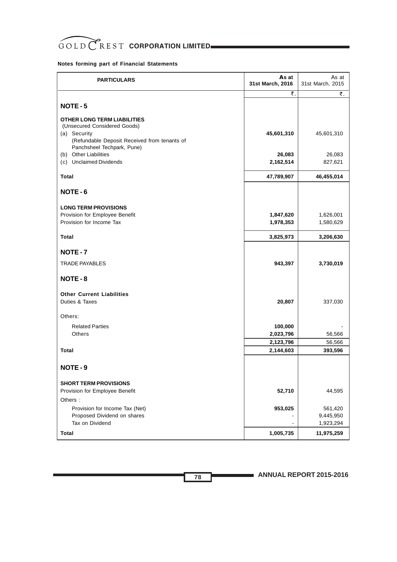

| <b>PARTICULARS</b>                                                                                                                                               | As at<br>31st March, 2016 | As at<br>31st March, 2015 |
|------------------------------------------------------------------------------------------------------------------------------------------------------------------|---------------------------|---------------------------|
|                                                                                                                                                                  | ₹.                        | ₹.                        |
| NOTE-5                                                                                                                                                           |                           |                           |
| <b>OTHER LONG TERM LIABILITIES</b><br>(Unsecured Considered Goods)<br>(a) Security<br>(Refundable Deposit Received from tenants of<br>Panchsheel Techpark, Pune) | 45,601,310                | 45,601,310                |
| (b) Other Liabilities<br>(c) Unclaimed Dividends                                                                                                                 | 26,083<br>2,162,514       | 26,083<br>827,621         |
| Total                                                                                                                                                            | 47,789,907                | 46,455,014                |
| NOTE-6                                                                                                                                                           |                           |                           |
| <b>LONG TERM PROVISIONS</b><br>Provision for Employee Benefit<br>Provision for Income Tax                                                                        | 1,847,620<br>1,978,353    | 1,626,001<br>1,580,629    |
| Total                                                                                                                                                            | 3,825,973                 | 3,206,630                 |
| NOTE-7                                                                                                                                                           |                           |                           |
| <b>TRADE PAYABLES</b>                                                                                                                                            | 943,397                   | 3,730,019                 |
| NOTE-8                                                                                                                                                           |                           |                           |
| <b>Other Current Liabilities</b><br>Duties & Taxes                                                                                                               | 20,807                    | 337,030                   |
| Others:                                                                                                                                                          |                           |                           |
| <b>Related Parties</b><br>Others                                                                                                                                 | 100,000<br>2,023,796      | 56,566                    |
|                                                                                                                                                                  | 2,123,796                 | 56,566                    |
| <b>Total</b>                                                                                                                                                     | 2,144,603                 | 393,596                   |
| NOTE-9                                                                                                                                                           |                           |                           |
| <b>SHORT TERM PROVISIONS</b><br>Provision for Employee Benefit<br>Others:                                                                                        | 52,710                    | 44,595                    |
| Provision for Income Tax (Net)<br>Proposed Dividend on shares                                                                                                    | 953,025                   | 561,420<br>9,445,950      |
| Tax on Dividend                                                                                                                                                  |                           | 1,923,294                 |
| Total                                                                                                                                                            | 1,005,735                 | 11,975,259                |

**ANNUAL REPORT 2015-2016**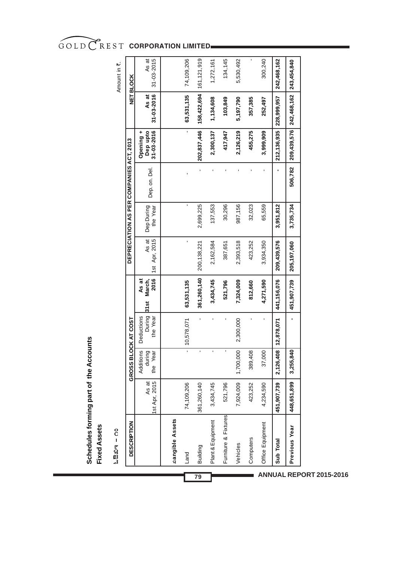As at<br>31-03-2015 161,121,919 74,109,206 134,145 5,530,492 300,240 242,468,162 243,454,840 31-03-2015 Land 74,109,206 - 10,578,071 **63,531,135** - - - - **63,531,135** 74,109,206 Building 361,260,140 - - **361,260,140** 200,138,221 2,699,225 - **202,837,446 158,422,694** 161,121,919 1,272,161 Furniture & Fixtures 521,796 - - **521,796** 387,651 30,296 - **417,947 103,849** 134,145 Vehicles 7,924,009 1,700,000 2,300,000 **7,324,009** 2,393,518 987,156 - **2,126,219 5,197,790** 5,530,492 Computers 423,252 389,408 - **812,660** 423,252 32,023 - **455,275 357,385** - Of0.030 3734,234,234,4234,4234,4234,4234,4250,499,499,590,499,499,499,499,400,499,499,499,497,497,497,499,599,599,599,<br>Project and the set of the set of the set of the set of the set of the set of the set of the set of the **Sub Total 451,907,739 2,126,408 12,878,071 441,156,076 209,439,576 3,951,812 - 212,136,935 228,999,957 242,468,162** Plant & Equipment 3,434,745 - - **3,434,745** 2,162,584 137,553 - **2,300,137 1,134,608** 1,272,161 **Previous Year 448,651,899 3,255,840 - 451,907,739 205,197,060 3,735,734 506,782 209,439,576 242,468,162 243,454,840** Amount in ₹. Amount in ₹. **NETBLOCK GROSS BLOCK AT COST DEPRECIATION AS PER COMPANIES ACT, 2013 NET BLOCK** As at<br>31-03-2016 158,422,694 63,531,135 212,136,935 228,999,957 242,468,162 103,849 **31-03-2016** 1,134,608 357,385 252,497 5,197,790 **Opening +**<br> **Dep** upto<br>
31-03-2016 209,439,576 202,837,446 417,947 2,126,219 3,999,909 455,275 **Opening + 31-03-2016** 2,300,137 DEPRECIATION AS PER COMPANIES ACT, 2013 506,782 l, l, J J Dep.on. Del. Dep. on. Del. Dep During 137,553 30,296 32,023 65,559 2,699,225 987,156 3,951,812 3,735,734 the Year Dep During As at<br>1st Apr, 2015 1st Apr, 2015 423,252 209,439,576 200, 138, 221 2,393,518 2,162,584 387,651 3,934,350 205,197,060 361,260,140 441, 156, 076 451,907,739 **As at 2016** 3,434,745 521,796 7,324,009 **31st March,** 63,531,135 812,660 4,271,590  $31st$ During<br>the Year **Deductions** l, l, l,  $\overline{1}$ J, Deductions the Year 10,578,071 2,300,000 GROSS BLOCK AT COST 12,878,071 Additions<br>during<br>the Year 2,126,408 389,408 1,700,000 37,000 3,255,840 Additions the Year As at<br>1st Apr, 2015 74,109,206 7,924,009 423,252 451,907,739 448,651,899 1st Apr, 2015 361,260,140 3,434,745 521,796 4,234,590 Furniture & Fixtures *aangible* Assets **Tangible Assets** Plant & Equipment **DESCRIPTION** Office Equipment **DESCRIPTION** Previous Year Computers Sub Total Vehicles Building Land

**ANNUAL REPORT 2015-2016 79**

ಓಔಖಇ – ೧೦  $\mathbf{h}$ ಔಖಿಇ – ೧೦

**Fixed Assets**

**Fixed Assets** 

**Schedules forming part of the Accounts**

Schedules forming part of the Accounts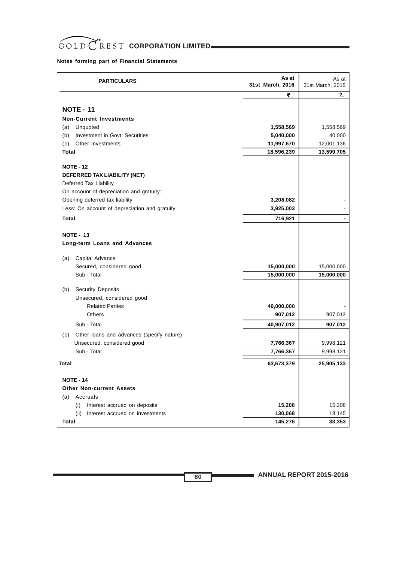# GOLD CREST CORPORATION LIMITED

# **Notes forming part of Financial Statements**

| <b>PARTICULARS</b>                                 | As at<br>31st March, 2016 | As at<br>31st March, 2015 |
|----------------------------------------------------|---------------------------|---------------------------|
|                                                    | ₹.                        | ₹.                        |
| <b>NOTE - 11</b><br><b>Non-Current Investments</b> |                           |                           |
| Unquoted<br>(a)                                    | 1,558,569                 | 1,558,569                 |
| Investment in Govt. Securities<br>(b)              | 5,040,000                 | 40,000                    |
| (c)<br>Other Investments                           | 11,997,670                | 12,001,136                |
| Total                                              | 18,596,239                | 13,599,705                |
|                                                    |                           |                           |
| <b>NOTE - 12</b>                                   |                           |                           |
| DEFERRED TAX LIABILITY (NET)                       |                           |                           |
| Deferred Tax Liability                             |                           |                           |
| On account of depreciation and gratuity:           |                           |                           |
| Opening deferred tax liability                     | 3,208,082                 |                           |
| Less: On account of depreciation and gratuity      | 3,925,003                 |                           |
| <b>Total</b>                                       | 716,921                   |                           |
|                                                    |                           |                           |
| <b>NOTE - 13</b>                                   |                           |                           |
| Long-term Loans and Advances                       |                           |                           |
| Capital Advance<br>(a)                             |                           |                           |
| Secured, considered good                           | 15,000,000                | 15,000,000                |
| Sub - Total                                        | 15,000,000                | 15,000,000                |
|                                                    |                           |                           |
| <b>Security Deposits</b><br>(b)                    |                           |                           |
| Unsecured, considered good                         |                           |                           |
| <b>Related Parties</b>                             | 40,000,000                |                           |
| Others                                             | 907,012                   | 907,012                   |
| Sub - Total                                        | 40,907,012                | 907,012                   |
| Other loans and advances (specify nature)<br>(c)   |                           |                           |
| Unsecured, considered good                         | 7,766,367                 | 9,998,121                 |
| Sub - Total                                        | 7,766,367                 | 9,998,121                 |
| <b>Total</b>                                       | 63,673,379                | 25,905,133                |
|                                                    |                           |                           |
| <b>NOTE - 14</b>                                   |                           |                           |
| <b>Other Non-current Assets</b>                    |                           |                           |
| Accruals<br>(a)                                    |                           |                           |
| Interest accrued on deposits<br>(i)                | 15,208                    | 15,208                    |
| (ii)<br>Interest accrued on investments            | 130,068                   | 18,145                    |
| Total                                              | 145,276                   | 33,353                    |

**ANNUAL REPORT 2015-2016**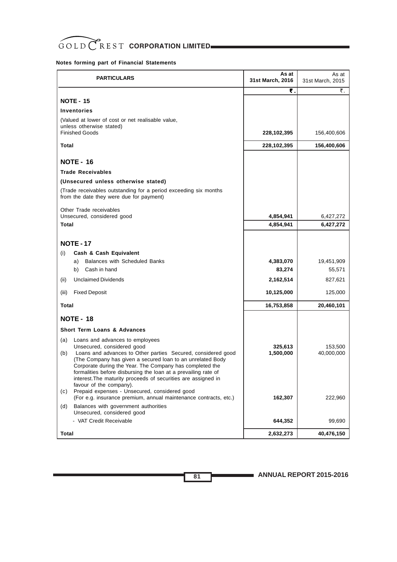| <b>PARTICULARS</b>                                                                                                                                                                                                                                                                                                                                                                        | As at<br>31st March, 2016 | As at<br>31st March, 2015 |
|-------------------------------------------------------------------------------------------------------------------------------------------------------------------------------------------------------------------------------------------------------------------------------------------------------------------------------------------------------------------------------------------|---------------------------|---------------------------|
|                                                                                                                                                                                                                                                                                                                                                                                           | ₹.                        | ₹.                        |
| <b>NOTE - 15</b>                                                                                                                                                                                                                                                                                                                                                                          |                           |                           |
| <b>Inventories</b>                                                                                                                                                                                                                                                                                                                                                                        |                           |                           |
| (Valued at lower of cost or net realisable value,<br>unless otherwise stated)<br><b>Finished Goods</b>                                                                                                                                                                                                                                                                                    | 228,102,395               | 156,400,606               |
| Total                                                                                                                                                                                                                                                                                                                                                                                     | 228,102,395               | 156,400,606               |
|                                                                                                                                                                                                                                                                                                                                                                                           |                           |                           |
| <b>NOTE - 16</b>                                                                                                                                                                                                                                                                                                                                                                          |                           |                           |
| <b>Trade Receivables</b>                                                                                                                                                                                                                                                                                                                                                                  |                           |                           |
| (Unsecured unless otherwise stated)                                                                                                                                                                                                                                                                                                                                                       |                           |                           |
| (Trade receivables outstanding for a period exceeding six months<br>from the date they were due for payment)                                                                                                                                                                                                                                                                              |                           |                           |
| Other Trade receivables                                                                                                                                                                                                                                                                                                                                                                   |                           |                           |
| Unsecured, considered good<br><b>Total</b>                                                                                                                                                                                                                                                                                                                                                | 4,854,941                 | 6,427,272                 |
|                                                                                                                                                                                                                                                                                                                                                                                           | 4,854,941                 | 6,427,272                 |
| <b>NOTE - 17</b><br>Cash & Cash Equivalent<br>(i)                                                                                                                                                                                                                                                                                                                                         |                           |                           |
| <b>Balances with Scheduled Banks</b><br>a)                                                                                                                                                                                                                                                                                                                                                | 4,383,070                 | 19,451,909                |
| Cash in hand<br>b)                                                                                                                                                                                                                                                                                                                                                                        | 83,274                    | 55,571                    |
| <b>Unclaimed Dividends</b><br>(ii)                                                                                                                                                                                                                                                                                                                                                        | 2,162,514                 | 827,621                   |
| <b>Fixed Deposit</b><br>(iii)                                                                                                                                                                                                                                                                                                                                                             | 10,125,000                | 125,000                   |
| Total                                                                                                                                                                                                                                                                                                                                                                                     | 16,753,858                | 20,460,101                |
| <b>NOTE - 18</b>                                                                                                                                                                                                                                                                                                                                                                          |                           |                           |
| <b>Short Term Loans &amp; Advances</b>                                                                                                                                                                                                                                                                                                                                                    |                           |                           |
| Loans and advances to employees<br>(a)                                                                                                                                                                                                                                                                                                                                                    |                           |                           |
| Unsecured, considered good<br>Loans and advances to Other parties Secured, considered good<br>(b)<br>(The Company has given a secured loan to an unrelated Body<br>Corporate during the Year. The Company has completed the<br>formalities before disbursing the loan at a prevailing rate of<br>interest. The maturity proceeds of securities are assigned in<br>favour of the company). | 325,613<br>1,500,000      | 153,500<br>40,000,000     |
| Prepaid expenses - Unsecured, considered good<br>(c)<br>(For e.g. insurance premium, annual maintenance contracts, etc.)                                                                                                                                                                                                                                                                  | 162,307                   | 222,960                   |
| Balances with government authorities<br>(d)<br>Unsecured, considered good                                                                                                                                                                                                                                                                                                                 |                           |                           |
| - VAT Credit Receivable                                                                                                                                                                                                                                                                                                                                                                   | 644,352                   | 99,690                    |
| Total                                                                                                                                                                                                                                                                                                                                                                                     | 2,632,273                 | 40,476,150                |

**ANNUAL REPORT 2015-2016**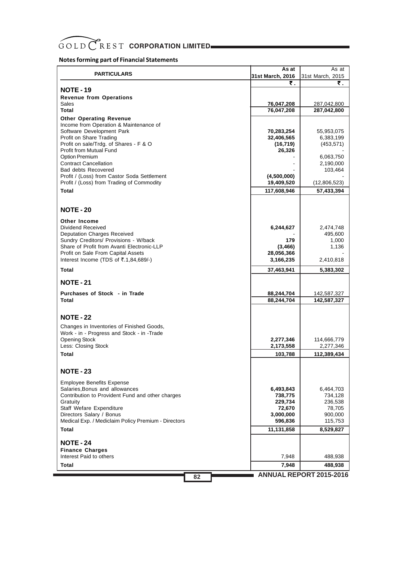# GOLD CREST CORPORATION LIMITED

# **Notes forming part of Financial Statements**

| <b>PARTICULARS</b>                                                                       | As at                     | As at                  |
|------------------------------------------------------------------------------------------|---------------------------|------------------------|
|                                                                                          | 31st March, 2016          | 31st March, 2015       |
| <b>NOTE - 19</b>                                                                         | ₹.                        | ₹.                     |
|                                                                                          |                           |                        |
| <b>Revenue from Operations</b><br>Sales                                                  | 76,047,208                | 287,042,800            |
| Total                                                                                    | 76,047,208                | 287,042,800            |
|                                                                                          |                           |                        |
| <b>Other Operating Revenue</b><br>Income from Operation & Maintenance of                 |                           |                        |
| Software Development Park                                                                | 70,283,254                | 55,953,075             |
| Profit on Share Trading                                                                  | 32,406,565                | 6,383,199              |
| Profit on sale/Trdg. of Shares - F & O                                                   | (16, 719)                 | (453, 571)             |
| <b>Profit from Mutual Fund</b>                                                           | 26,326                    |                        |
| <b>Option Premium</b>                                                                    |                           | 6,063,750              |
| <b>Contract Cancellation</b>                                                             |                           | 2,190,000              |
| <b>Bad debts Recovered</b>                                                               |                           | 103,464                |
| Profit / (Loss) from Castor Soda Settlement<br>Profit / (Loss) from Trading of Commodity | (4,500,000)<br>19,409,520 | (12,806,523)           |
|                                                                                          |                           |                        |
| Total                                                                                    | 117,608,946               | 57,433,394             |
|                                                                                          |                           |                        |
| <b>NOTE - 20</b>                                                                         |                           |                        |
|                                                                                          |                           |                        |
| <b>Other Income</b>                                                                      |                           |                        |
| Dividend Received<br><b>Deputation Charges Received</b>                                  | 6,244,627                 | 2,474,748<br>495,600   |
| Sundry Creditors/ Provisions - W/back                                                    | 179                       | 1,000                  |
| Share of Profit from Avanti Electronic-LLP                                               | (3, 466)                  | 1,136                  |
| Profit on Sale From Capital Assets                                                       | 28,056,366                |                        |
| Interest Income (TDS of $\overline{3}$ .1,84,689/-)                                      | 3,166,235                 | 2,410,818              |
| Total                                                                                    | 37,463,941                | 5,383,302              |
| <b>NOTE - 21</b>                                                                         |                           |                        |
|                                                                                          |                           |                        |
| Purchases of Stock - in Trade                                                            | 88,244,704                | 142,587,327            |
| <b>Total</b>                                                                             | 88,244,704                | 142,587,327            |
|                                                                                          |                           |                        |
| <b>NOTE - 22</b>                                                                         |                           |                        |
| Changes in Inventories of Finished Goods,                                                |                           |                        |
| Work - in - Progress and Stock - in -Trade                                               |                           |                        |
| <b>Opening Stock</b>                                                                     | 2,277,346                 | 114,666,779            |
| Less: Closing Stock                                                                      | 2,173,558                 | 2,277,346              |
| Total                                                                                    | 103,788                   | 112,389,434            |
|                                                                                          |                           |                        |
| <b>NOTE - 23</b>                                                                         |                           |                        |
|                                                                                          |                           |                        |
| <b>Employee Benefits Expense</b>                                                         |                           |                        |
| Salaries, Bonus and allowances<br>Contribution to Provident Fund and other charges       | 6,493,843                 | 6,464,703              |
| Gratuity                                                                                 | 738,775<br>229,734        | 734,128<br>236,538     |
| Staff Wefare Expenditure                                                                 | 72,670                    | 78,705                 |
| Directors Salary / Bonus                                                                 | 3,000,000                 | 900,000                |
| Medical Exp. / Mediclaim Policy Premium - Directors                                      | 596,836                   | 115,753                |
| <b>Total</b>                                                                             | 11,131,858                | 8,529,827              |
|                                                                                          |                           |                        |
| <b>NOTE - 24</b>                                                                         |                           |                        |
| <b>Finance Charges</b><br>Interest Paid to others                                        | 7,948                     | 488,938                |
| Total                                                                                    | 7,948                     | 488,938                |
|                                                                                          |                           | ANNUAL BEBORT COAF COA |

**ANNUAL REPORT 2015-2016 82**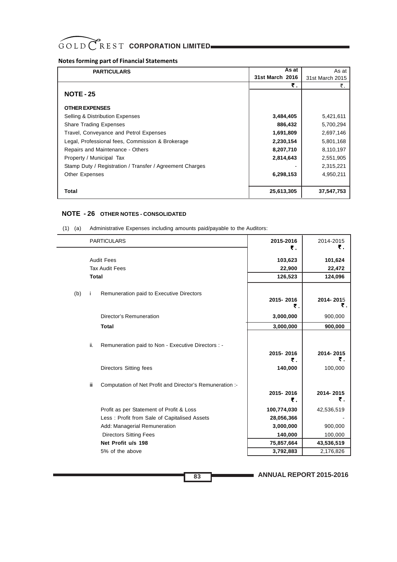# **Notes forming part of Financial Statements**

| <b>PARTICULARS</b>                                       | As at           | As at           |
|----------------------------------------------------------|-----------------|-----------------|
|                                                          | 31st March 2016 | 31st March 2015 |
|                                                          | ₹.              | ₹.              |
| <b>NOTE - 25</b>                                         |                 |                 |
| <b>OTHER EXPENSES</b>                                    |                 |                 |
| Selling & Distribution Expenses                          | 3,484,405       | 5,421,611       |
| <b>Share Trading Expenses</b>                            | 886,432         | 5,700,294       |
| Travel, Conveyance and Petrol Expenses                   | 1,691,809       | 2,697,146       |
| Legal, Professional fees, Commission & Brokerage         | 2,230,154       | 5,801,168       |
| Repairs and Maintenance - Others                         | 8,207,710       | 8,110,197       |
| Property / Municipal Tax                                 | 2,814,643       | 2,551,905       |
| Stamp Duty / Registration / Transfer / Agreement Charges |                 | 2,315,221       |
| <b>Other Expenses</b>                                    | 6,298,153       | 4,950,211       |
|                                                          |                 |                 |
| Total                                                    | 25,613,305      | 37,547,753      |

## **NOTE - 26 OTHER NOTES - CONSOLIDATED**

|     |     | <b>PARTICULARS</b>                                       | 2015-2016<br>₹. | 2014-2015<br>₹. |
|-----|-----|----------------------------------------------------------|-----------------|-----------------|
|     |     | <b>Audit Fees</b>                                        | 103,623         | 101,624         |
|     |     | <b>Tax Audit Fees</b>                                    | 22,900          | 22,472          |
|     |     | <b>Total</b>                                             | 126,523         | 124,096         |
| (b) | Ť   | Remuneration paid to Executive Directors                 | 2015-2016<br>₹. | 2014-2015<br>₹. |
|     |     | Director's Remuneration                                  | 3,000,000       | 900,000         |
|     |     | <b>Total</b>                                             | 3,000,000       | 900,000         |
|     | ii. | Remuneration paid to Non - Executive Directors : -       | 2015-2016<br>₹. | 2014-2015<br>₹. |
|     |     | Directors Sitting fees                                   | 140,000         | 100,000         |
|     | Ϊİ  | Computation of Net Profit and Director's Remuneration :- | 2015-2016<br>₹. | 2014-2015<br>₹. |
|     |     | Profit as per Statement of Profit & Loss                 | 100,774,030     | 42,536,519      |
|     |     | Less: Profit from Sale of Capitalised Assets             | 28,056,366      |                 |
|     |     | Add: Managerial Remuneration                             | 3,000,000       | 900,000         |
|     |     | <b>Directors Sitting Fees</b>                            | 140,000         | 100,000         |
|     |     | Net Profit u/s 198                                       | 75,857,664      | 43,536,519      |
|     |     | 5% of the above                                          | 3,792,883       | 2,176,826       |

(1) (a) Administrative Expenses including amounts paid/payable to the Auditors:

**ANNUAL REPORT 2015-2016**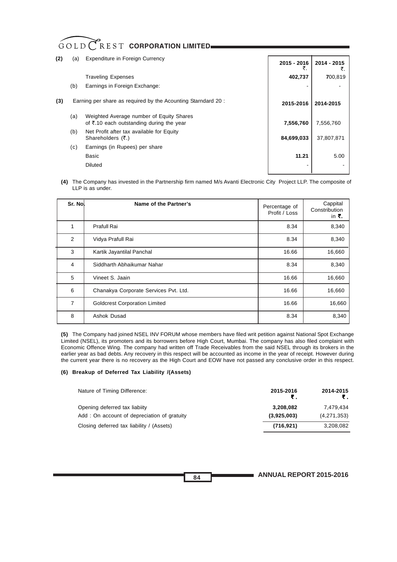# GOLD CREST CORPORATION LIMITED

| (2) | (a) | <b>Expenditure in Foreign Currency</b>                                                                | 2015 - 2016 | 2014 - 2015 |
|-----|-----|-------------------------------------------------------------------------------------------------------|-------------|-------------|
|     |     | <b>Traveling Expenses</b>                                                                             | 402,737     | 700,819     |
|     | (b) | Earnings in Foreign Exchange:                                                                         |             |             |
| (3) |     | Earning per share as required by the Acounting Starndard 20:                                          | 2015-2016   | 2014-2015   |
|     | (a) | Weighted Average number of Equity Shares<br>of $\overline{\tau}$ .10 each outstanding during the year | 7,556,760   | 7,556,760   |
|     | (b) | Net Profit after tax available for Equity<br>Shareholders $(\overline{\tau})$ .                       | 84,699,033  | 37,807,871  |
|     | (c) | Earnings (in Rupees) per share                                                                        |             |             |
|     |     | Basic                                                                                                 | 11.21       | 5.00        |
|     |     | Diluted                                                                                               |             |             |

**(4)** The Company has invested in the Partnership firm named M/s Avanti Electronic City Project LLP. The composite of LLP is as under.

| Sr. Nol | Name of the Partner's                 | Percentage of<br>Profit / Loss | Cappital<br>Constribution<br>in ₹. |
|---------|---------------------------------------|--------------------------------|------------------------------------|
|         | Prafull Rai                           | 8.34                           | 8,340                              |
| 2       | Vidya Prafull Rai                     | 8.34                           | 8,340                              |
| 3       | Kartik Jayantilal Panchal             | 16.66                          | 16,660                             |
| 4       | Siddharth Abhaikumar Nahar            | 8.34                           | 8,340                              |
| 5       | Vineet S. Jaain                       | 16.66                          | 16,660                             |
| 6       | Chanakya Corporate Services Pvt. Ltd. | 16.66                          | 16,660                             |
| 7       | <b>Goldcrest Corporation Limited</b>  | 16.66                          | 16,660                             |
| 8       | Ashok Dusad                           | 8.34                           | 8,340                              |

**(5)** The Company had joined NSEL INV FORUM whose members have filed writ petition against National Spot Exchange Limited (NSEL), its promoters and its borrowers before High Court, Mumbai. The company has also filed complaint with Economic Offence Wing. The company had written off Trade Receivables from the said NSEL through its brokers in the earlier year as bad debts. Any recovery in this respect will be accounted as income in the year of receipt. However during the current year there is no recovery as the High Court and EOW have not passed any conclusive order in this respect.

### **(6) Breakup of Deferred Tax Liability /(Assets)**

| Nature of Timing Difference:                | 2015-2016<br>₹ | 2014-2015<br>₹. |
|---------------------------------------------|----------------|-----------------|
| Opening deferred tax liabiity               | 3,208,082      | 7.479.434       |
| Add: On account of depreciation of gratuity | (3,925,003)    | (4,271,353)     |
| Closing deferred tax liability / (Assets)   | (716, 921)     | 3,208,082       |

**ANNUAL REPORT 2015-2016**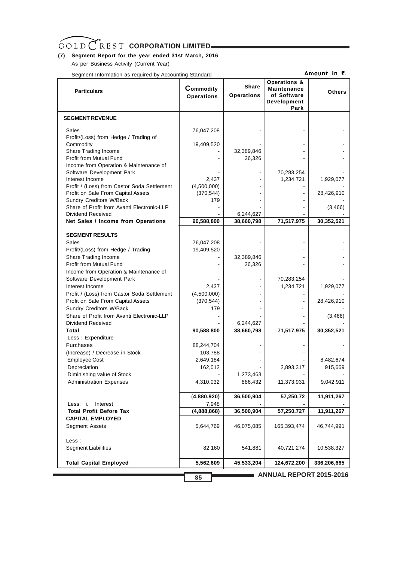# **(7) Segment Report for the year ended 31st March, 2016**

As per Business Activity (Current Year)

Segment Information as required by Accounting Standard

Amount in  $\bar{\tau}$ .

| <b>Particulars</b>                                                  | <b>Commodity</b><br><b>Operations</b> | <b>Share</b><br><b>Operations</b> | <b>Operations &amp;</b><br><b>Maintenance</b><br>of Software<br>Development<br>Park | <b>Others</b>        |
|---------------------------------------------------------------------|---------------------------------------|-----------------------------------|-------------------------------------------------------------------------------------|----------------------|
| <b>SEGMENT REVENUE</b>                                              |                                       |                                   |                                                                                     |                      |
| Sales<br>Profit/(Loss) from Hedge / Trading of                      | 76,047,208                            |                                   |                                                                                     |                      |
| Commodity                                                           | 19,409,520                            |                                   |                                                                                     |                      |
| Share Trading Income                                                |                                       | 32,389,846                        |                                                                                     |                      |
| Profit from Mutual Fund                                             |                                       | 26,326                            |                                                                                     |                      |
| Income from Operation & Maintenance of<br>Software Development Park |                                       |                                   | 70,283,254                                                                          |                      |
| Interest Income                                                     | 2,437                                 |                                   | 1,234,721                                                                           | 1,929,077            |
| Profit / (Loss) from Castor Soda Settlement                         | (4,500,000)                           |                                   |                                                                                     |                      |
| Profit on Sale From Capital Assets                                  | (370, 544)                            |                                   |                                                                                     | 28,426,910           |
| Sundry Creditors W/Back                                             | 179                                   |                                   |                                                                                     |                      |
| Share of Profit from Avanti Electronic-LLP                          |                                       |                                   |                                                                                     | (3,466)              |
| Dividend Received<br>Net Sales / Income from Operations             | 90,588,800                            | 6,244,627<br>38,660,798           | 71,517,975                                                                          | 30,352,521           |
|                                                                     |                                       |                                   |                                                                                     |                      |
| <b>SEGMENT RESULTS</b>                                              |                                       |                                   |                                                                                     |                      |
| Sales                                                               | 76,047,208                            |                                   |                                                                                     |                      |
| Profit/(Loss) from Hedge / Trading                                  | 19,409,520                            |                                   |                                                                                     |                      |
| Share Trading Income                                                |                                       | 32,389,846                        |                                                                                     |                      |
| Profit from Mutual Fund                                             |                                       | 26,326                            |                                                                                     |                      |
| Income from Operation & Maintenance of                              |                                       |                                   |                                                                                     |                      |
| Software Development Park<br>Interest Income                        | 2,437                                 |                                   | 70,283,254<br>1,234,721                                                             | 1,929,077            |
| Profit / (Loss) from Castor Soda Settlement                         | (4,500,000)                           |                                   |                                                                                     |                      |
| Profit on Sale From Capital Assets                                  | (370, 544)                            |                                   |                                                                                     | 28,426,910           |
| Sundry Creditors W/Back                                             | 179                                   |                                   |                                                                                     |                      |
| Share of Profit from Avanti Electronic-LLP                          |                                       |                                   |                                                                                     | (3, 466)             |
| Dividend Received                                                   |                                       | 6,244,627                         |                                                                                     |                      |
| Total                                                               | 90,588,800                            | 38,660,798                        | 71,517,975                                                                          | 30,352,521           |
| Less: Expenditure                                                   |                                       |                                   |                                                                                     |                      |
| Purchases                                                           | 88,244,704                            |                                   |                                                                                     |                      |
| (Increase) / Decrease in Stock                                      | 103,788                               |                                   |                                                                                     |                      |
| <b>Employee Cost</b><br>Depreciation                                | 2,649,184<br>162,012                  |                                   | 2,893,317                                                                           | 8,482,674<br>915,669 |
| Diminishing value of Stock                                          |                                       | 1,273,463                         |                                                                                     |                      |
| <b>Administration Expenses</b>                                      | 4,310,032                             | 886,432                           | 11,373,931                                                                          | 9,042,911            |
|                                                                     |                                       |                                   |                                                                                     |                      |
|                                                                     | (4,880,920)                           | 36,500,904                        | 57,250,72                                                                           | 11,911,267           |
| Interest<br>Less: i.                                                | 7,948                                 |                                   |                                                                                     |                      |
| <b>Total Profit Before Tax</b>                                      | (4,888,868)                           | 36,500,904                        | 57,250,727                                                                          | 11,911,267           |
| <b>CAPITAL EMPLOYED</b>                                             |                                       |                                   |                                                                                     |                      |
| Segment Assets                                                      | 5,644,769                             | 46,075,085                        | 165,393,474                                                                         | 46,744,991           |
| Less :                                                              |                                       |                                   |                                                                                     |                      |
| <b>Segment Liabilities</b>                                          | 82,160                                | 541,881                           | 40,721,274                                                                          | 10,538,327           |
| <b>Total Capital Employed</b>                                       | 5,562,609                             | 45,533,204                        | 124,672,200                                                                         | 336,206,665          |
|                                                                     | 85                                    |                                   | <b>ANNUAL REPORT 2015-2016</b>                                                      |                      |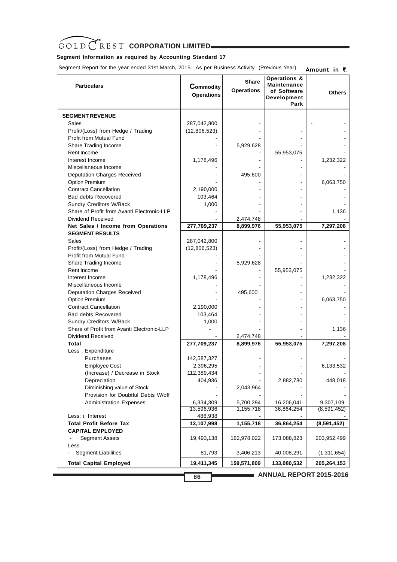# **Segment Information as required by Accounting Standard 17**

 Segment Report for the year ended 31st March, 2015. As per Business Activity (Previous Year) Amount in  $\bar{z}$ .

| <b>Particulars</b>                                                    | Commodity<br><b>Operations</b> | <b>Share</b><br><b>Operations</b> | <b>Operations &amp;</b><br><b>Maintenance</b><br>of Software<br>Development<br>Park | <b>Others</b> |
|-----------------------------------------------------------------------|--------------------------------|-----------------------------------|-------------------------------------------------------------------------------------|---------------|
| <b>SEGMENT REVENUE</b>                                                |                                |                                   |                                                                                     |               |
| Sales                                                                 | 287,042,800                    |                                   |                                                                                     |               |
| Profit/(Loss) from Hedge / Trading                                    | (12,806,523)                   |                                   |                                                                                     |               |
| <b>Profit from Mutual Fund</b>                                        |                                |                                   |                                                                                     |               |
| Share Trading Income                                                  |                                | 5,929,628                         |                                                                                     |               |
| Rent Income                                                           |                                |                                   | 55,953,075                                                                          |               |
| Interest Income                                                       | 1,178,496                      |                                   |                                                                                     | 1,232,322     |
| Miscellaneous Income                                                  |                                |                                   |                                                                                     |               |
| <b>Deputation Charges Received</b>                                    |                                | 495,600                           |                                                                                     |               |
| Option Premium                                                        |                                |                                   |                                                                                     | 6,063,750     |
| <b>Contract Cancellation</b>                                          | 2,190,000                      |                                   |                                                                                     |               |
| <b>Bad debts Recovered</b>                                            | 103,464                        |                                   |                                                                                     |               |
| <b>Sundry Creditors W/Back</b>                                        | 1,000                          |                                   |                                                                                     |               |
| Share of Profit from Avanti Electronic-LLP                            |                                |                                   |                                                                                     | 1,136         |
| Dividend Received                                                     |                                | 2,474,748                         |                                                                                     |               |
| Net Sales / Income from Operations                                    | 277,709,237                    | 8,899,976                         | 55,953,075                                                                          | 7,297,208     |
| <b>SEGMENT RESULTS</b>                                                |                                |                                   |                                                                                     |               |
| Sales                                                                 | 287,042,800                    |                                   |                                                                                     |               |
| Profit/(Loss) from Hedge / Trading                                    | (12,806,523)                   |                                   |                                                                                     |               |
| Profit from Mutual Fund                                               |                                |                                   |                                                                                     |               |
| Share Trading Income                                                  |                                | 5,929,628                         |                                                                                     |               |
| Rent Income                                                           |                                |                                   | 55,953,075                                                                          |               |
| Interest Income                                                       | 1,178,496                      |                                   |                                                                                     | 1,232,322     |
| Miscellaneous Income                                                  |                                |                                   |                                                                                     |               |
| <b>Deputation Charges Received</b>                                    |                                | 495,600                           |                                                                                     |               |
| Option Premium                                                        |                                |                                   |                                                                                     | 6,063,750     |
| <b>Contract Cancellation</b>                                          | 2,190,000                      |                                   |                                                                                     |               |
| <b>Bad debts Recovered</b>                                            | 103,464                        |                                   |                                                                                     |               |
| Sundry Creditors W/Back<br>Share of Profit from Avanti Electronic-LLP | 1,000                          |                                   |                                                                                     |               |
| Dividend Received                                                     |                                | 2,474,748                         |                                                                                     | 1,136         |
| Total                                                                 | 277,709,237                    | 8,899,976                         | 55,953,075                                                                          | 7,297,208     |
| Less: Expenditure                                                     |                                |                                   |                                                                                     |               |
| Purchases                                                             | 142,587,327                    |                                   |                                                                                     |               |
| <b>Employee Cost</b>                                                  | 2,396,295                      |                                   |                                                                                     | 6,133,532     |
| (Increase) / Decrease in Stock                                        | 112,389,434                    |                                   |                                                                                     |               |
| Depreciation                                                          | 404,936                        |                                   | 2,882,780                                                                           | 448,018       |
| Diminishing value of Stock                                            |                                | 2,043,964                         |                                                                                     |               |
| Provision for Doubtful Debts W/off                                    |                                |                                   |                                                                                     |               |
| <b>Administration Expenses</b>                                        | 6,334,309                      | 5,700,294                         | 16,206,041                                                                          | 9,307,109     |
|                                                                       | 13,596,936                     | 1,155,718                         | 36,864,254                                                                          | (8,591,452)   |
| Less: i. Interest                                                     | 488,938                        |                                   |                                                                                     |               |
| <b>Total Profit Before Tax</b>                                        | 13,107,998                     | 1,155,718                         | 36,864,254                                                                          | (8,591,452)   |
| <b>CAPITAL EMPLOYED</b>                                               |                                |                                   |                                                                                     |               |
| <b>Segment Assets</b>                                                 | 19,493,138                     | 162,978,022                       | 173,088,823                                                                         | 203,952,499   |
| Less :                                                                |                                |                                   |                                                                                     |               |
| <b>Segment Liabilities</b><br>$\blacksquare$                          | 81,793                         | 3,406,213                         | 40,008,291                                                                          | (1,311,654)   |
| <b>Total Capital Employed</b>                                         | 19,411,345                     | 159,571,809                       | 133,080,532                                                                         | 205,264,153   |
|                                                                       | 86                             |                                   | ANNUAL REPORT 2015-2016                                                             |               |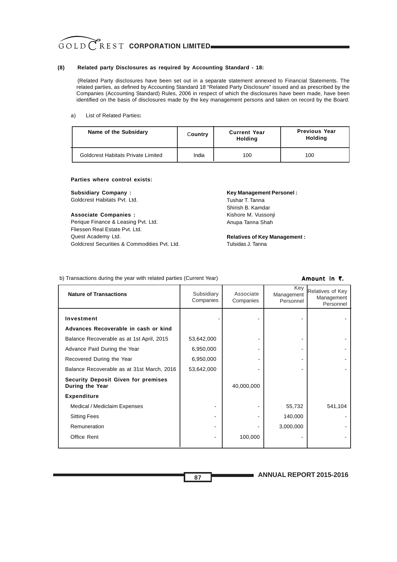### **(8) Related party Disclosures as required by Accounting Standard - 18:**

(Related Party disclosures have been set out in a separate statement annexed to Financial Statements. The related parties, as defined by Accounting Standard 18 "Related Party Disclosure" issued and as prescribed by the Companies (Accounting Standard) Rules, 2006 in respect of which the disclosures have been made, have been identified on the basis of disclosures made by the key management persons and taken on record by the Board.

#### a) List of Related Parties**:**

| Name of the Subsidary              | Country | <b>Current Year</b><br><b>Holding</b> | <b>Previous Year</b><br>Holding |
|------------------------------------|---------|---------------------------------------|---------------------------------|
| Goldcrest Habitats Private Limited | India   | 100                                   | 100                             |

#### **Parties where control exists:**

**Subsidiary Company :**

Goldcrest Habitats Pvt. Ltd.

#### **Associate Companies :**

Perique Finance & Leasing Pvt. Ltd. Fliessen Real Estate Pvt. Ltd. Quest Academy Ltd. Goldcrest Securities & Commodities Pvt. Ltd.

# **Key Management Personel :**

Tushar T. Tanna Shirish B. Kamdar Kishore M. Vussonji Anupa Tanna Shah

**Relatives of Key Management :** Tulsidas J. Tanna

#### b) Transactions during the year with related parties (Current Year)

#### Amount in  $\bar{\tau}$ .

| <b>Nature of Transactions</b>                                 | Subsidiary<br>Companies | Associate<br>Companies | Key<br>Management<br>Personnel | Relatives of Key<br>Management<br>Personnel |
|---------------------------------------------------------------|-------------------------|------------------------|--------------------------------|---------------------------------------------|
| Investment                                                    |                         |                        |                                |                                             |
| Advances Recoverable in cash or kind                          |                         |                        |                                |                                             |
| Balance Recoverable as at 1st April, 2015                     | 53,642,000              |                        |                                |                                             |
| Advance Paid During the Year                                  | 6,950,000               |                        |                                |                                             |
| Recovered During the Year                                     | 6,950,000               |                        |                                |                                             |
| Balance Recoverable as at 31st March, 2016                    | 53,642,000              |                        |                                |                                             |
| <b>Security Deposit Given for premises</b><br>During the Year |                         | 40,000,000             |                                |                                             |
| <b>Expenditure</b>                                            |                         |                        |                                |                                             |
| Medical / Mediclaim Expenses                                  |                         |                        | 55,732                         | 541,104                                     |
| <b>Sitting Fees</b>                                           |                         |                        | 140,000                        |                                             |
| Remuneration                                                  |                         |                        | 3,000,000                      |                                             |
| Office Rent                                                   |                         | 100,000                |                                |                                             |

**ANNUAL REPORT 2015-2016**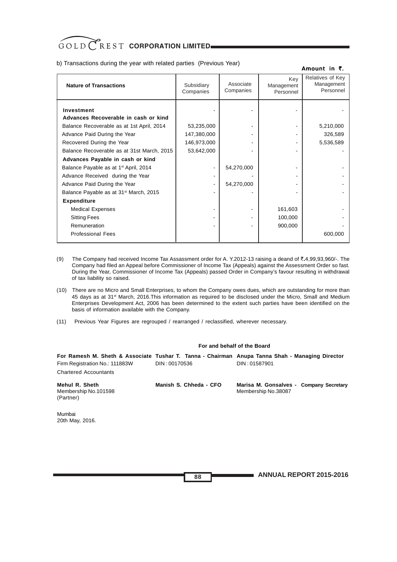b) Transactions during the year with related parties (Previous Year)

#### Amount in  $\bar{z}$ .

| <b>Nature of Transactions</b>                                                                                                   | Subsidiary<br>Companies   | Associate<br>Companies | Kev<br>Management<br>Personnel | Relatives of Key<br>Management<br>Personnel |
|---------------------------------------------------------------------------------------------------------------------------------|---------------------------|------------------------|--------------------------------|---------------------------------------------|
| Investment<br>Advances Recoverable in cash or kind<br>Balance Recoverable as at 1st April, 2014<br>Advance Paid During the Year | 53,235,000<br>147,380,000 |                        |                                | 5,210,000<br>326,589                        |
| Recovered During the Year<br>Balance Recoverable as at 31st March, 2015                                                         | 146,973,000<br>53,642,000 |                        |                                | 5,536,589                                   |
| Advances Payable in cash or kind                                                                                                |                           |                        |                                |                                             |
| Balance Payable as at 1 <sup>st</sup> April, 2014                                                                               |                           | 54,270,000             |                                |                                             |
| Advance Received during the Year                                                                                                |                           |                        |                                |                                             |
| Advance Paid During the Year                                                                                                    |                           | 54,270,000             |                                |                                             |
| Balance Payable as at 31 <sup>st</sup> March, 2015                                                                              |                           |                        |                                |                                             |
| <b>Expenditure</b>                                                                                                              |                           |                        |                                |                                             |
| <b>Medical Expenses</b>                                                                                                         |                           |                        | 161,603                        |                                             |
| <b>Sitting Fees</b>                                                                                                             |                           |                        | 100,000                        |                                             |
| Remuneration                                                                                                                    |                           |                        | 900,000                        |                                             |
| <b>Professional Fees</b>                                                                                                        |                           |                        |                                | 600,000                                     |

- (9) The Company had received Income Tax Assassment order for A. Y.2012-13 raising a deand of  $\bar{\mathfrak{c}}.4,99,93,960/-.$  The Company had filed an Appeal before Commissioner of Income Tax (Appeals) against the Assessment Order so fast. During the Year, Commissioner of Income Tax (Appeals) passed Order in Company's favour resulting in withdrawal of tax liability so raised.
- (10) There are no Micro and Small Enterprises, to whom the Company owes dues, which are outstanding for more than 45 days as at 31<sup>st</sup> March, 2016. This information as required to be disclosed under the Micro, Small and Medium Enterprises Development Act, 2006 has been determined to the extent such parties have been identified on the basis of information available with the Company.
- (11) Previous Year Figures are regrouped / rearranged / reclassified, wherever necessary.

#### **For and behalf of the Board**

| Firm Registration No.: 111883W<br><b>Chartered Accountants</b> | DIN: 00170536          | For Ramesh M. Sheth & Associate Tushar T. Tanna - Chairman Anupa Tanna Shah - Managing Director<br>DIN: 01587901 |
|----------------------------------------------------------------|------------------------|------------------------------------------------------------------------------------------------------------------|
| Mehul R. Sheth<br>Membership No.101598<br>(Partner)            | Manish S. Chheda - CFO | Marisa M. Gonsalves - Company Secretary<br>Membership No.38087                                                   |

Mumbai 20th May, 2016.

**ANNUAL REPORT 2015-2016**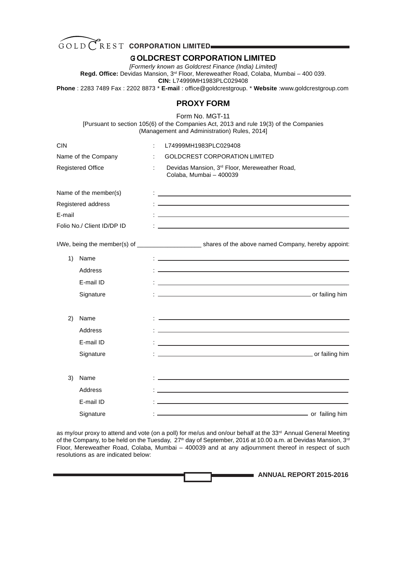

# G **OLDCREST CORPORATION LIMITED**

*[Formerly known as Goldcrest Finance (India) Limited]* **Regd. Office:** Devidas Mansion, 3rd Floor, Mereweather Road, Colaba, Mumbai – 400 039. **CIN:** L74999MH1983PLC029408 **Phone** : 2283 7489 Fax : 2202 8873 \* **E-mail** : office@goldcrestgroup. \* **Website** :www.goldcrestgroup.com

# **PROXY FORM**

Form No. MGT-11

[Pursuant to section 105(6) of the Companies Act, 2013 and rule 19(3) of the Companies (Management and Administration) Rules, 2014]

| the control of the control of the control of the control of the control of the control of the control of the control of the control of the control of the control of the control of the control of the control of the control        |
|--------------------------------------------------------------------------------------------------------------------------------------------------------------------------------------------------------------------------------------|
|                                                                                                                                                                                                                                      |
|                                                                                                                                                                                                                                      |
|                                                                                                                                                                                                                                      |
|                                                                                                                                                                                                                                      |
|                                                                                                                                                                                                                                      |
|                                                                                                                                                                                                                                      |
| I/We, being the member(s) of ____________________________shares of the above named Company, hereby appoint:                                                                                                                          |
| <u> 1989 - John Harry Harry Harry Harry Harry Harry Harry Harry Harry Harry Harry Harry Harry Harry Harry Harry H</u>                                                                                                                |
| and the control of the control of the control of the control of the control of the control of the control of the                                                                                                                     |
|                                                                                                                                                                                                                                      |
| <u>and the same and the same and the same and the same and the same and the same and the same and the same and the same and the same and the same and the same and the same and the same and the same and the same and the same </u> |
|                                                                                                                                                                                                                                      |
| and the control of the control of the control of the control of the control of the control of the control of the                                                                                                                     |
|                                                                                                                                                                                                                                      |
|                                                                                                                                                                                                                                      |
|                                                                                                                                                                                                                                      |
| and the control of the control of the control of the control of the control of the control of the control of the                                                                                                                     |
|                                                                                                                                                                                                                                      |
| or failing him                                                                                                                                                                                                                       |
| <u> 1989 - Johann Stein, marwolaethau a bhann an t-Amhain ann an t-Amhain an t-Amhain an t-Amhain an t-Amhain an </u>                                                                                                                |

as my/our proxy to attend and vote (on a poll) for me/us and on/our behalf at the 33<sup>rd</sup> Annual General Meeting of the Company, to be held on the Tuesday, 27<sup>th</sup> day of September, 2016 at 10.00 a.m. at Devidas Mansion, 3<sup>rd</sup> Floor, Mereweather Road, Colaba, Mumbai – 400039 and at any adjournment thereof in respect of such resolutions as are indicated below:

| <b>ANNUAL REPORT 2015-2016</b> |
|--------------------------------|
|                                |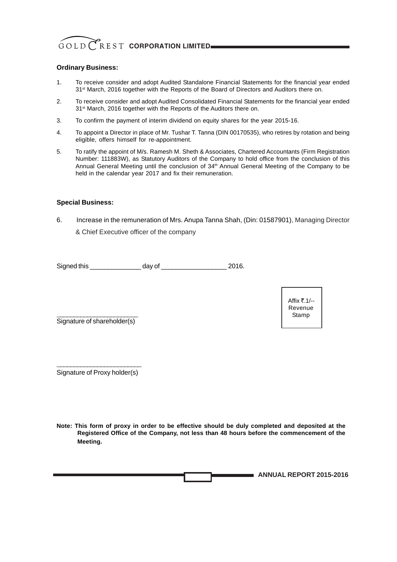## **Ordinary Business:**

- 1. To receive consider and adopt Audited Standalone Financial Statements for the financial year ended 31<sup>st</sup> March, 2016 together with the Reports of the Board of Directors and Auditors there on.
- 2. To receive consider and adopt Audited Consolidated Financial Statements for the financial year ended 31<sup>st</sup> March, 2016 together with the Reports of the Auditors there on.
- 3. To confirm the payment of interim dividend on equity shares for the year 2015-16.
- 4. To appoint a Director in place of Mr. Tushar T. Tanna (DIN 00170535), who retires by rotation and being eligible, offers himself for re-appointment.
- 5. To ratify the appoint of M/s. Ramesh M. Sheth & Associates, Chartered Accountants (Firm Registration Number: 111883W), as Statutory Auditors of the Company to hold office from the conclusion of this Annual General Meeting until the conclusion of 34<sup>th</sup> Annual General Meeting of the Company to be held in the calendar year 2017 and fix their remuneration.

## **Special Business:**

6. Increase in the remuneration of Mrs. Anupa Tanna Shah, (Din: 01587901), Managing Director & Chief Executive officer of the company

| Signed this | dav of | 2016 |
|-------------|--------|------|
|-------------|--------|------|

 $\mathcal{L}_\text{max}$ Signature of shareholder(s)

Signature of Proxy holder(s)

**Note: This form of proxy in order to be effective should be duly completed and deposited at the Registered Office of the Company, not less than 48 hours before the commencement of the Meeting.**

| <b>ANNUAL REPORT 2015-2016</b> |
|--------------------------------|
|--------------------------------|

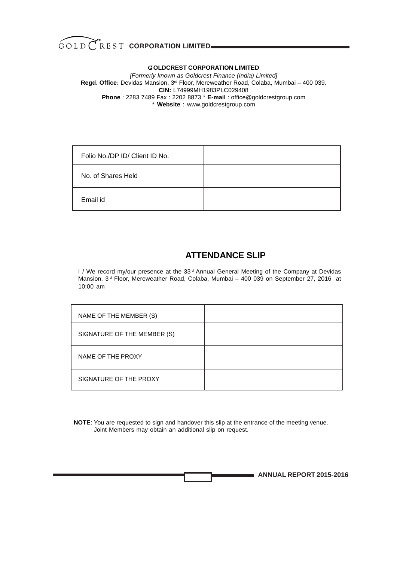

## G **OLDCREST CORPORATION LIMITED**

*[Formerly known as Goldcrest Finance (India) Limited]* **Regd. Office:** Devidas Mansion, 3rd Floor, Mereweather Road, Colaba, Mumbai – 400 039. **CIN:** L74999MH1983PLC029408 **Phone** : 2283 7489 Fax : 2202 8873 \* **E-mail** : office@goldcrestgroup.com \* **Website** : www.goldcrestgroup.com

| Folio No./DP ID/ Client ID No. |  |
|--------------------------------|--|
| No. of Shares Held             |  |
| Email id                       |  |

# **ATTENDANCE SLIP**

I / We record my/our presence at the 33<sup>rd</sup> Annual General Meeting of the Company at Devidas Mansion, 3rd Floor, Mereweather Road, Colaba, Mumbai – 400 039 on September 27, 2016 at 10:00 am

| NAME OF THE MEMBER (S)      |  |
|-----------------------------|--|
| SIGNATURE OF THE MEMBER (S) |  |
| NAME OF THE PROXY           |  |
| SIGNATURE OF THE PROXY      |  |

 **NOTE**: You are requested to sign and handover this slip at the entrance of the meeting venue. Joint Members may obtain an additional slip on request.